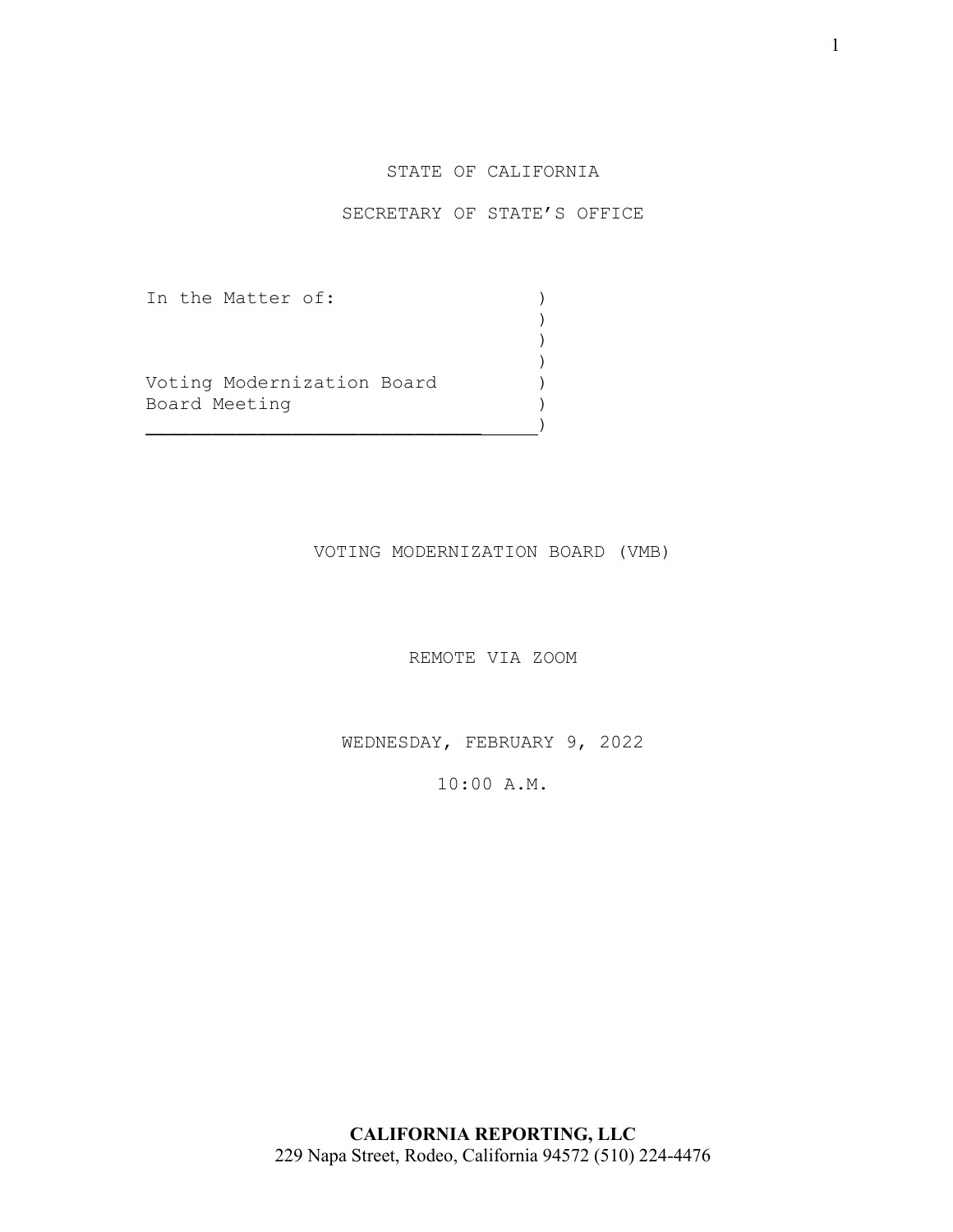## STATE OF CALIFORNIA

## SECRETARY OF STATE'S OFFICE

In the Matter of: ) ) and the contract of  $\mathcal{L}$ ) and the contract of  $\mathcal{L}$ ) and the contract of  $\mathcal{L}$ Voting Modernization Board ) Board Meeting (1999)  $\qquad \qquad )$ 

VOTING MODERNIZATION BOARD (VMB)

REMOTE VIA ZOOM

WEDNESDAY, FEBRUARY 9, 2022

10:00 A.M.

**CALIFORNIA REPORTING, LLC** 229 Napa Street, Rodeo, California 94572 (510) 224-4476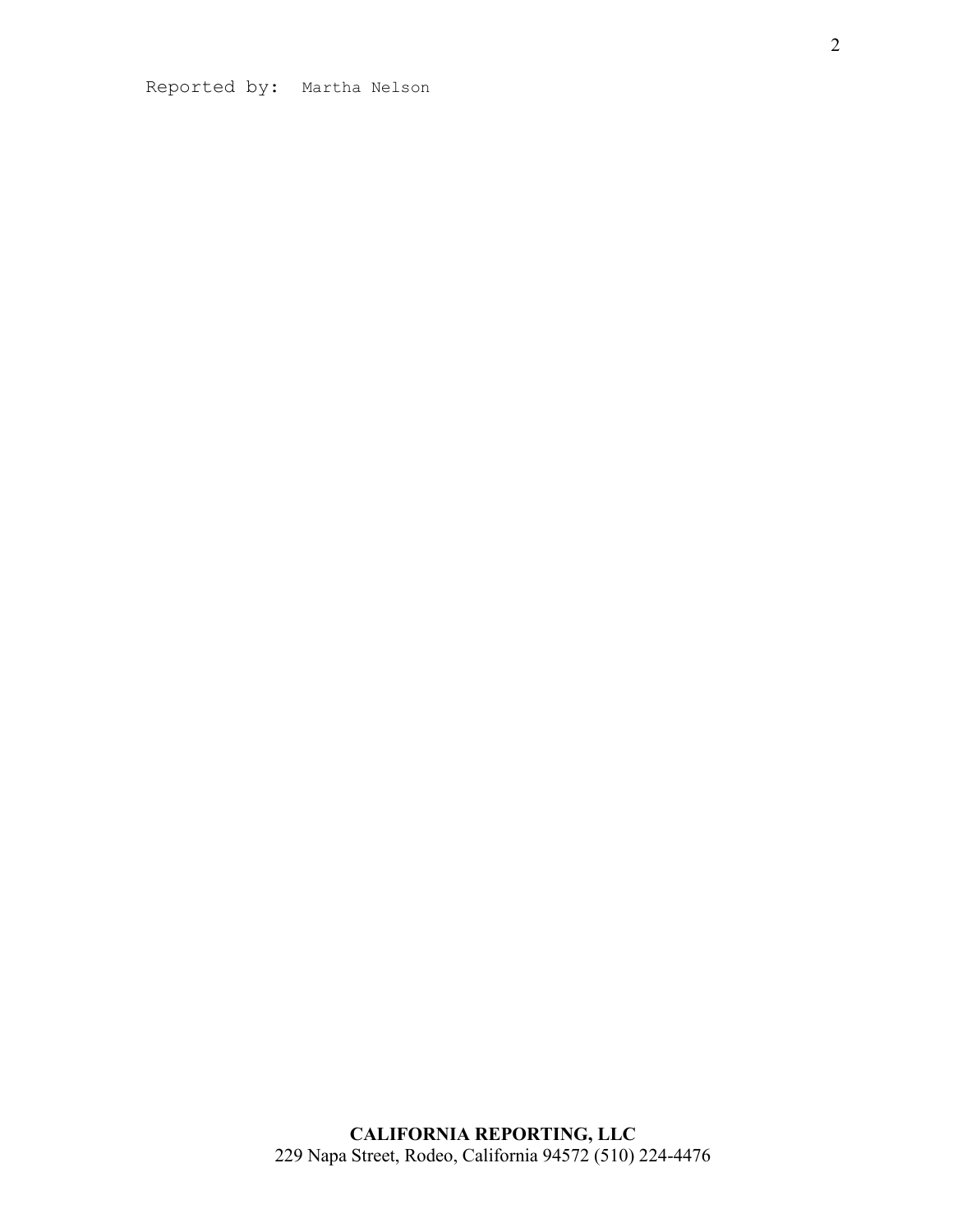Reported by: Martha Nelson

**CALIFORNIA REPORTING, LLC** 229 Napa Street, Rodeo, California 94572 (510) 224-4476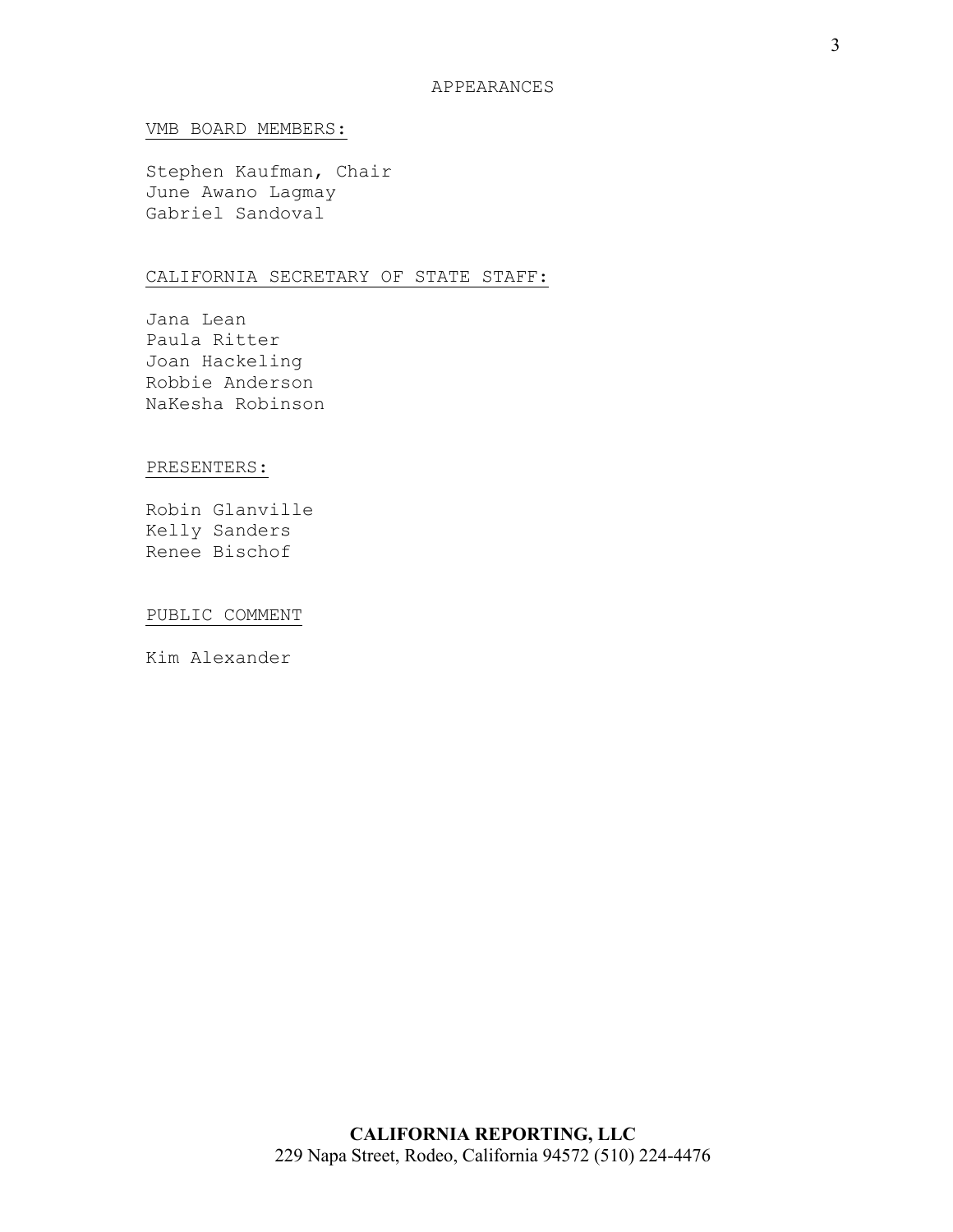#### VMB BOARD MEMBERS:

Stephen Kaufman, Chair June Awano Lagmay Gabriel Sandoval

## CALIFORNIA SECRETARY OF STATE STAFF:

Jana Lean Paula Ritter Joan Hackeling Robbie Anderson NaKesha Robinson

#### PRESENTERS:

Robin Glanville Kelly Sanders Renee Bischof

## PUBLIC COMMENT

Kim Alexander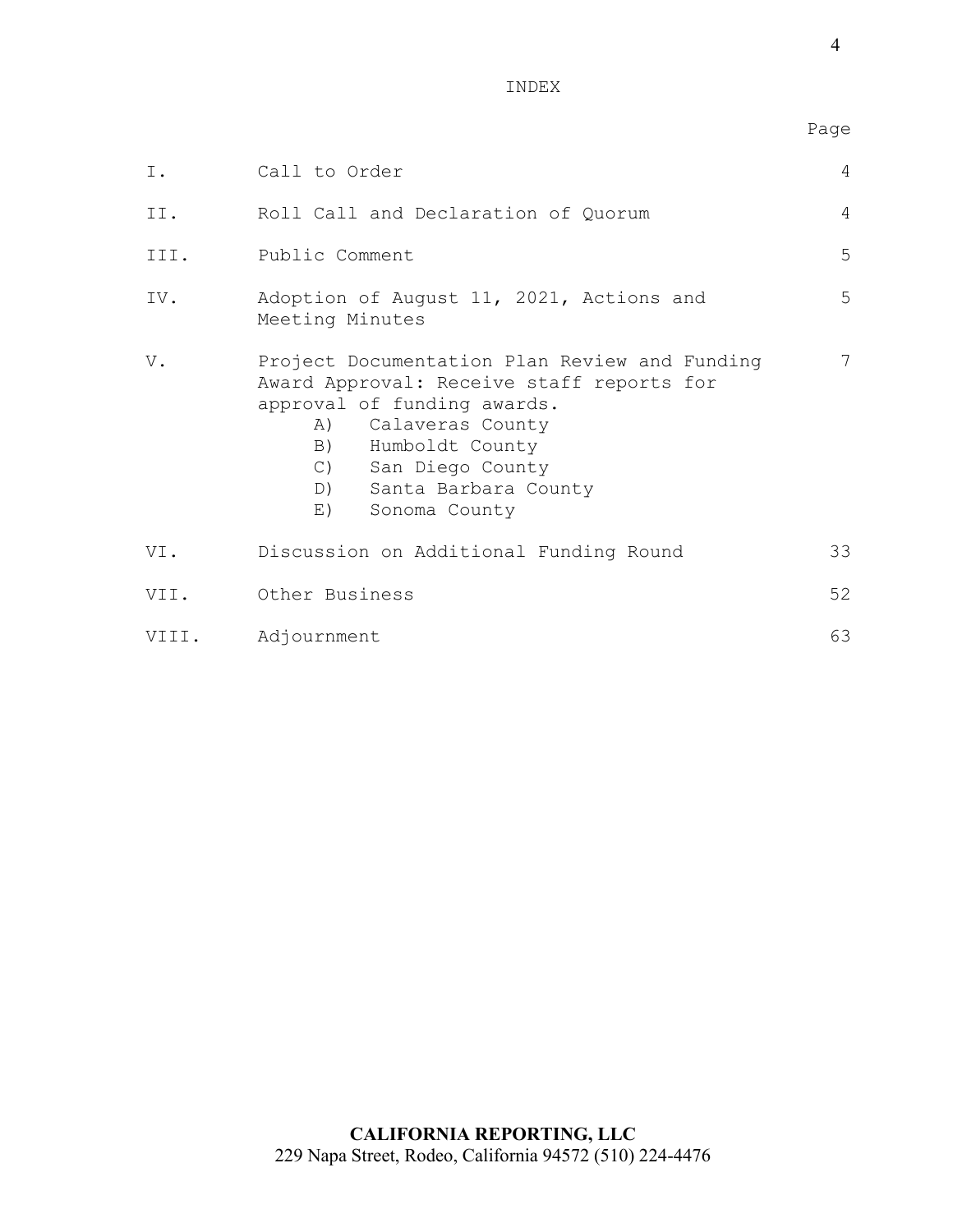en de la provincia de la provincia de la provincia de la provincia de la provincia de la provincia de la provi

| Ι.    | Call to Order                                                                                                                                                                                                                                | 4  |
|-------|----------------------------------------------------------------------------------------------------------------------------------------------------------------------------------------------------------------------------------------------|----|
| II.   | Roll Call and Declaration of Quorum                                                                                                                                                                                                          | 4  |
| III.  | Public Comment                                                                                                                                                                                                                               | 5  |
| IV.   | Adoption of August 11, 2021, Actions and<br>Meeting Minutes                                                                                                                                                                                  | 5  |
| V.    | Project Documentation Plan Review and Funding<br>Award Approval: Receive staff reports for<br>approval of funding awards.<br>A) Calaveras County<br>B) Humboldt County<br>C) San Diego County<br>D) Santa Barbara County<br>E) Sonoma County | 7  |
| VI.   | Discussion on Additional Funding Round                                                                                                                                                                                                       | 33 |
| VII.  | Other Business                                                                                                                                                                                                                               | 52 |
| VIII. | Adjournment                                                                                                                                                                                                                                  | 63 |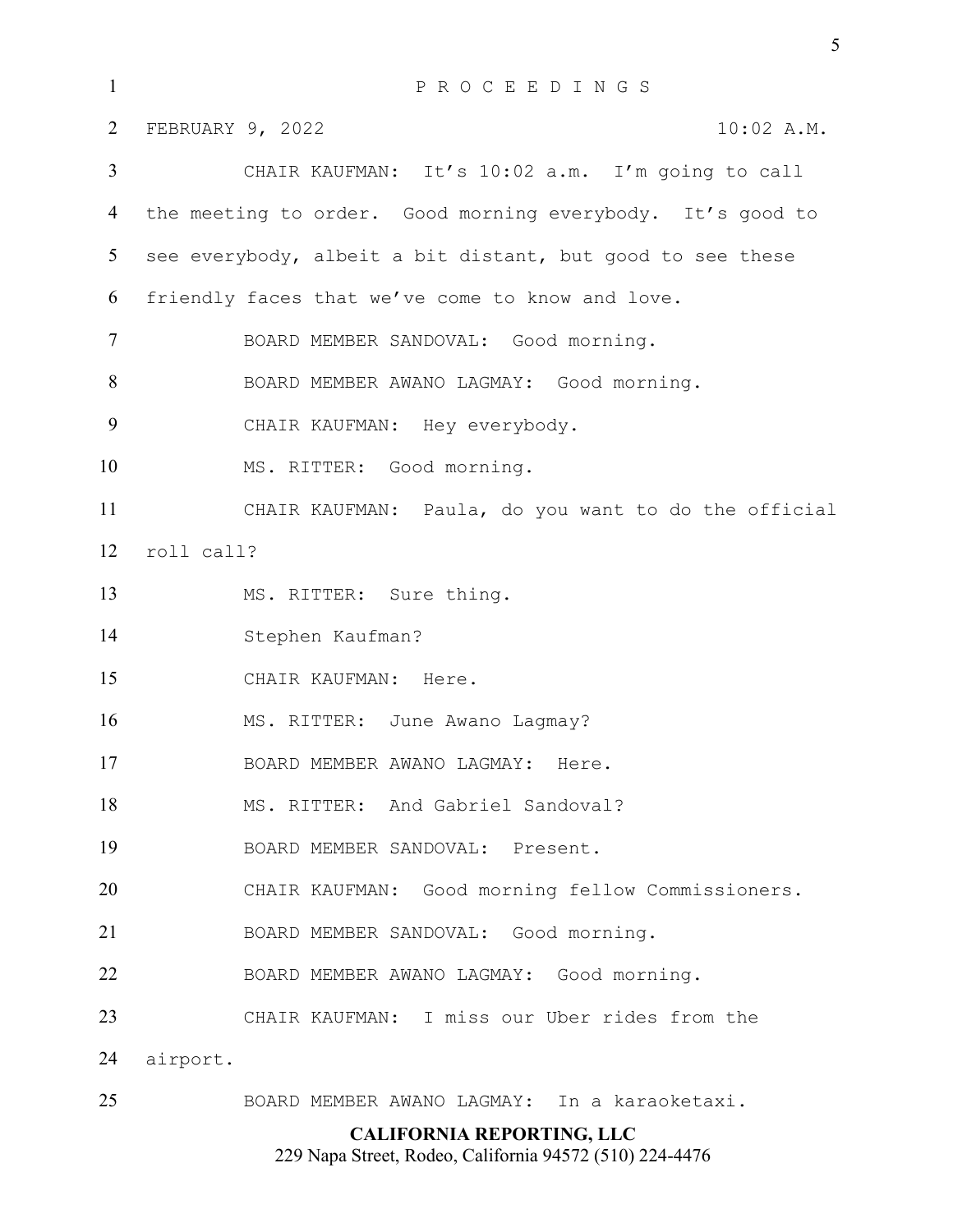| $\mathbf{1}$   | PROCEEDINGS                                                |  |  |
|----------------|------------------------------------------------------------|--|--|
| 2              | FEBRUARY 9, 2022<br>10:02 A.M.                             |  |  |
| 3              | CHAIR KAUFMAN: It's 10:02 a.m. I'm going to call           |  |  |
| 4              | the meeting to order. Good morning everybody. It's good to |  |  |
| 5              | see everybody, albeit a bit distant, but good to see these |  |  |
| 6              | friendly faces that we've come to know and love.           |  |  |
| $\overline{7}$ | BOARD MEMBER SANDOVAL: Good morning.                       |  |  |
| 8              | BOARD MEMBER AWANO LAGMAY: Good morning.                   |  |  |
| 9              | CHAIR KAUFMAN: Hey everybody.                              |  |  |
| 10             | MS. RITTER: Good morning.                                  |  |  |
| 11             | CHAIR KAUFMAN: Paula, do you want to do the official       |  |  |
| 12             | roll call?                                                 |  |  |
| 13             | MS. RITTER: Sure thing.                                    |  |  |
| 14             | Stephen Kaufman?                                           |  |  |
| 15             | CHAIR KAUFMAN: Here.                                       |  |  |
| 16             | MS. RITTER: June Awano Lagmay?                             |  |  |
| 17             | BOARD MEMBER AWANO LAGMAY: Here.                           |  |  |
| 18             | MS. RITTER: And Gabriel Sandoval?                          |  |  |
| 19             | BOARD MEMBER SANDOVAL: Present.                            |  |  |
| 20             | CHAIR KAUFMAN: Good morning fellow Commissioners.          |  |  |
| 21             | BOARD MEMBER SANDOVAL: Good morning.                       |  |  |
| 22             | BOARD MEMBER AWANO LAGMAY: Good morning.                   |  |  |
| 23             | CHAIR KAUFMAN: I miss our Uber rides from the              |  |  |
| 24             | airport.                                                   |  |  |
| 25             | BOARD MEMBER AWANO LAGMAY: In a karaoketaxi.               |  |  |

## **CALIFORNIA REPORTING, LLC**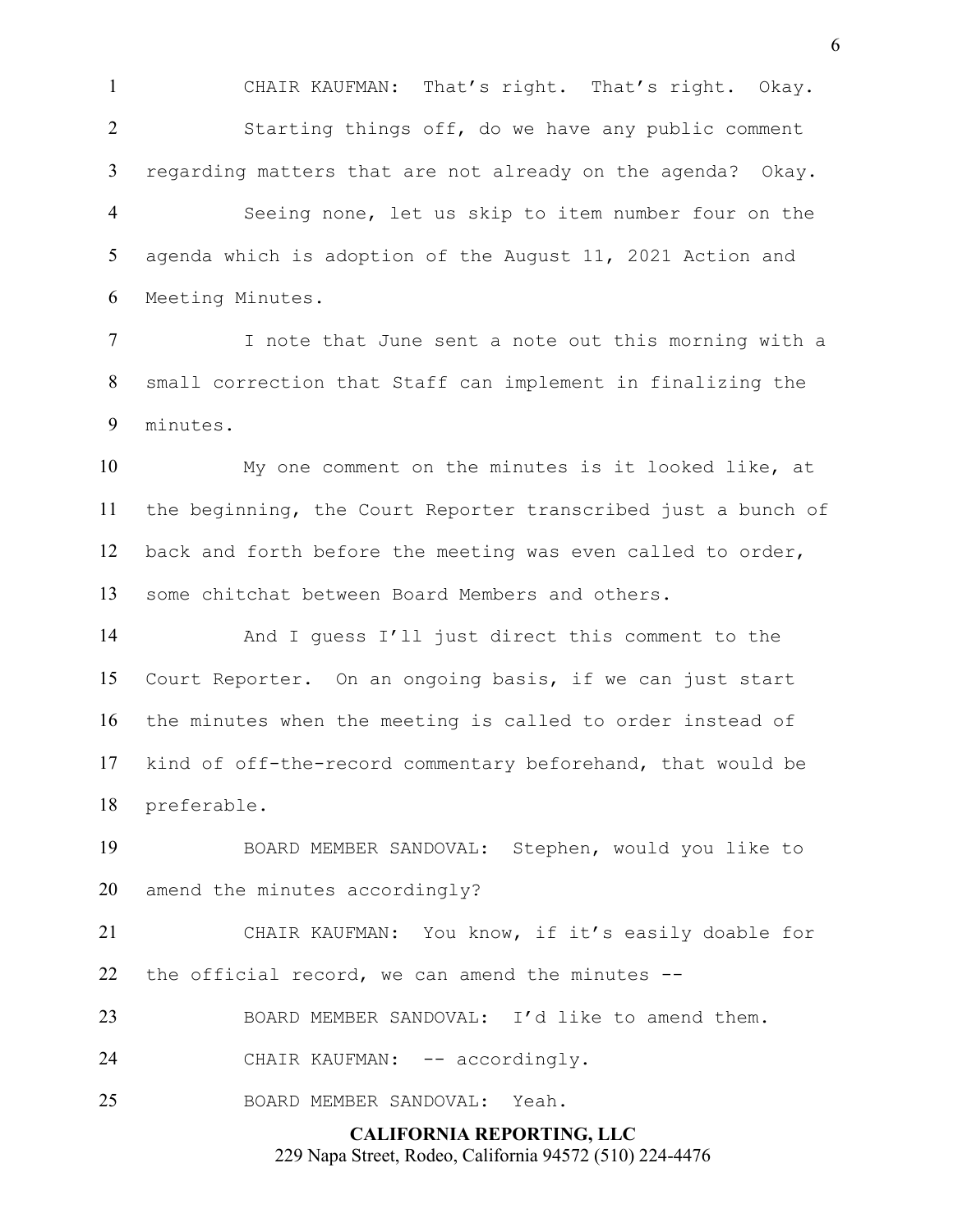CHAIR KAUFMAN: That's right. That's right. Okay. Starting things off, do we have any public comment regarding matters that are not already on the agenda? Okay. Seeing none, let us skip to item number four on the

agenda which is adoption of the August 11, 2021 Action and Meeting Minutes.

I note that June sent a note out this morning with a small correction that Staff can implement in finalizing the minutes.

My one comment on the minutes is it looked like, at the beginning, the Court Reporter transcribed just a bunch of back and forth before the meeting was even called to order, some chitchat between Board Members and others.

And I guess I'll just direct this comment to the Court Reporter. On an ongoing basis, if we can just start the minutes when the meeting is called to order instead of kind of off-the-record commentary beforehand, that would be preferable.

BOARD MEMBER SANDOVAL: Stephen, would you like to amend the minutes accordingly?

CHAIR KAUFMAN: You know, if it's easily doable for the official record, we can amend the minutes --

BOARD MEMBER SANDOVAL: I'd like to amend them.

24 CHAIR KAUFMAN: -- accordingly.

BOARD MEMBER SANDOVAL: Yeah.

**CALIFORNIA REPORTING, LLC**

229 Napa Street, Rodeo, California 94572 (510) 224-4476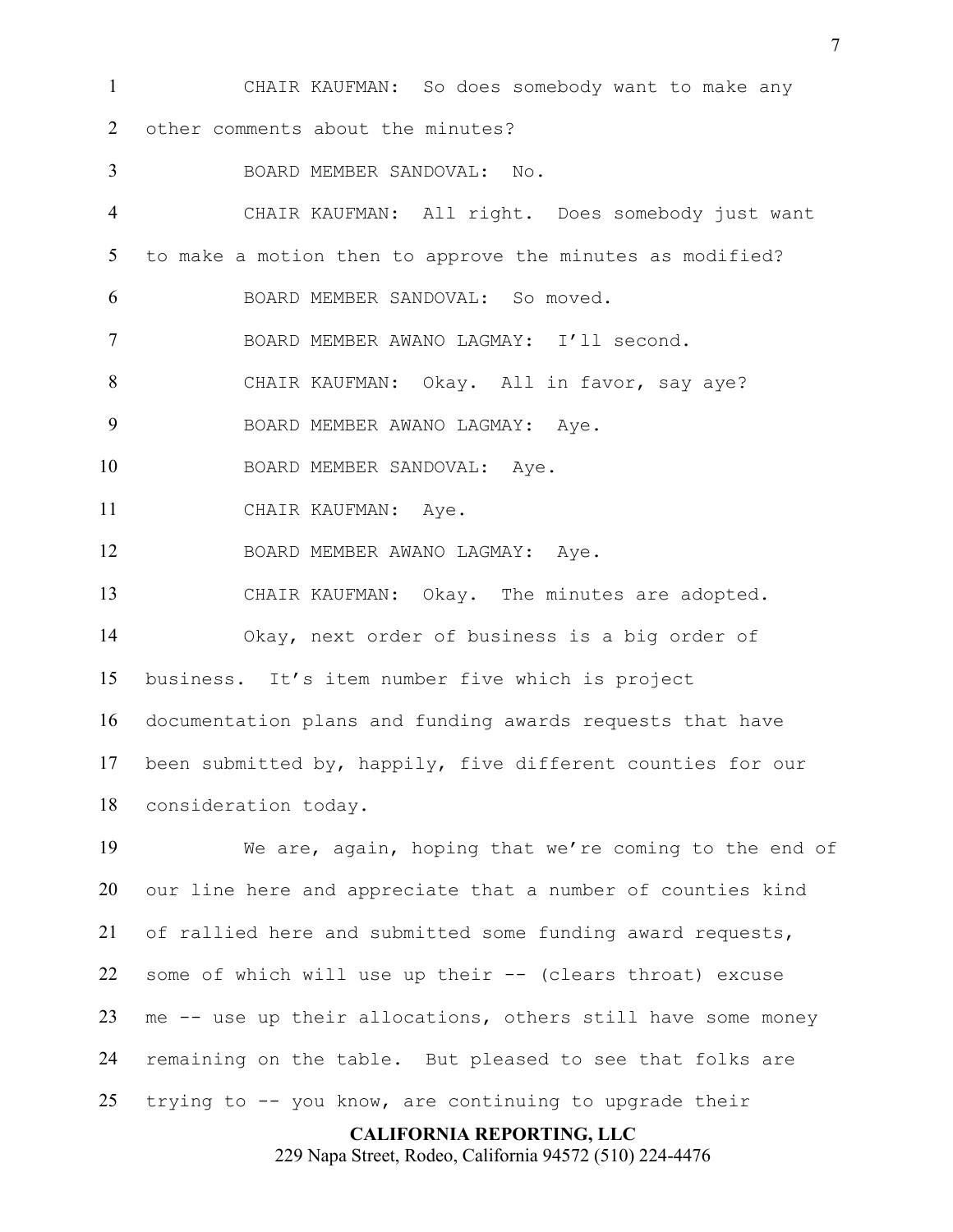CHAIR KAUFMAN: So does somebody want to make any 2 other comments about the minutes?

BOARD MEMBER SANDOVAL: No. CHAIR KAUFMAN: All right. Does somebody just want to make a motion then to approve the minutes as modified? BOARD MEMBER SANDOVAL: So moved. BOARD MEMBER AWANO LAGMAY: I'll second. CHAIR KAUFMAN: Okay. All in favor, say aye? 9 BOARD MEMBER AWANO LAGMAY: Aye. 10 BOARD MEMBER SANDOVAL: Ave. 11 CHAIR KAUFMAN: Aye. BOARD MEMBER AWANO LAGMAY: Aye. CHAIR KAUFMAN: Okay. The minutes are adopted. Okay, next order of business is a big order of business. It's item number five which is project documentation plans and funding awards requests that have been submitted by, happily, five different counties for our consideration today. We are, again, hoping that we're coming to the end of our line here and appreciate that a number of counties kind

of rallied here and submitted some funding award requests, some of which will use up their -- (clears throat) excuse me -- use up their allocations, others still have some money remaining on the table. But pleased to see that folks are trying to -- you know, are continuing to upgrade their

**CALIFORNIA REPORTING, LLC**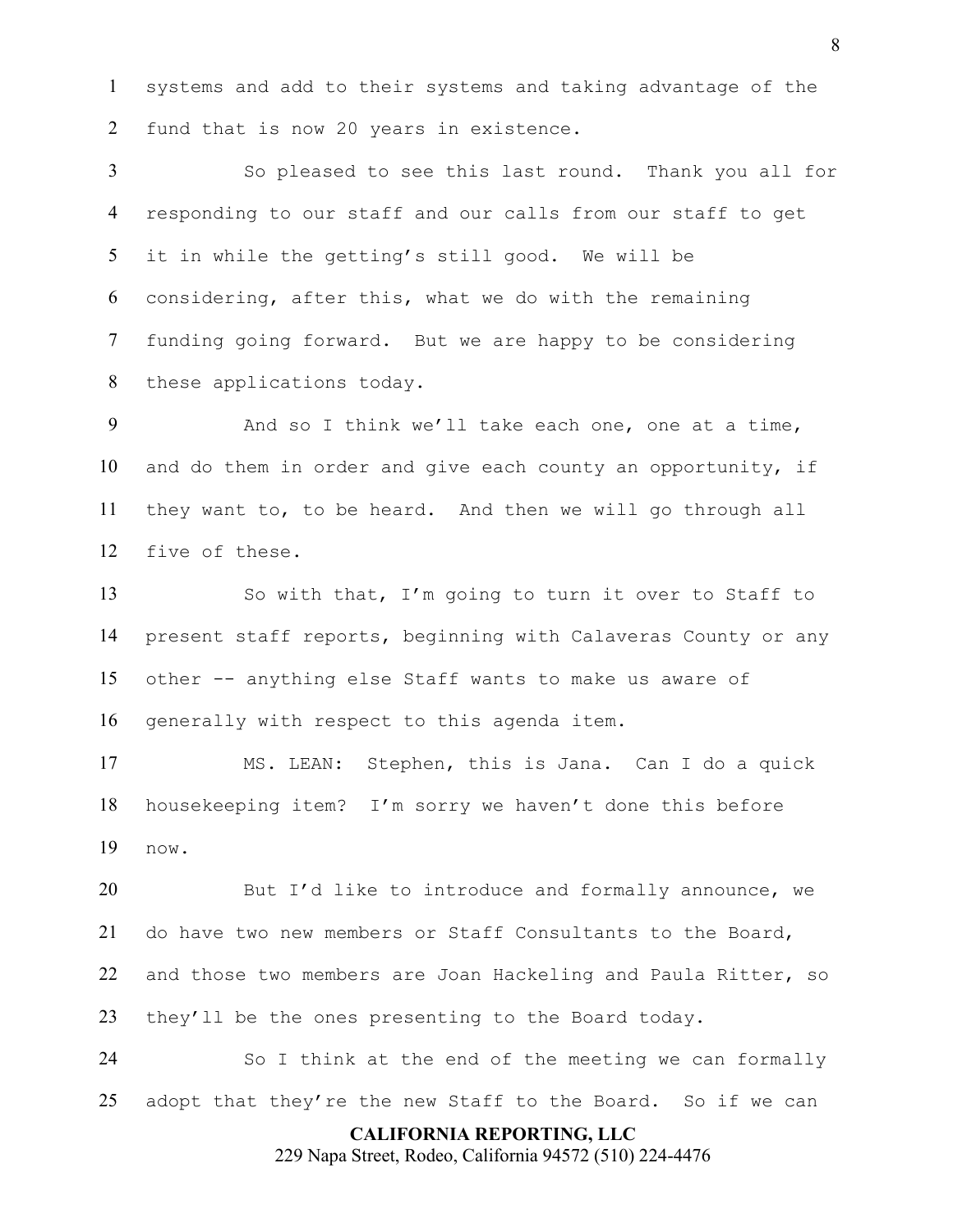systems and add to their systems and taking advantage of the fund that is now 20 years in existence.

So pleased to see this last round. Thank you all for responding to our staff and our calls from our staff to get it in while the getting's still good. We will be considering, after this, what we do with the remaining funding going forward. But we are happy to be considering these applications today.

And so I think we'll take each one, one at a time, and do them in order and give each county an opportunity, if they want to, to be heard. And then we will go through all five of these.

So with that, I'm going to turn it over to Staff to present staff reports, beginning with Calaveras County or any other -- anything else Staff wants to make us aware of generally with respect to this agenda item.

MS. LEAN: Stephen, this is Jana. Can I do a quick housekeeping item? I'm sorry we haven't done this before now.

20 But I'd like to introduce and formally announce, we do have two new members or Staff Consultants to the Board, and those two members are Joan Hackeling and Paula Ritter, so they'll be the ones presenting to the Board today.

So I think at the end of the meeting we can formally adopt that they're the new Staff to the Board. So if we can

## **CALIFORNIA REPORTING, LLC**

229 Napa Street, Rodeo, California 94572 (510) 224-4476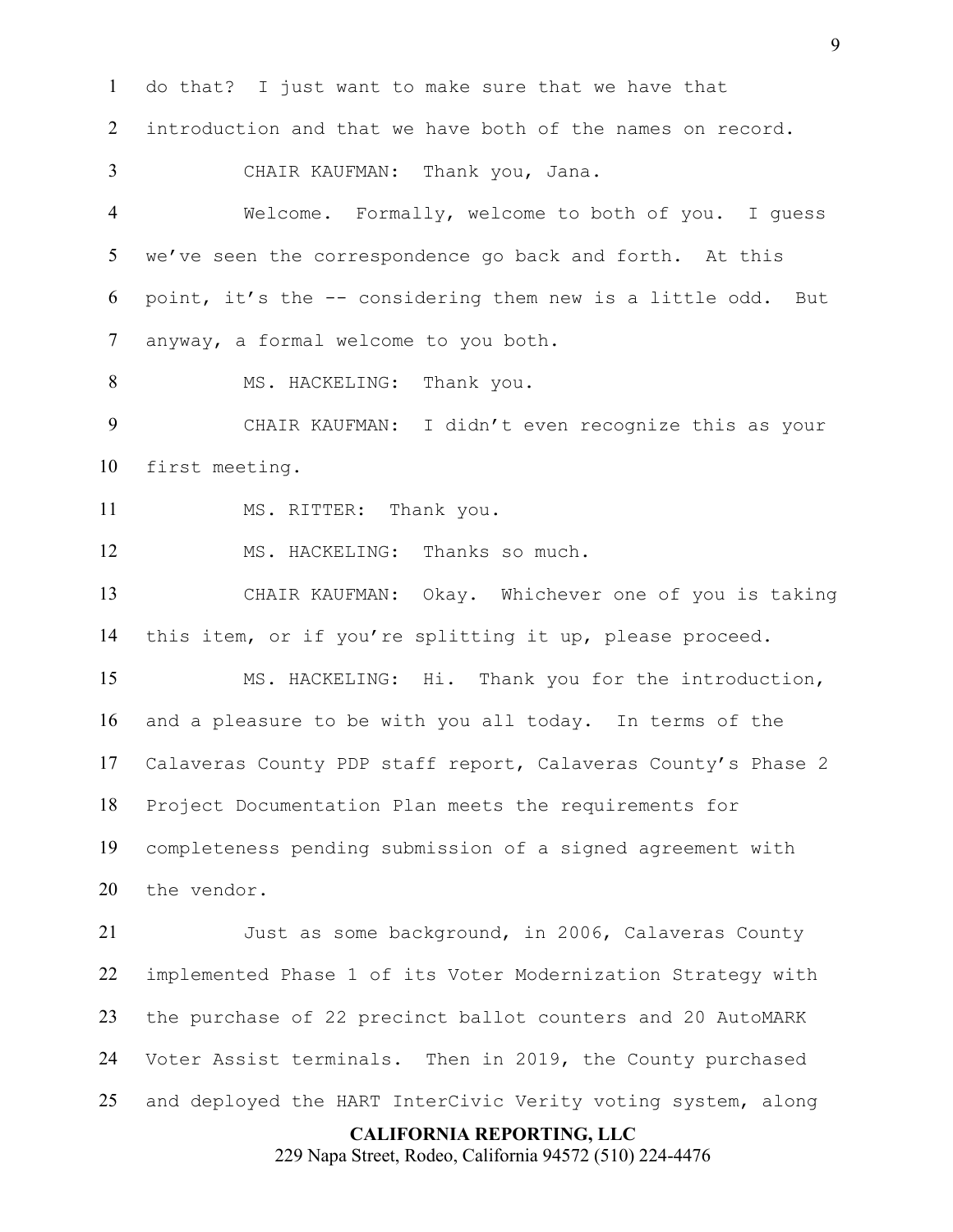**CALIFORNIA REPORTING, LLC** do that? I just want to make sure that we have that introduction and that we have both of the names on record. CHAIR KAUFMAN: Thank you, Jana. Welcome. Formally, welcome to both of you. I guess we've seen the correspondence go back and forth. At this point, it's the -- considering them new is a little odd. But anyway, a formal welcome to you both. 8 MS. HACKELING: Thank you. CHAIR KAUFMAN: I didn't even recognize this as your first meeting. 11 MS. RITTER: Thank you. MS. HACKELING: Thanks so much. CHAIR KAUFMAN: Okay. Whichever one of you is taking this item, or if you're splitting it up, please proceed. MS. HACKELING: Hi. Thank you for the introduction, and a pleasure to be with you all today. In terms of the Calaveras County PDP staff report, Calaveras County's Phase 2 Project Documentation Plan meets the requirements for completeness pending submission of a signed agreement with the vendor. Just as some background, in 2006, Calaveras County implemented Phase 1 of its Voter Modernization Strategy with the purchase of 22 precinct ballot counters and 20 AutoMARK Voter Assist terminals. Then in 2019, the County purchased and deployed the HART InterCivic Verity voting system, along

229 Napa Street, Rodeo, California 94572 (510) 224-4476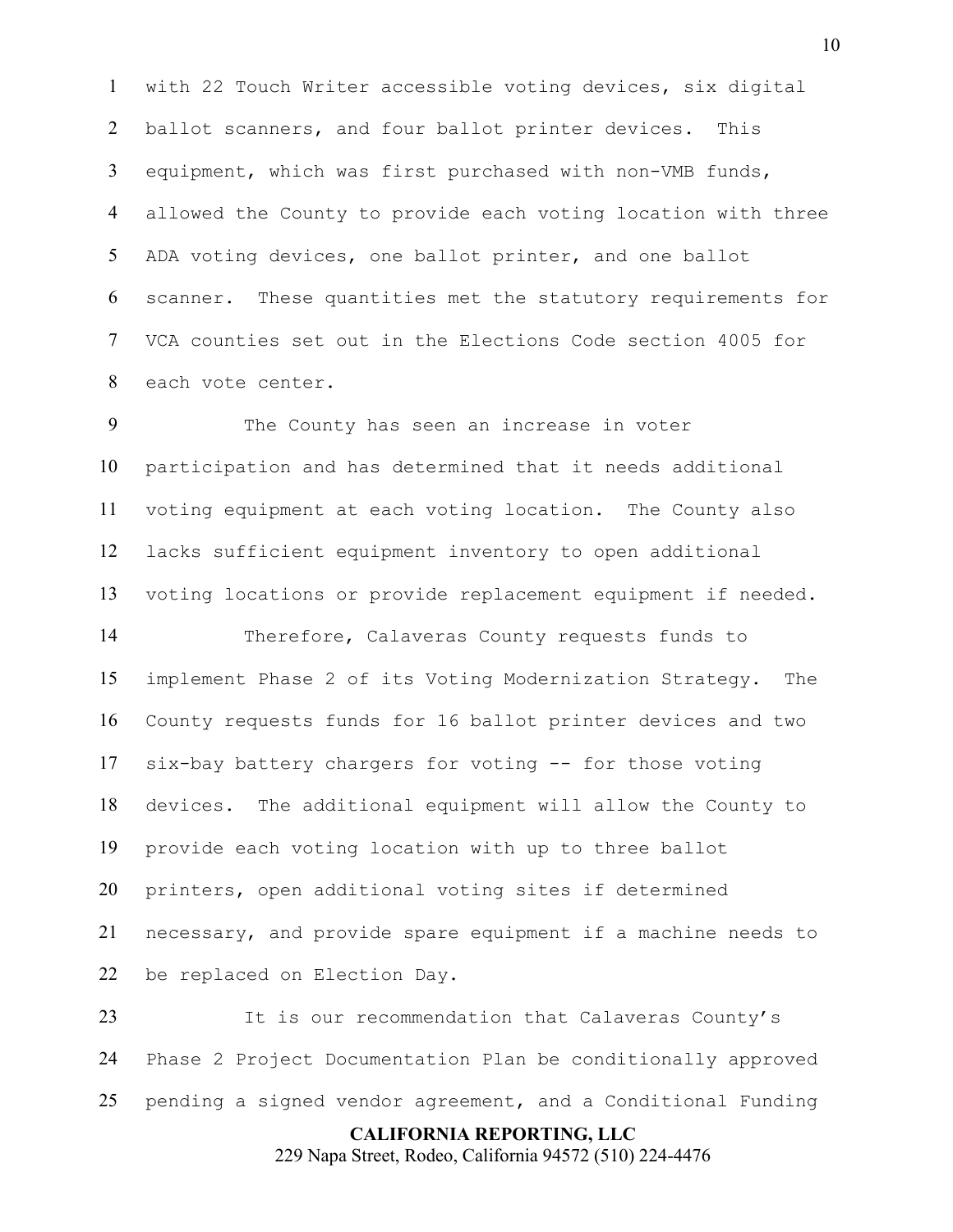with 22 Touch Writer accessible voting devices, six digital ballot scanners, and four ballot printer devices. This equipment, which was first purchased with non-VMB funds, allowed the County to provide each voting location with three ADA voting devices, one ballot printer, and one ballot scanner. These quantities met the statutory requirements for VCA counties set out in the Elections Code section 4005 for each vote center.

The County has seen an increase in voter participation and has determined that it needs additional voting equipment at each voting location. The County also lacks sufficient equipment inventory to open additional voting locations or provide replacement equipment if needed.

Therefore, Calaveras County requests funds to implement Phase 2 of its Voting Modernization Strategy. The County requests funds for 16 ballot printer devices and two six-bay battery chargers for voting -- for those voting devices. The additional equipment will allow the County to provide each voting location with up to three ballot printers, open additional voting sites if determined necessary, and provide spare equipment if a machine needs to be replaced on Election Day.

**CALIFORNIA REPORTING, LLC** It is our recommendation that Calaveras County's Phase 2 Project Documentation Plan be conditionally approved pending a signed vendor agreement, and a Conditional Funding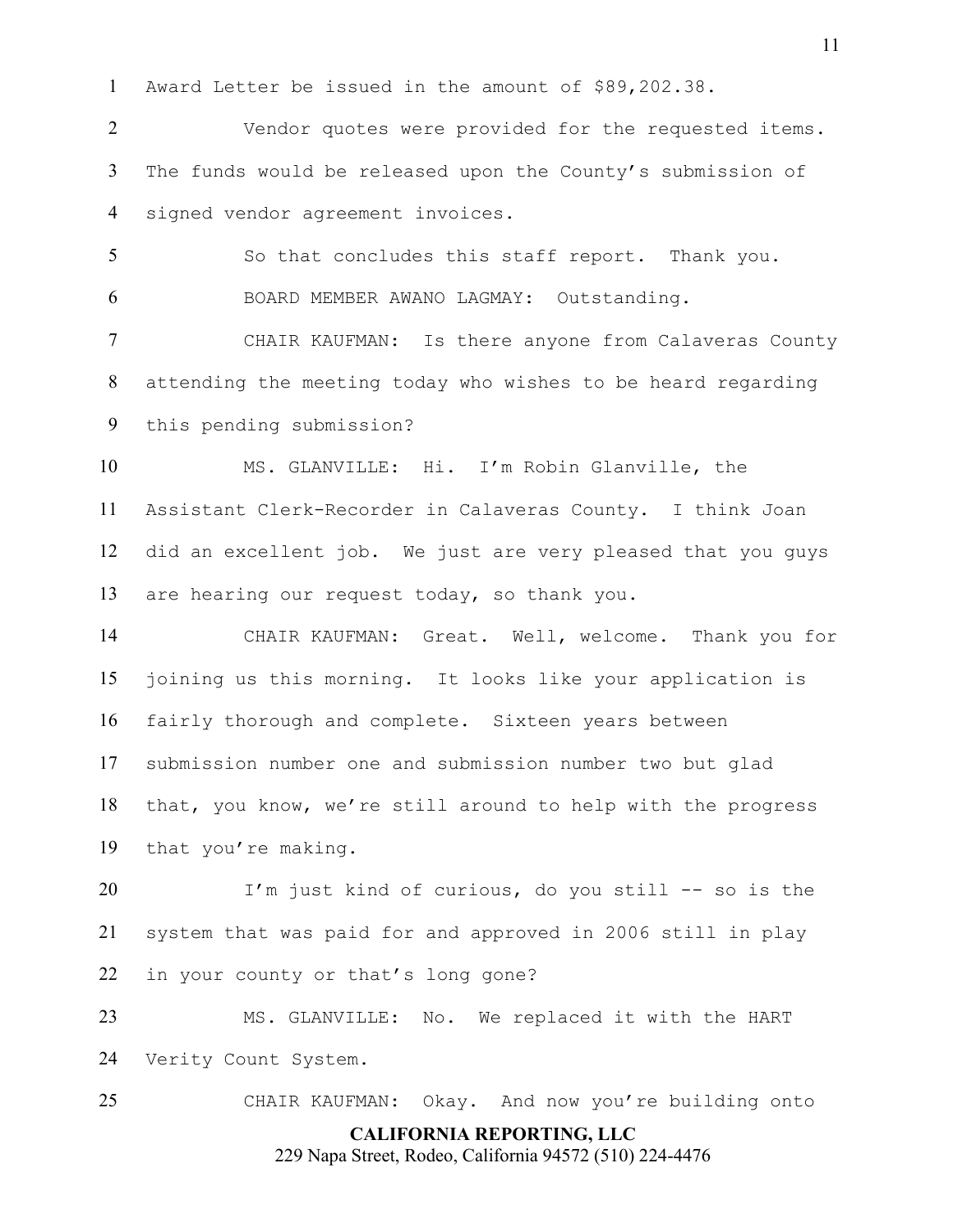Award Letter be issued in the amount of \$89,202.38.

Vendor quotes were provided for the requested items. 3 The funds would be released upon the County's submission of signed vendor agreement invoices.

So that concludes this staff report. Thank you. BOARD MEMBER AWANO LAGMAY: Outstanding.

CHAIR KAUFMAN: Is there anyone from Calaveras County attending the meeting today who wishes to be heard regarding this pending submission?

MS. GLANVILLE: Hi. I'm Robin Glanville, the Assistant Clerk-Recorder in Calaveras County. I think Joan did an excellent job. We just are very pleased that you guys are hearing our request today, so thank you.

CHAIR KAUFMAN: Great. Well, welcome. Thank you for joining us this morning. It looks like your application is fairly thorough and complete. Sixteen years between submission number one and submission number two but glad that, you know, we're still around to help with the progress that you're making.

I'm just kind of curious, do you still -- so is the system that was paid for and approved in 2006 still in play in your county or that's long gone?

MS. GLANVILLE: No. We replaced it with the HART Verity Count System.

**CALIFORNIA REPORTING, LLC** CHAIR KAUFMAN: Okay. And now you're building onto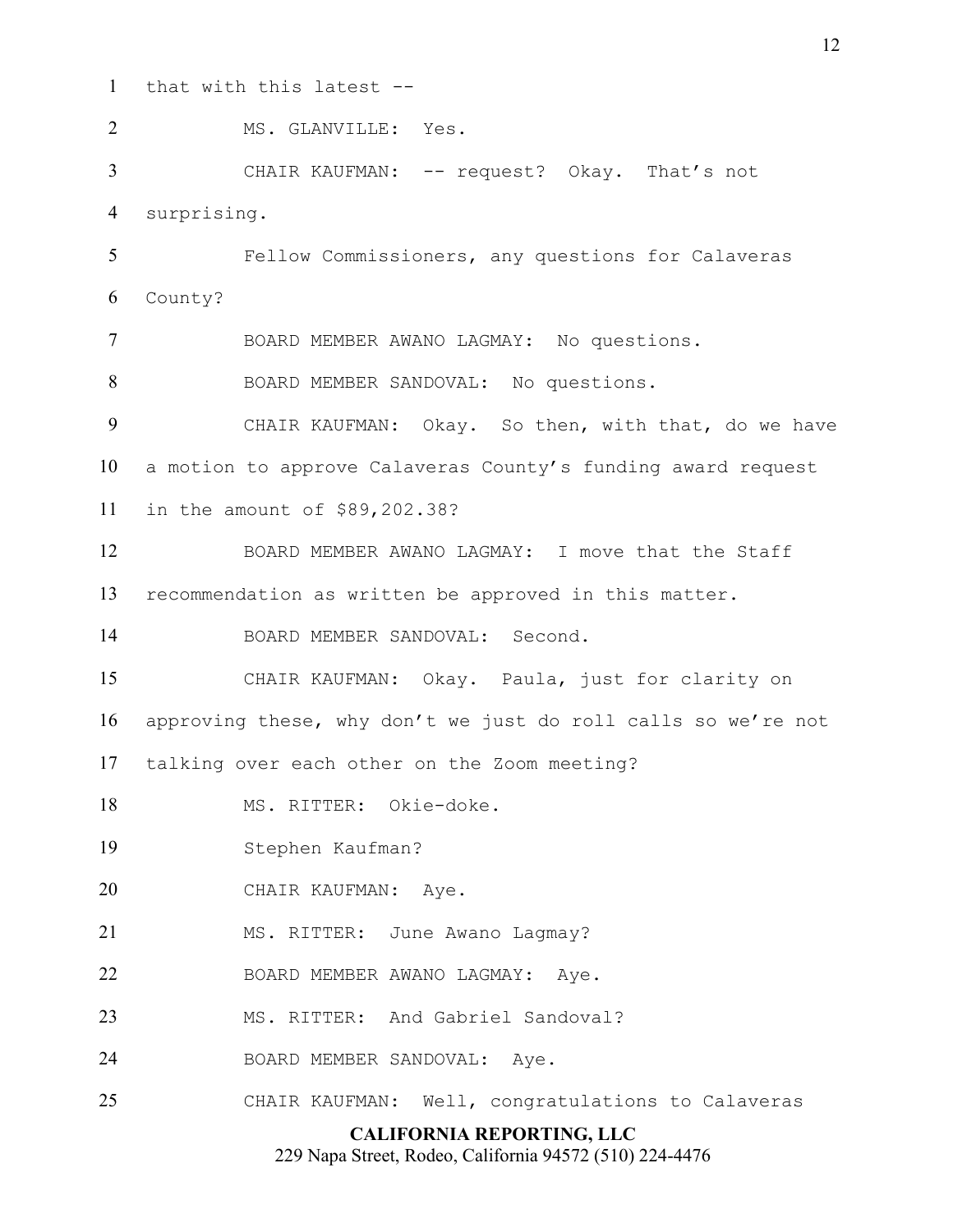that with this latest --

**CALIFORNIA REPORTING, LLC** 2 MS. GLANVILLE: Yes. CHAIR KAUFMAN: -- request? Okay. That's not surprising. Fellow Commissioners, any questions for Calaveras County? BOARD MEMBER AWANO LAGMAY: No questions. 8 BOARD MEMBER SANDOVAL: No questions. CHAIR KAUFMAN: Okay. So then, with that, do we have a motion to approve Calaveras County's funding award request in the amount of \$89,202.38? BOARD MEMBER AWANO LAGMAY: I move that the Staff recommendation as written be approved in this matter. BOARD MEMBER SANDOVAL: Second. CHAIR KAUFMAN: Okay. Paula, just for clarity on approving these, why don't we just do roll calls so we're not talking over each other on the Zoom meeting? MS. RITTER: Okie-doke. Stephen Kaufman? CHAIR KAUFMAN: Aye. 21 MS. RITTER: June Awano Lagmay? BOARD MEMBER AWANO LAGMAY: Aye. 23 MS. RITTER: And Gabriel Sandoval? BOARD MEMBER SANDOVAL: Aye. CHAIR KAUFMAN: Well, congratulations to Calaveras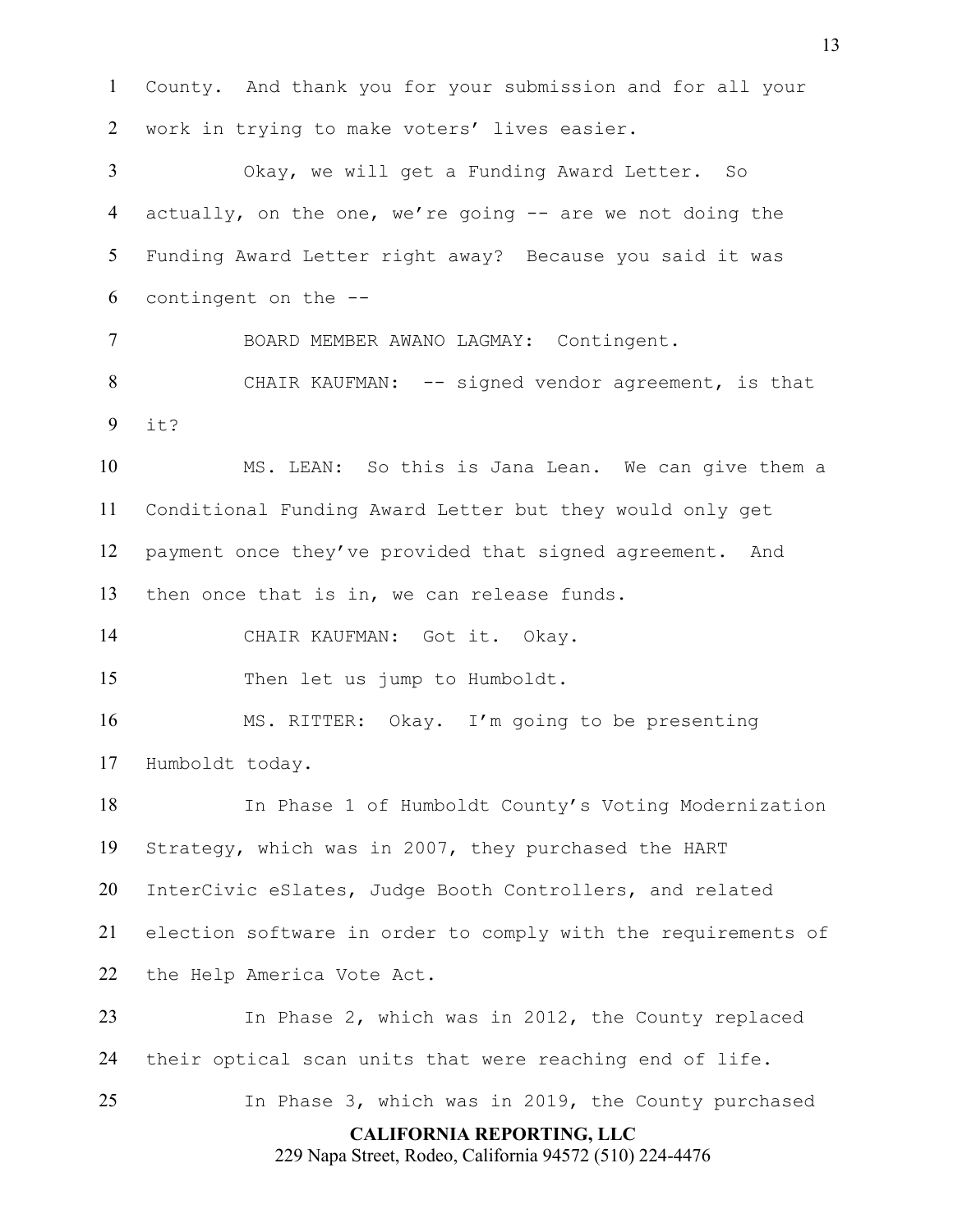County. And thank you for your submission and for all your work in trying to make voters' lives easier.

Okay, we will get a Funding Award Letter. So actually, on the one, we're going -- are we not doing the Funding Award Letter right away? Because you said it was contingent on the --

BOARD MEMBER AWANO LAGMAY: Contingent.

CHAIR KAUFMAN: -- signed vendor agreement, is that it?

MS. LEAN: So this is Jana Lean. We can give them a Conditional Funding Award Letter but they would only get payment once they've provided that signed agreement. And then once that is in, we can release funds.

CHAIR KAUFMAN: Got it. Okay.

Then let us jump to Humboldt.

MS. RITTER: Okay. I'm going to be presenting Humboldt today.

In Phase 1 of Humboldt County's Voting Modernization Strategy, which was in 2007, they purchased the HART InterCivic eSlates, Judge Booth Controllers, and related election software in order to comply with the requirements of the Help America Vote Act.

In Phase 2, which was in 2012, the County replaced their optical scan units that were reaching end of life.

In Phase 3, which was in 2019, the County purchased

**CALIFORNIA REPORTING, LLC**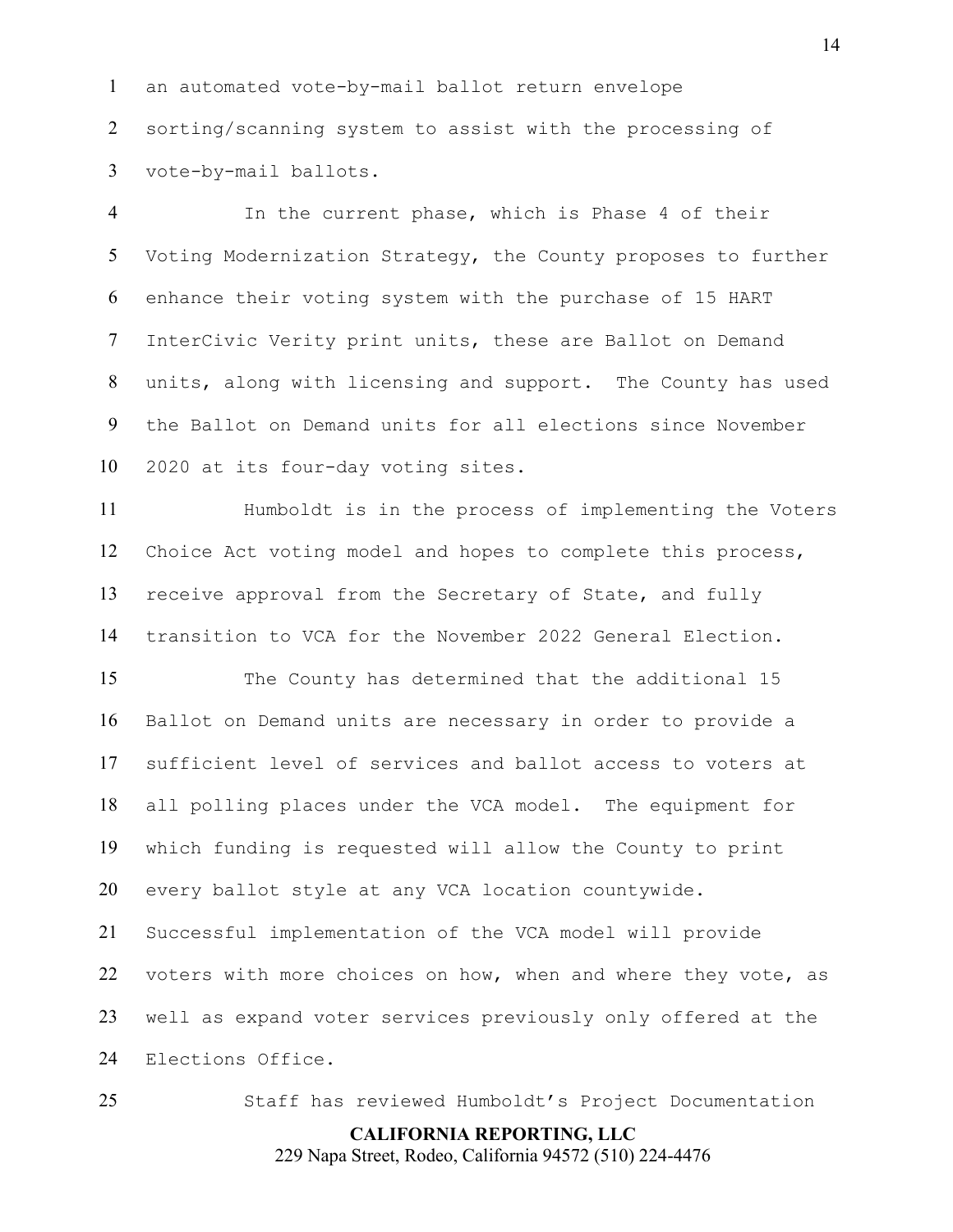an automated vote-by-mail ballot return envelope sorting/scanning system to assist with the processing of vote-by-mail ballots.

In the current phase, which is Phase 4 of their Voting Modernization Strategy, the County proposes to further enhance their voting system with the purchase of 15 HART InterCivic Verity print units, these are Ballot on Demand units, along with licensing and support. The County has used the Ballot on Demand units for all elections since November 2020 at its four-day voting sites.

Humboldt is in the process of implementing the Voters Choice Act voting model and hopes to complete this process, receive approval from the Secretary of State, and fully transition to VCA for the November 2022 General Election.

The County has determined that the additional 15 Ballot on Demand units are necessary in order to provide a sufficient level of services and ballot access to voters at all polling places under the VCA model. The equipment for which funding is requested will allow the County to print every ballot style at any VCA location countywide.

Successful implementation of the VCA model will provide voters with more choices on how, when and where they vote, as well as expand voter services previously only offered at the Elections Office.

Staff has reviewed Humboldt's Project Documentation

## **CALIFORNIA REPORTING, LLC**

229 Napa Street, Rodeo, California 94572 (510) 224-4476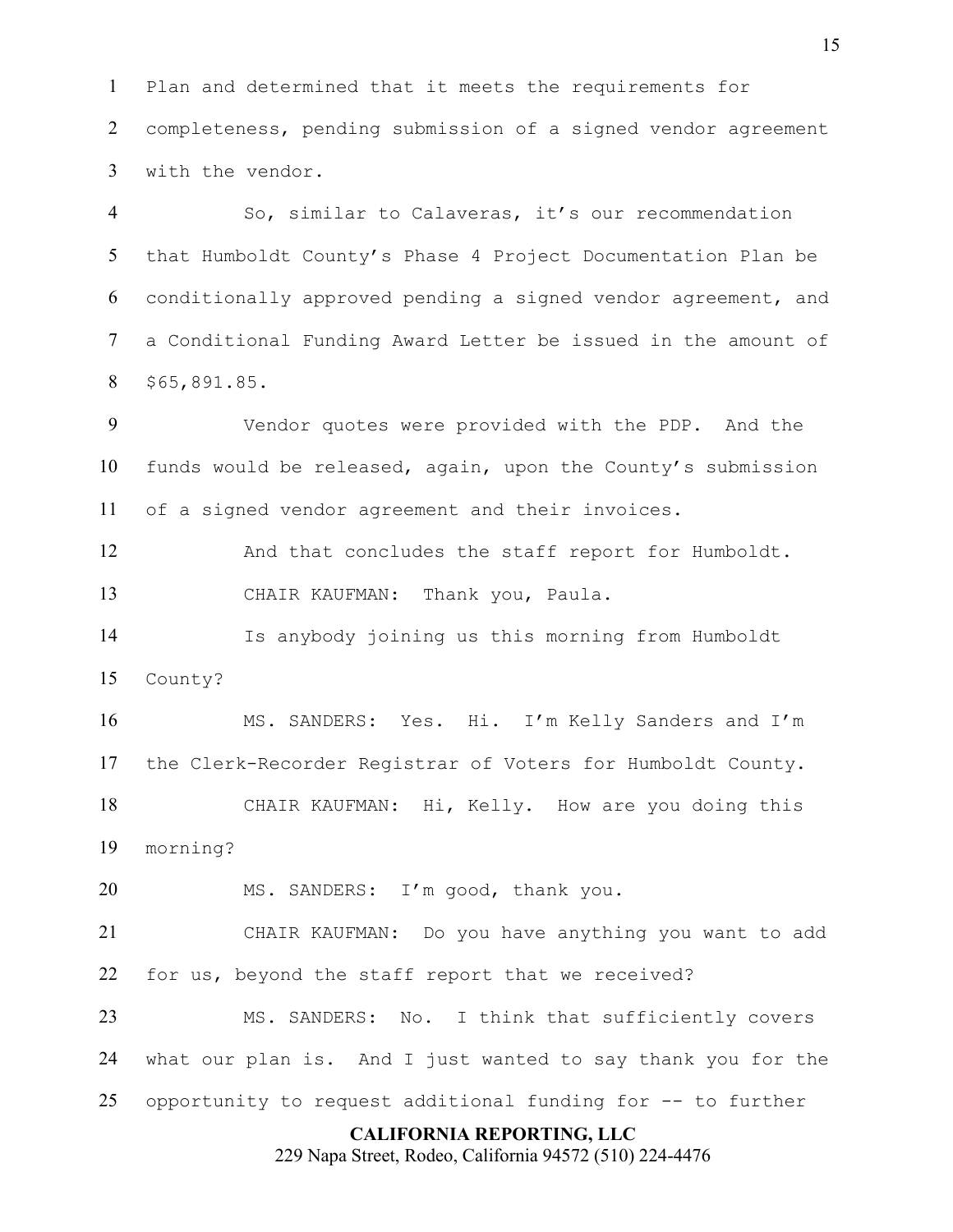Plan and determined that it meets the requirements for completeness, pending submission of a signed vendor agreement with the vendor.

So, similar to Calaveras, it's our recommendation that Humboldt County's Phase 4 Project Documentation Plan be conditionally approved pending a signed vendor agreement, and a Conditional Funding Award Letter be issued in the amount of \$65,891.85.

Vendor quotes were provided with the PDP. And the funds would be released, again, upon the County's submission of a signed vendor agreement and their invoices.

And that concludes the staff report for Humboldt. CHAIR KAUFMAN: Thank you, Paula.

Is anybody joining us this morning from Humboldt County?

MS. SANDERS: Yes. Hi. I'm Kelly Sanders and I'm the Clerk-Recorder Registrar of Voters for Humboldt County. CHAIR KAUFMAN: Hi, Kelly. How are you doing this morning?

20 MS. SANDERS: I'm good, thank you.

CHAIR KAUFMAN: Do you have anything you want to add for us, beyond the staff report that we received?

MS. SANDERS: No. I think that sufficiently covers what our plan is. And I just wanted to say thank you for the opportunity to request additional funding for -- to further

#### **CALIFORNIA REPORTING, LLC**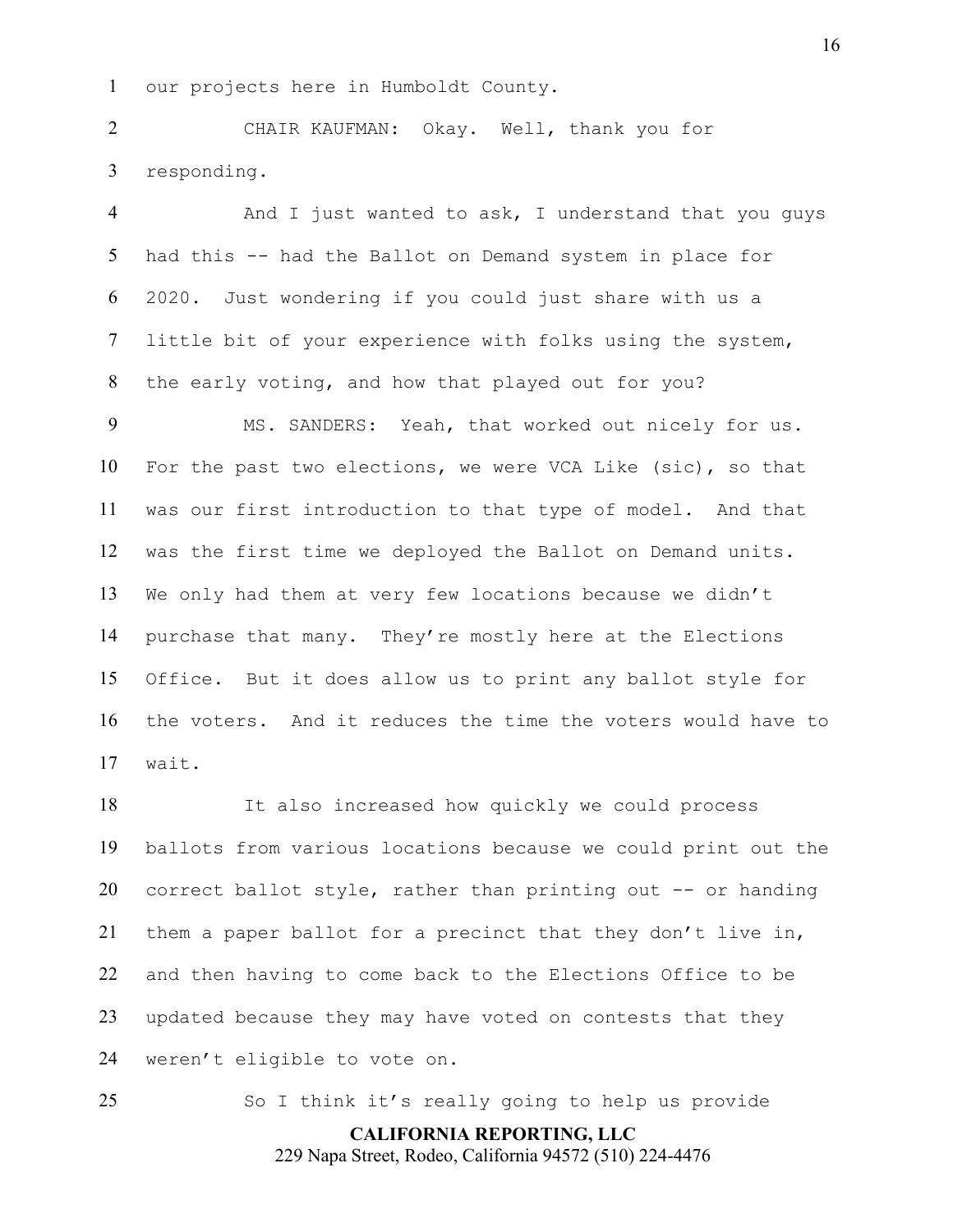our projects here in Humboldt County.

CHAIR KAUFMAN: Okay. Well, thank you for responding.

And I just wanted to ask, I understand that you guys had this -- had the Ballot on Demand system in place for 2020. Just wondering if you could just share with us a little bit of your experience with folks using the system, the early voting, and how that played out for you?

MS. SANDERS: Yeah, that worked out nicely for us. For the past two elections, we were VCA Like (sic), so that was our first introduction to that type of model. And that was the first time we deployed the Ballot on Demand units. We only had them at very few locations because we didn't purchase that many. They're mostly here at the Elections Office. But it does allow us to print any ballot style for the voters. And it reduces the time the voters would have to wait.

It also increased how quickly we could process ballots from various locations because we could print out the correct ballot style, rather than printing out -- or handing them a paper ballot for a precinct that they don't live in, and then having to come back to the Elections Office to be updated because they may have voted on contests that they weren't eligible to vote on.

So I think it's really going to help us provide

**CALIFORNIA REPORTING, LLC**

229 Napa Street, Rodeo, California 94572 (510) 224-4476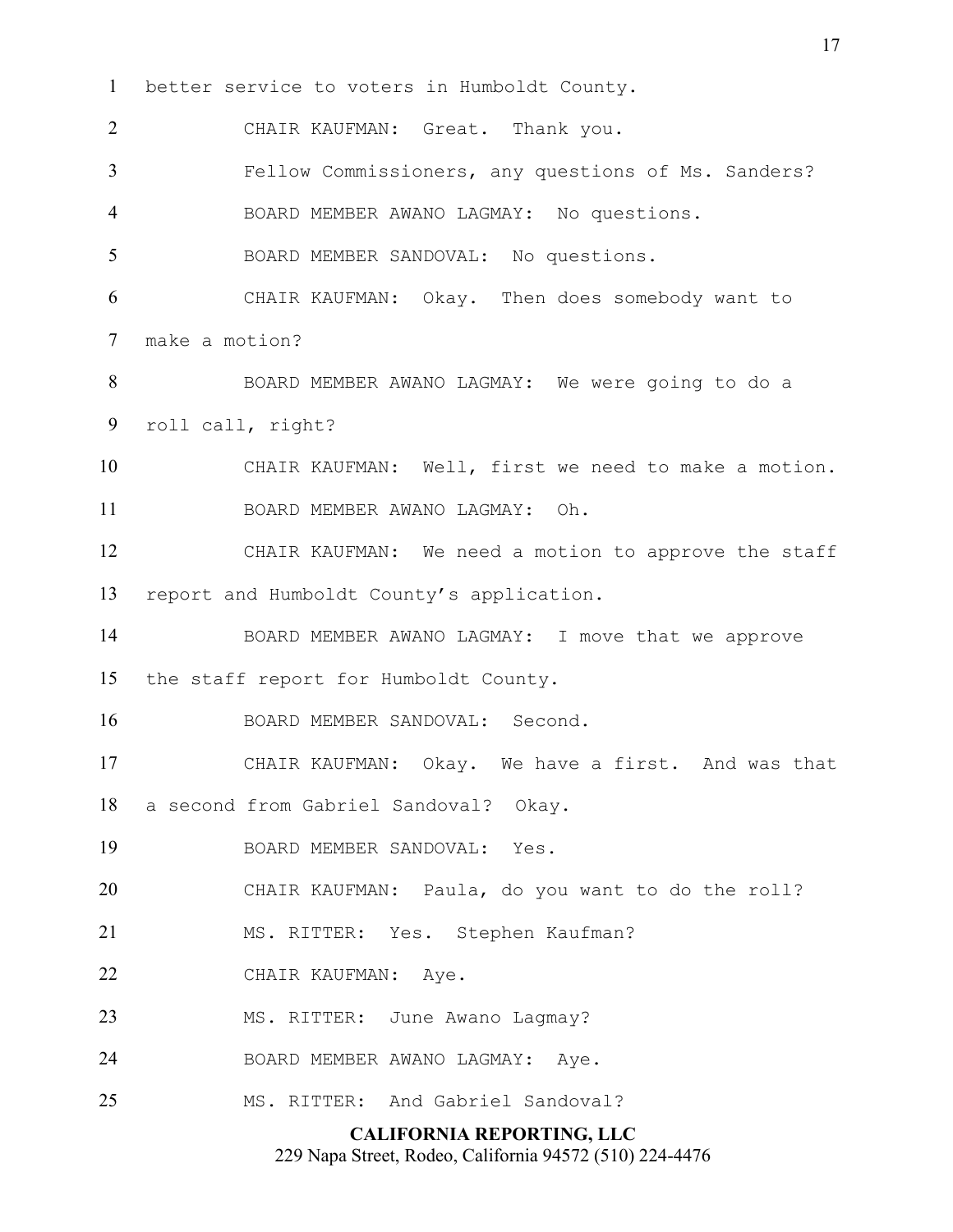**CALIFORNIA REPORTING, LLC** 229 Napa Street, Rodeo, California 94572 (510) 224-4476 better service to voters in Humboldt County. CHAIR KAUFMAN: Great. Thank you. Fellow Commissioners, any questions of Ms. Sanders? BOARD MEMBER AWANO LAGMAY: No questions. BOARD MEMBER SANDOVAL: No questions. CHAIR KAUFMAN: Okay. Then does somebody want to make a motion? BOARD MEMBER AWANO LAGMAY: We were going to do a roll call, right? CHAIR KAUFMAN: Well, first we need to make a motion. BOARD MEMBER AWANO LAGMAY: Oh. CHAIR KAUFMAN: We need a motion to approve the staff report and Humboldt County's application. BOARD MEMBER AWANO LAGMAY: I move that we approve the staff report for Humboldt County. BOARD MEMBER SANDOVAL: Second. CHAIR KAUFMAN: Okay. We have a first. And was that a second from Gabriel Sandoval? Okay. BOARD MEMBER SANDOVAL: Yes. CHAIR KAUFMAN: Paula, do you want to do the roll? MS. RITTER: Yes. Stephen Kaufman? CHAIR KAUFMAN: Aye. 23 MS. RITTER: June Awano Lagmay? BOARD MEMBER AWANO LAGMAY: Aye. MS. RITTER: And Gabriel Sandoval?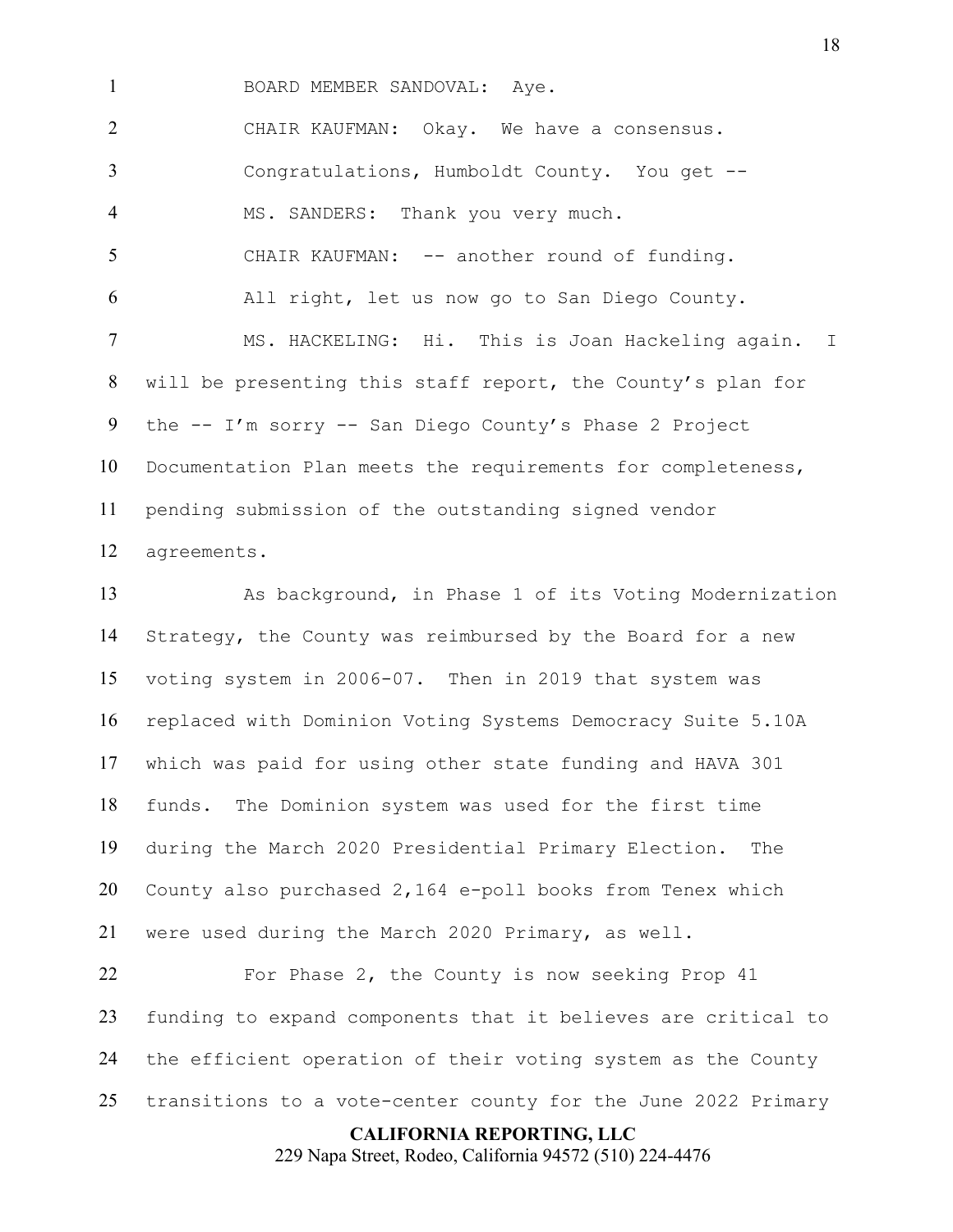BOARD MEMBER SANDOVAL: Aye.

CHAIR KAUFMAN: Okay. We have a consensus. Congratulations, Humboldt County. You get -- MS. SANDERS: Thank you very much. CHAIR KAUFMAN: -- another round of funding. All right, let us now go to San Diego County. MS. HACKELING: Hi. This is Joan Hackeling again. I

will be presenting this staff report, the County's plan for the -- I'm sorry -- San Diego County's Phase 2 Project Documentation Plan meets the requirements for completeness, pending submission of the outstanding signed vendor agreements.

As background, in Phase 1 of its Voting Modernization Strategy, the County was reimbursed by the Board for a new voting system in 2006-07. Then in 2019 that system was replaced with Dominion Voting Systems Democracy Suite 5.10A which was paid for using other state funding and HAVA 301 funds. The Dominion system was used for the first time during the March 2020 Presidential Primary Election. The County also purchased 2,164 e-poll books from Tenex which were used during the March 2020 Primary, as well.

22 For Phase 2, the County is now seeking Prop 41 funding to expand components that it believes are critical to the efficient operation of their voting system as the County transitions to a vote-center county for the June 2022 Primary

**CALIFORNIA REPORTING, LLC**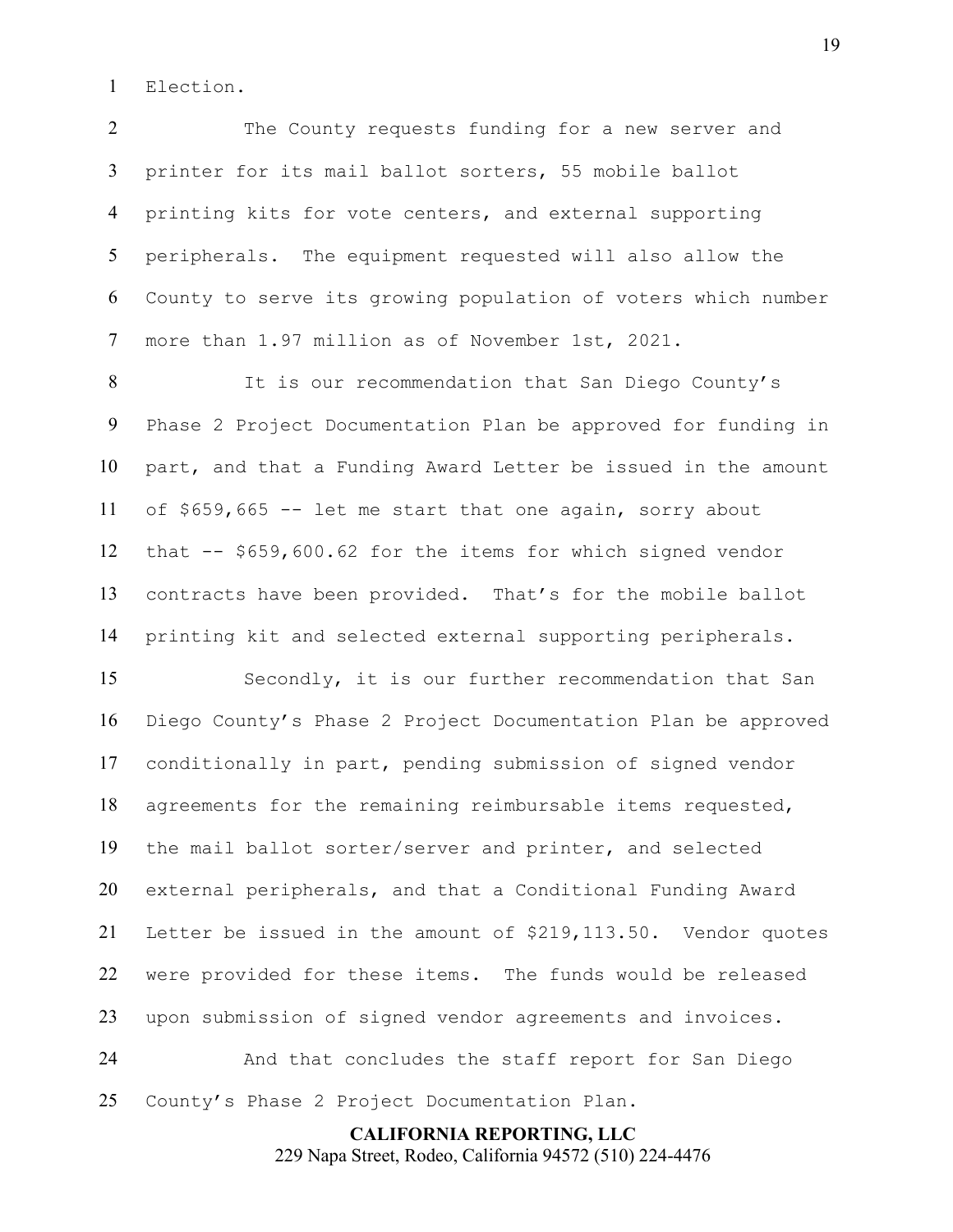Election.

The County requests funding for a new server and printer for its mail ballot sorters, 55 mobile ballot printing kits for vote centers, and external supporting peripherals. The equipment requested will also allow the County to serve its growing population of voters which number more than 1.97 million as of November 1st, 2021.

It is our recommendation that San Diego County's Phase 2 Project Documentation Plan be approved for funding in part, and that a Funding Award Letter be issued in the amount of \$659,665 -- let me start that one again, sorry about that -- \$659,600.62 for the items for which signed vendor contracts have been provided. That's for the mobile ballot printing kit and selected external supporting peripherals.

Secondly, it is our further recommendation that San Diego County's Phase 2 Project Documentation Plan be approved conditionally in part, pending submission of signed vendor agreements for the remaining reimbursable items requested, the mail ballot sorter/server and printer, and selected external peripherals, and that a Conditional Funding Award Letter be issued in the amount of \$219,113.50. Vendor quotes were provided for these items. The funds would be released upon submission of signed vendor agreements and invoices. And that concludes the staff report for San Diego

County's Phase 2 Project Documentation Plan.

**CALIFORNIA REPORTING, LLC** 229 Napa Street, Rodeo, California 94572 (510) 224-4476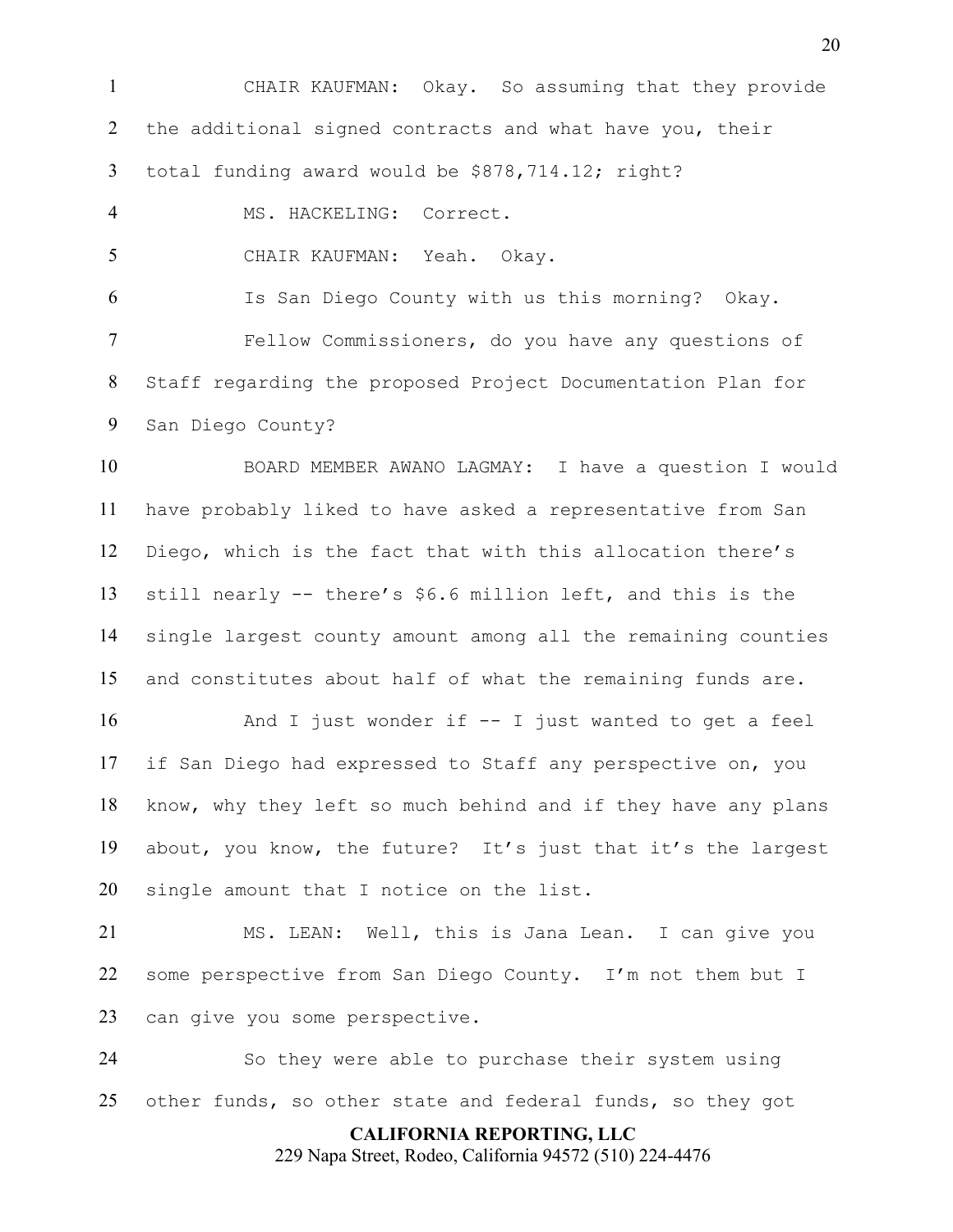**CALIFORNIA REPORTING, LLC** CHAIR KAUFMAN: Okay. So assuming that they provide 2 the additional signed contracts and what have you, their total funding award would be \$878,714.12; right? MS. HACKELING: Correct. CHAIR KAUFMAN: Yeah. Okay. Is San Diego County with us this morning? Okay. Fellow Commissioners, do you have any questions of Staff regarding the proposed Project Documentation Plan for San Diego County? BOARD MEMBER AWANO LAGMAY: I have a question I would have probably liked to have asked a representative from San Diego, which is the fact that with this allocation there's still nearly -- there's \$6.6 million left, and this is the single largest county amount among all the remaining counties and constitutes about half of what the remaining funds are. And I just wonder if -- I just wanted to get a feel if San Diego had expressed to Staff any perspective on, you know, why they left so much behind and if they have any plans about, you know, the future? It's just that it's the largest single amount that I notice on the list. MS. LEAN: Well, this is Jana Lean. I can give you some perspective from San Diego County. I'm not them but I can give you some perspective. So they were able to purchase their system using other funds, so other state and federal funds, so they got

229 Napa Street, Rodeo, California 94572 (510) 224-4476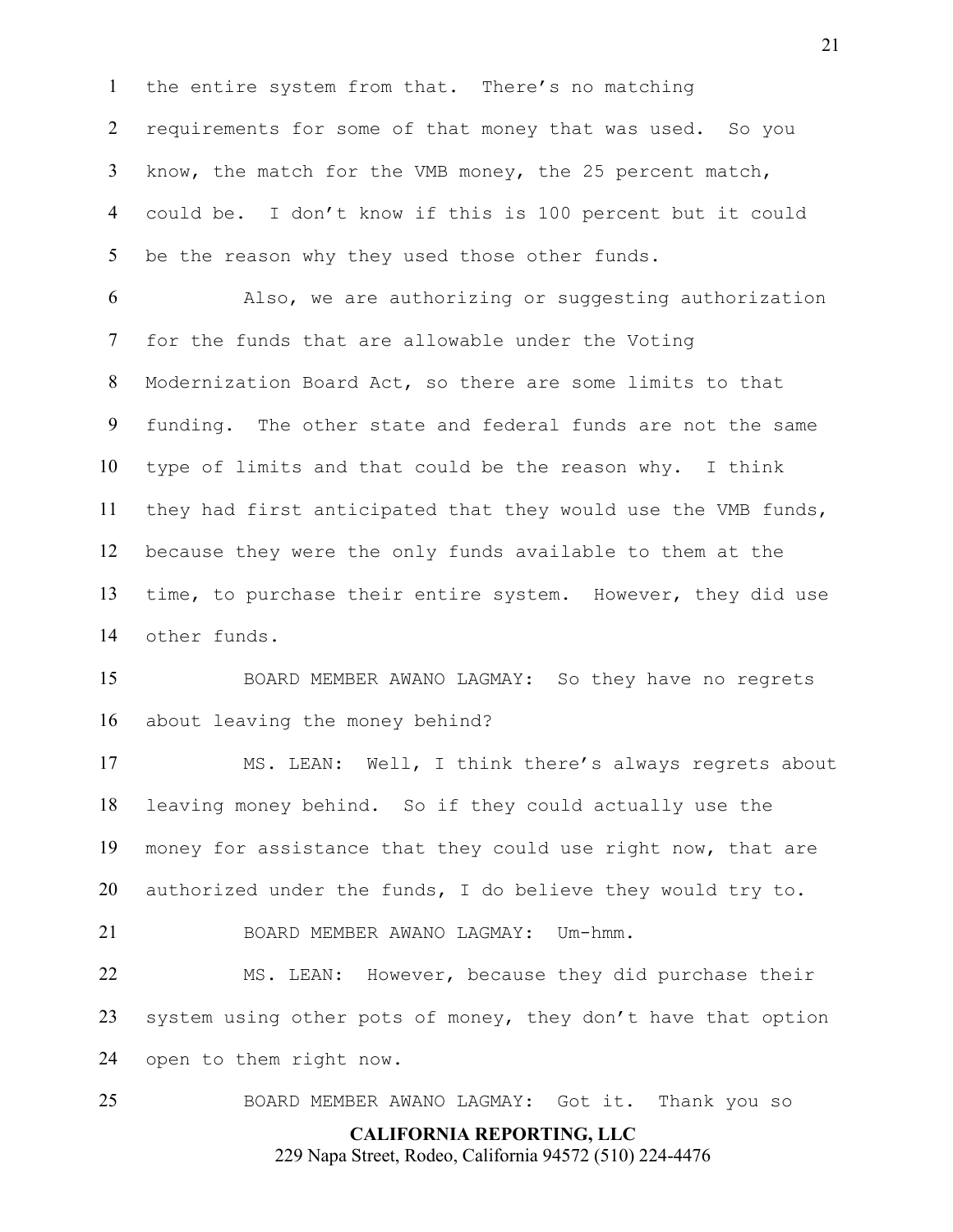the entire system from that. There's no matching requirements for some of that money that was used. So you know, the match for the VMB money, the 25 percent match, could be. I don't know if this is 100 percent but it could 5 be the reason why they used those other funds.

Also, we are authorizing or suggesting authorization for the funds that are allowable under the Voting Modernization Board Act, so there are some limits to that funding. The other state and federal funds are not the same type of limits and that could be the reason why. I think they had first anticipated that they would use the VMB funds, because they were the only funds available to them at the time, to purchase their entire system. However, they did use other funds.

BOARD MEMBER AWANO LAGMAY: So they have no regrets about leaving the money behind?

MS. LEAN: Well, I think there's always regrets about leaving money behind. So if they could actually use the money for assistance that they could use right now, that are authorized under the funds, I do believe they would try to.

BOARD MEMBER AWANO LAGMAY: Um-hmm.

MS. LEAN: However, because they did purchase their system using other pots of money, they don't have that option open to them right now.

BOARD MEMBER AWANO LAGMAY: Got it. Thank you so

**CALIFORNIA REPORTING, LLC** 229 Napa Street, Rodeo, California 94572 (510) 224-4476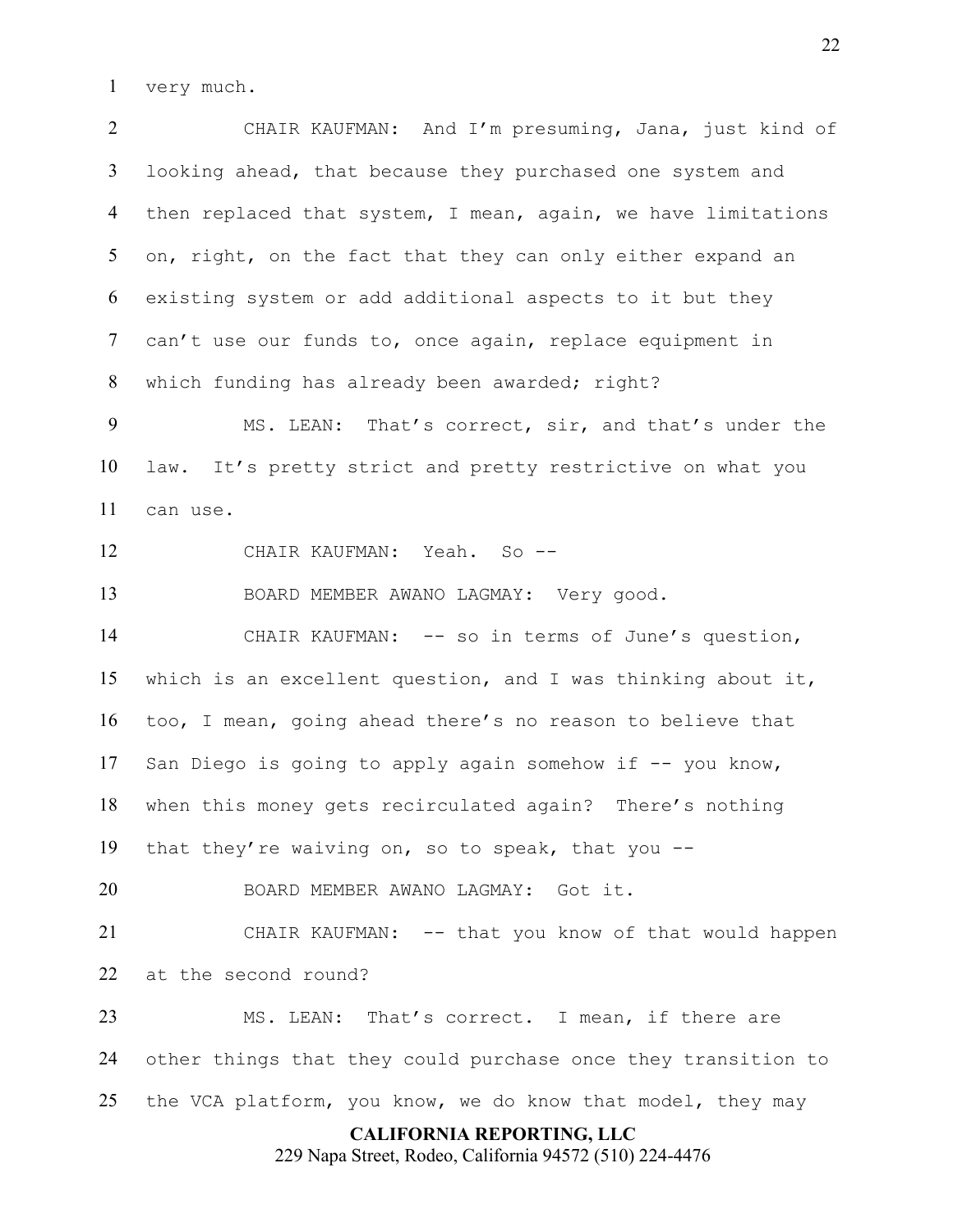very much.

CHAIR KAUFMAN: And I'm presuming, Jana, just kind of looking ahead, that because they purchased one system and then replaced that system, I mean, again, we have limitations 5 on, right, on the fact that they can only either expand an existing system or add additional aspects to it but they can't use our funds to, once again, replace equipment in which funding has already been awarded; right?

MS. LEAN: That's correct, sir, and that's under the law. It's pretty strict and pretty restrictive on what you can use.

12 CHAIR KAUFMAN: Yeah. So --

BOARD MEMBER AWANO LAGMAY: Very good.

CHAIR KAUFMAN: -- so in terms of June's question, which is an excellent question, and I was thinking about it, too, I mean, going ahead there's no reason to believe that 17 San Diego is going to apply again somehow if -- you know, when this money gets recirculated again? There's nothing that they're waiving on, so to speak, that you --

BOARD MEMBER AWANO LAGMAY: Got it.

CHAIR KAUFMAN: -- that you know of that would happen at the second round?

MS. LEAN: That's correct. I mean, if there are other things that they could purchase once they transition to the VCA platform, you know, we do know that model, they may

### **CALIFORNIA REPORTING, LLC**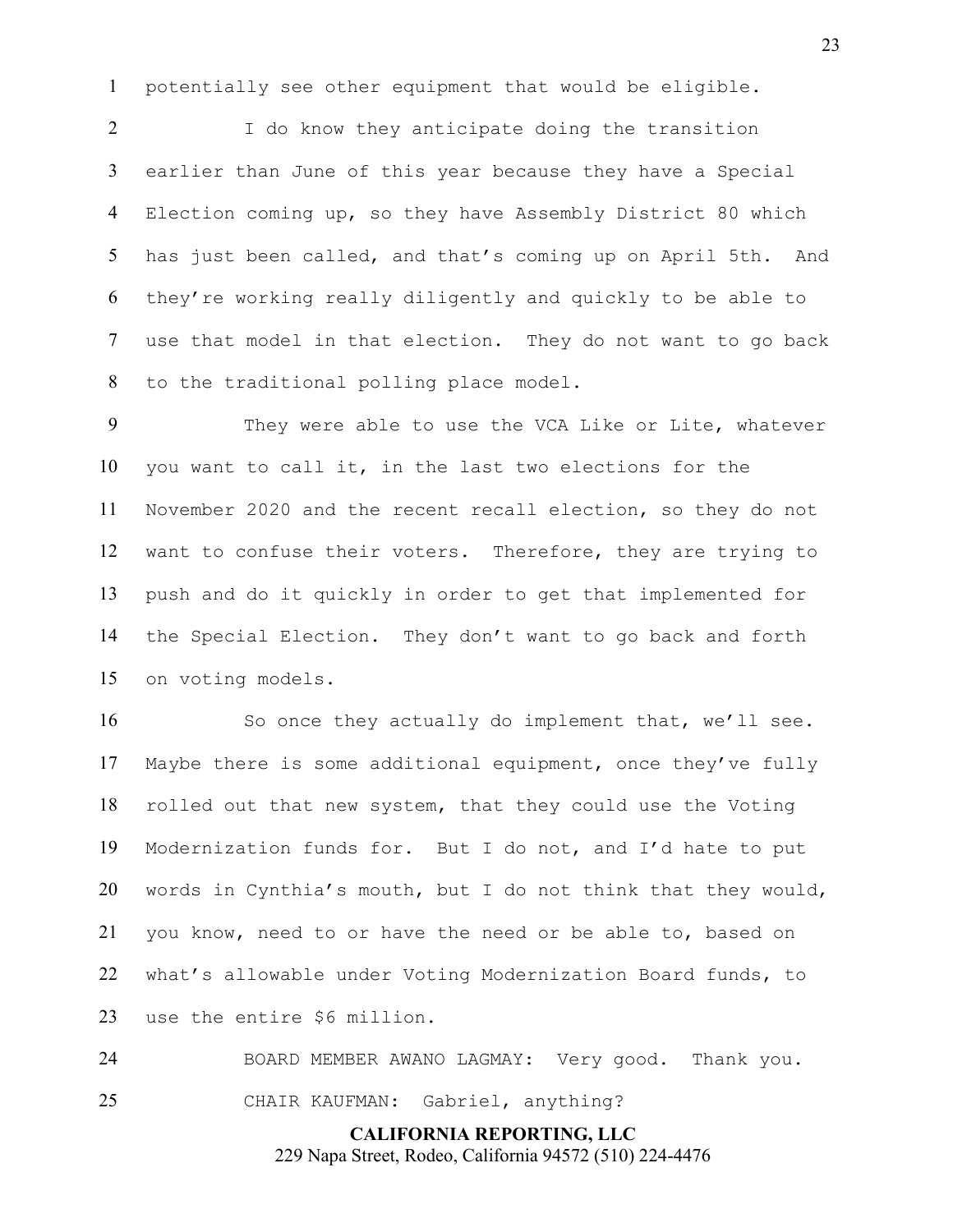potentially see other equipment that would be eligible.

I do know they anticipate doing the transition earlier than June of this year because they have a Special Election coming up, so they have Assembly District 80 which has just been called, and that's coming up on April 5th. And they're working really diligently and quickly to be able to use that model in that election. They do not want to go back to the traditional polling place model.

9 They were able to use the VCA Like or Lite, whatever you want to call it, in the last two elections for the November 2020 and the recent recall election, so they do not want to confuse their voters. Therefore, they are trying to push and do it quickly in order to get that implemented for the Special Election. They don't want to go back and forth on voting models.

So once they actually do implement that, we'll see. Maybe there is some additional equipment, once they've fully rolled out that new system, that they could use the Voting Modernization funds for. But I do not, and I'd hate to put words in Cynthia's mouth, but I do not think that they would, you know, need to or have the need or be able to, based on what's allowable under Voting Modernization Board funds, to use the entire \$6 million.

BOARD MEMBER AWANO LAGMAY: Very good. Thank you. CHAIR KAUFMAN: Gabriel, anything?

**CALIFORNIA REPORTING, LLC**

229 Napa Street, Rodeo, California 94572 (510) 224-4476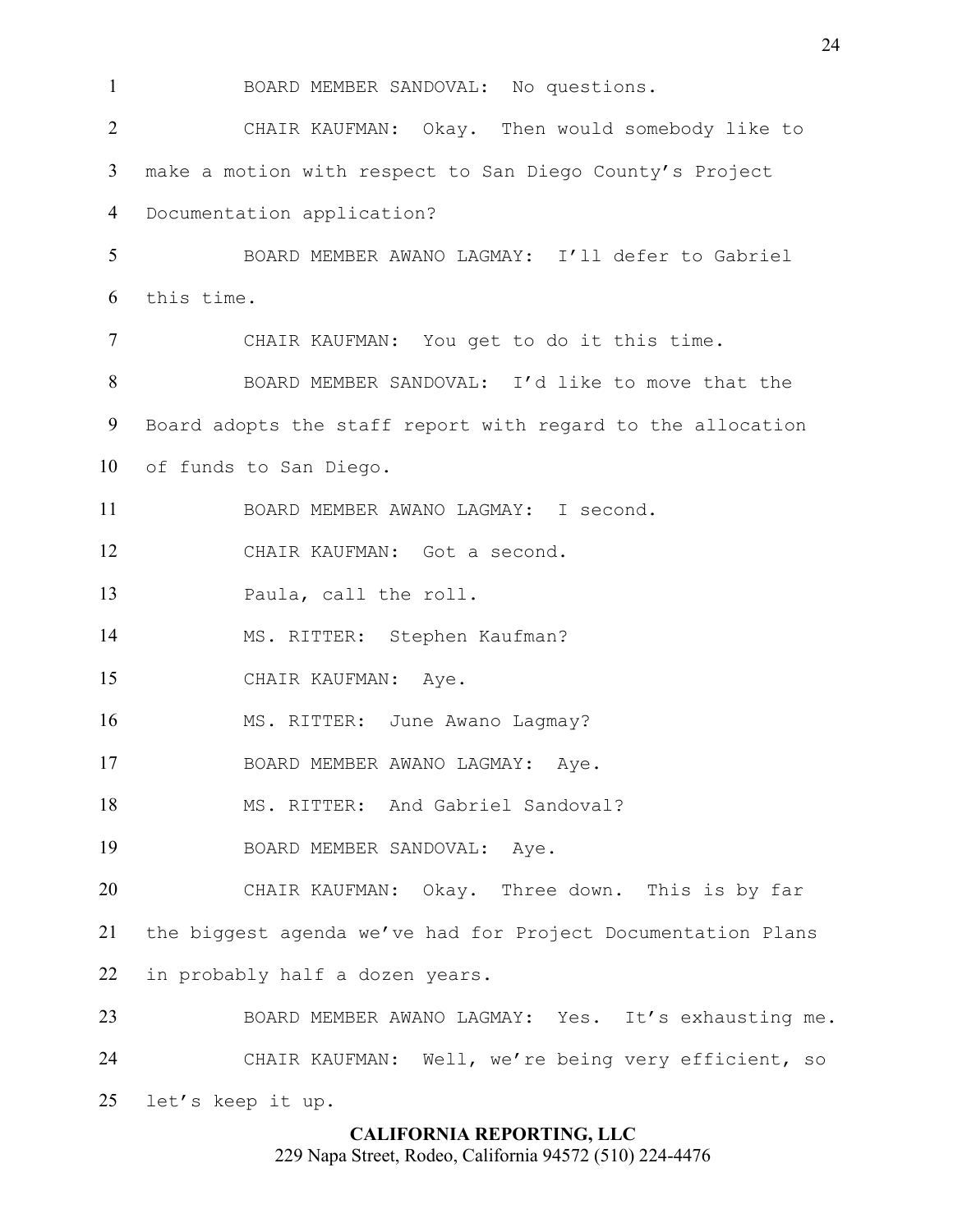BOARD MEMBER SANDOVAL: No questions. CHAIR KAUFMAN: Okay. Then would somebody like to make a motion with respect to San Diego County's Project Documentation application? BOARD MEMBER AWANO LAGMAY: I'll defer to Gabriel this time. CHAIR KAUFMAN: You get to do it this time. BOARD MEMBER SANDOVAL: I'd like to move that the Board adopts the staff report with regard to the allocation of funds to San Diego. BOARD MEMBER AWANO LAGMAY: I second. CHAIR KAUFMAN: Got a second. Paula, call the roll. MS. RITTER: Stephen Kaufman? CHAIR KAUFMAN: Aye. 16 MS. RITTER: June Awano Lagmay? BOARD MEMBER AWANO LAGMAY: Aye. 18 MS. RITTER: And Gabriel Sandoval? BOARD MEMBER SANDOVAL: Aye. CHAIR KAUFMAN: Okay. Three down. This is by far the biggest agenda we've had for Project Documentation Plans in probably half a dozen years. BOARD MEMBER AWANO LAGMAY: Yes. It's exhausting me. CHAIR KAUFMAN: Well, we're being very efficient, so let's keep it up.

## **CALIFORNIA REPORTING, LLC**

229 Napa Street, Rodeo, California 94572 (510) 224-4476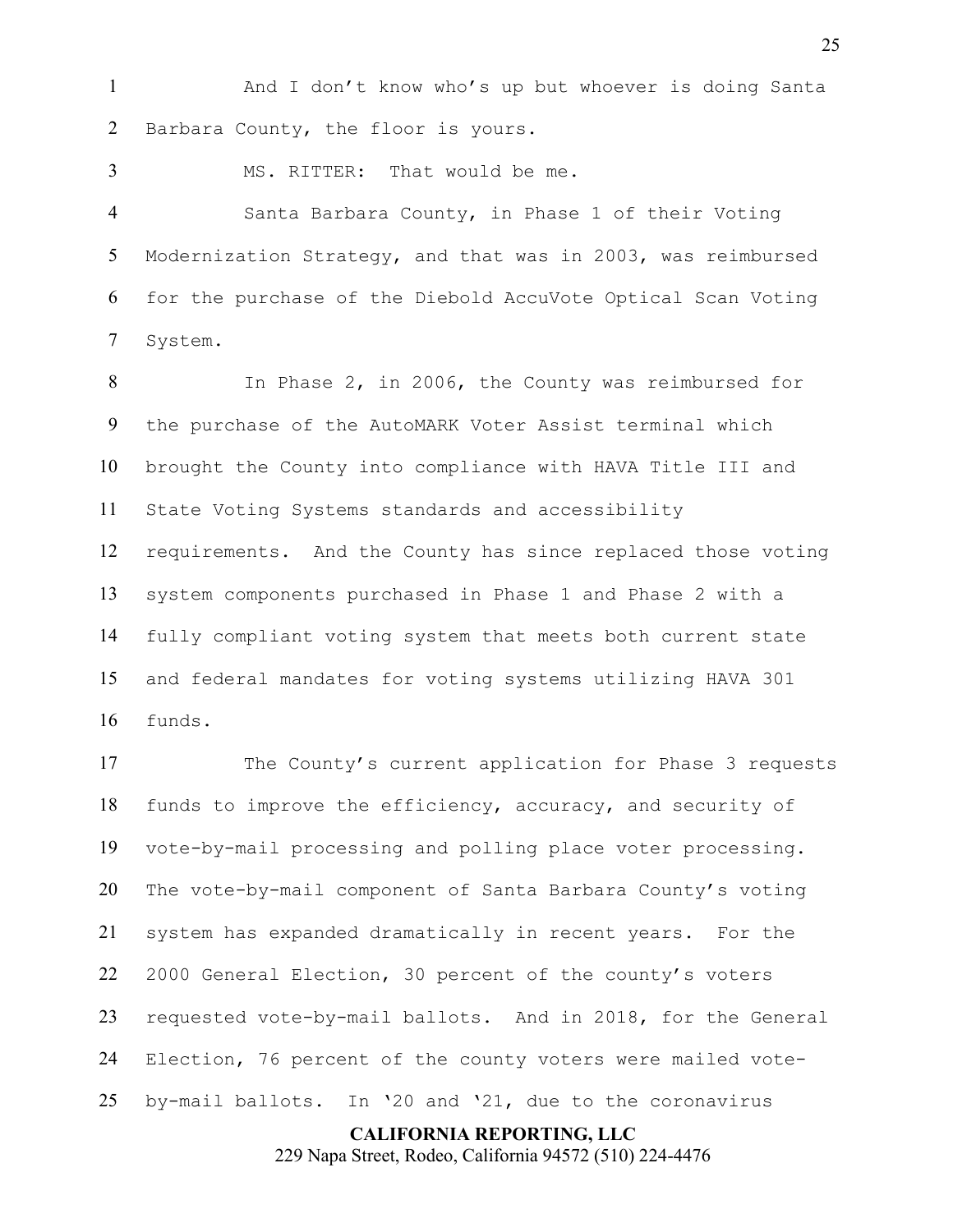1 And I don't know who's up but whoever is doing Santa Barbara County, the floor is yours.

MS. RITTER: That would be me.

Santa Barbara County, in Phase 1 of their Voting Modernization Strategy, and that was in 2003, was reimbursed for the purchase of the Diebold AccuVote Optical Scan Voting System.

In Phase 2, in 2006, the County was reimbursed for the purchase of the AutoMARK Voter Assist terminal which brought the County into compliance with HAVA Title III and State Voting Systems standards and accessibility requirements. And the County has since replaced those voting system components purchased in Phase 1 and Phase 2 with a fully compliant voting system that meets both current state and federal mandates for voting systems utilizing HAVA 301 funds.

The County's current application for Phase 3 requests funds to improve the efficiency, accuracy, and security of vote-by-mail processing and polling place voter processing. The vote-by-mail component of Santa Barbara County's voting system has expanded dramatically in recent years. For the 2000 General Election, 30 percent of the county's voters requested vote-by-mail ballots. And in 2018, for the General Election, 76 percent of the county voters were mailed vote-by-mail ballots. In '20 and '21, due to the coronavirus

**CALIFORNIA REPORTING, LLC**

229 Napa Street, Rodeo, California 94572 (510) 224-4476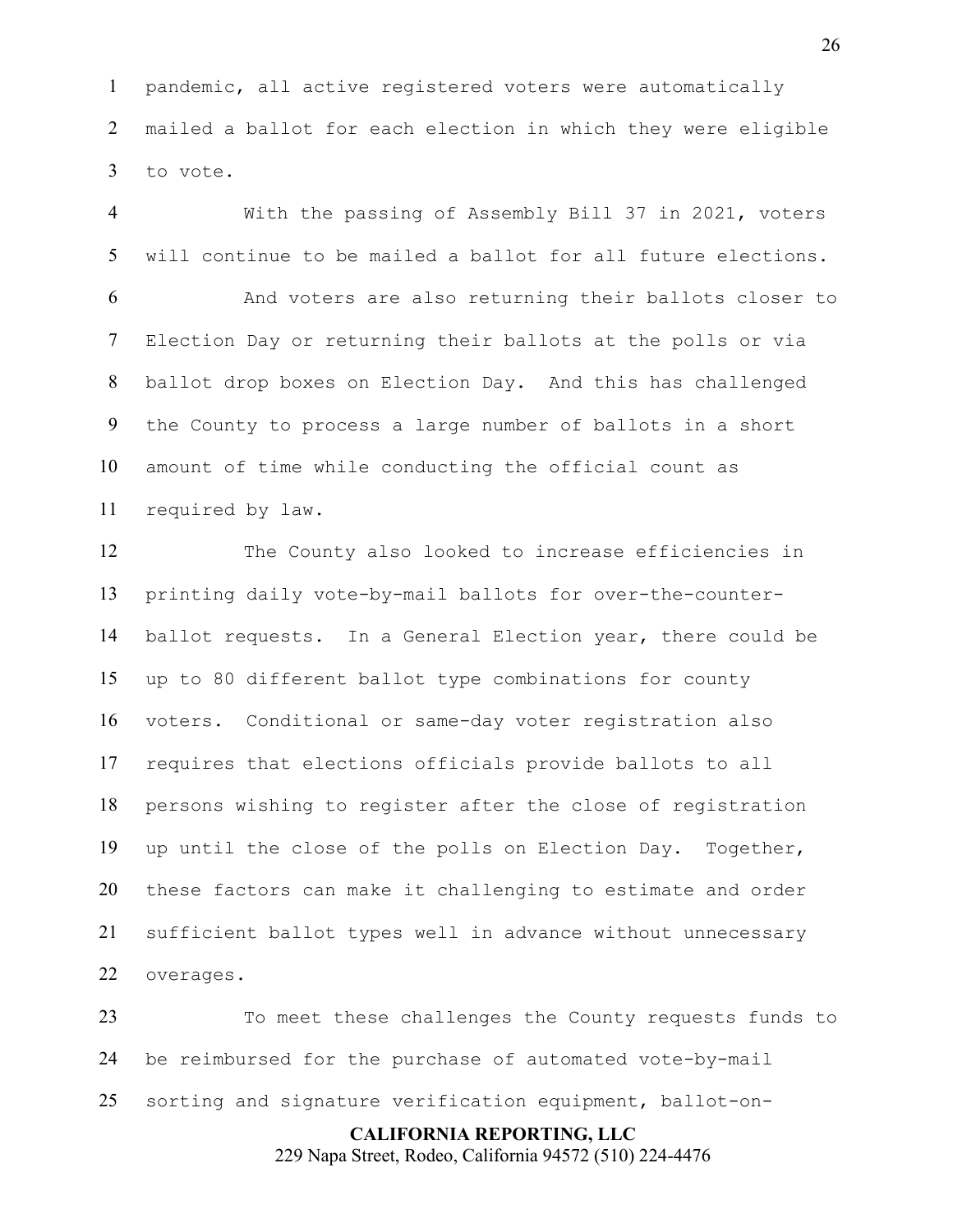pandemic, all active registered voters were automatically mailed a ballot for each election in which they were eligible to vote.

With the passing of Assembly Bill 37 in 2021, voters will continue to be mailed a ballot for all future elections.

And voters are also returning their ballots closer to Election Day or returning their ballots at the polls or via ballot drop boxes on Election Day. And this has challenged the County to process a large number of ballots in a short amount of time while conducting the official count as required by law.

The County also looked to increase efficiencies in printing daily vote-by-mail ballots for over-the-counter-ballot requests. In a General Election year, there could be up to 80 different ballot type combinations for county voters. Conditional or same-day voter registration also requires that elections officials provide ballots to all persons wishing to register after the close of registration up until the close of the polls on Election Day. Together, these factors can make it challenging to estimate and order sufficient ballot types well in advance without unnecessary overages.

To meet these challenges the County requests funds to be reimbursed for the purchase of automated vote-by-mail sorting and signature verification equipment, ballot-on-

> **CALIFORNIA REPORTING, LLC** 229 Napa Street, Rodeo, California 94572 (510) 224-4476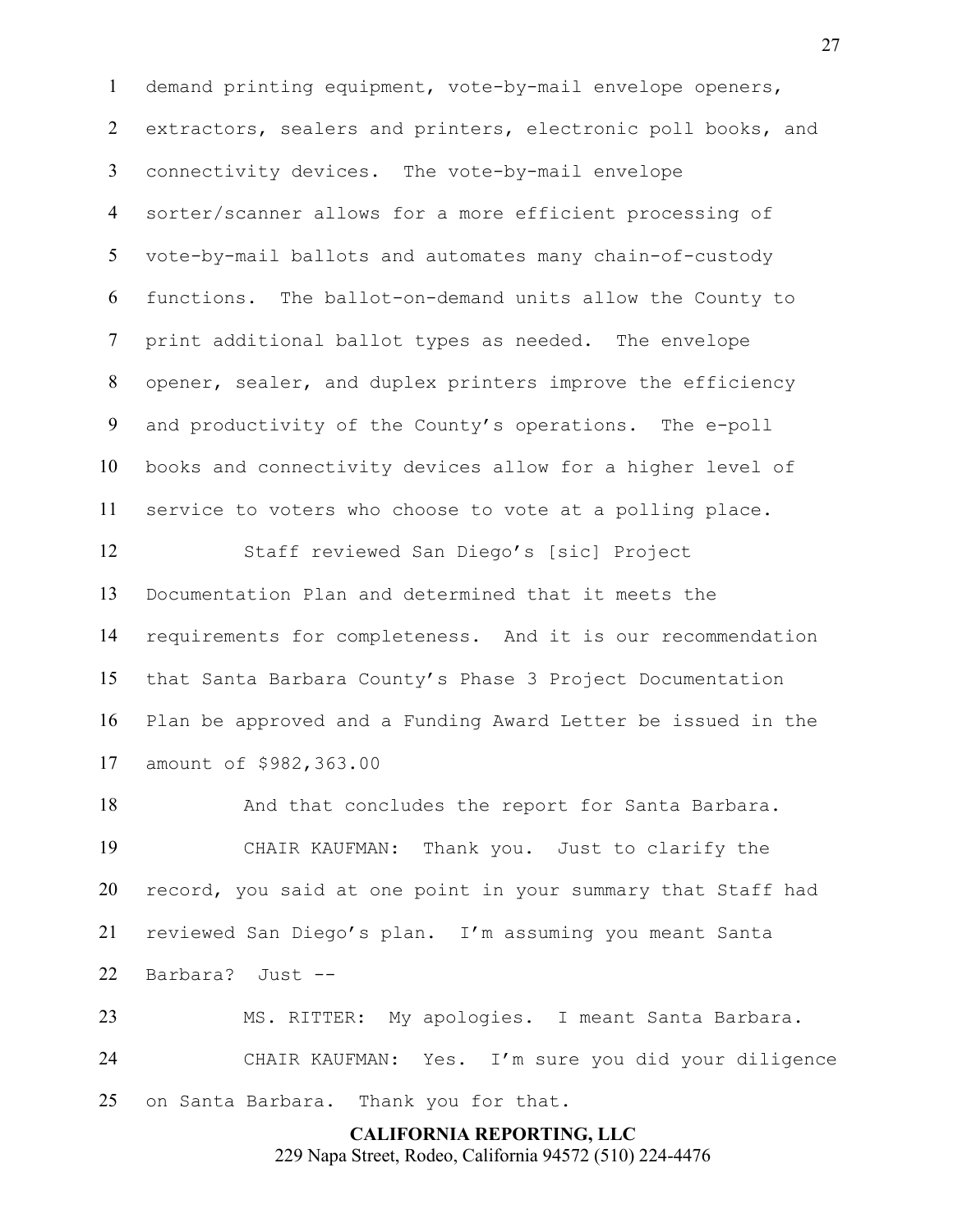demand printing equipment, vote-by-mail envelope openers, 2 extractors, sealers and printers, electronic poll books, and connectivity devices. The vote-by-mail envelope sorter/scanner allows for a more efficient processing of vote-by-mail ballots and automates many chain-of-custody functions. The ballot-on-demand units allow the County to print additional ballot types as needed. The envelope opener, sealer, and duplex printers improve the efficiency and productivity of the County's operations. The e-poll books and connectivity devices allow for a higher level of service to voters who choose to vote at a polling place.

Staff reviewed San Diego's [sic] Project Documentation Plan and determined that it meets the requirements for completeness. And it is our recommendation that Santa Barbara County's Phase 3 Project Documentation Plan be approved and a Funding Award Letter be issued in the amount of \$982,363.00

18 And that concludes the report for Santa Barbara. CHAIR KAUFMAN: Thank you. Just to clarify the record, you said at one point in your summary that Staff had reviewed San Diego's plan. I'm assuming you meant Santa Barbara? Just --

MS. RITTER: My apologies. I meant Santa Barbara. CHAIR KAUFMAN: Yes. I'm sure you did your diligence on Santa Barbara. Thank you for that.

#### **CALIFORNIA REPORTING, LLC**

229 Napa Street, Rodeo, California 94572 (510) 224-4476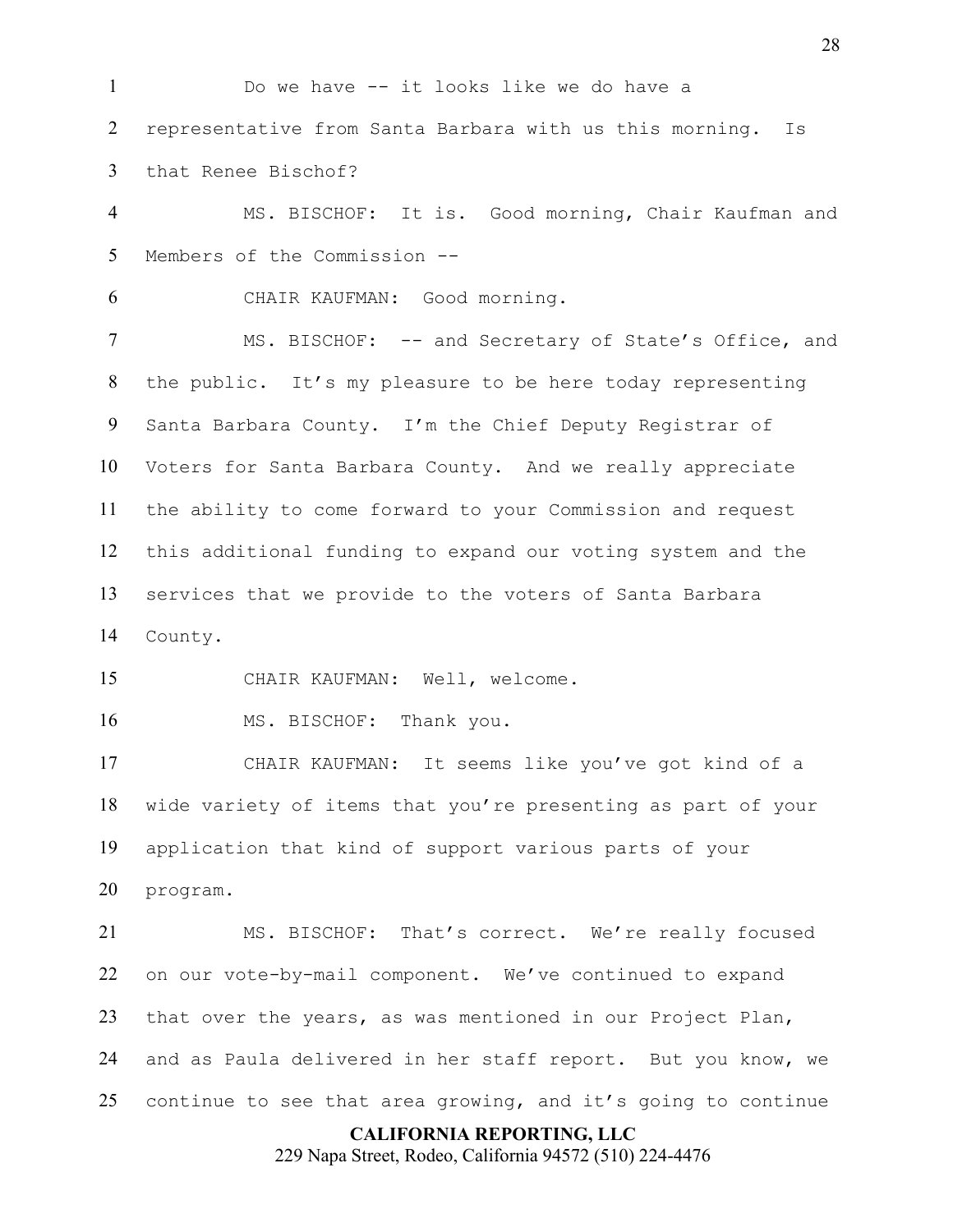Do we have -- it looks like we do have a representative from Santa Barbara with us this morning. Is that Renee Bischof? MS. BISCHOF: It is. Good morning, Chair Kaufman and Members of the Commission -- CHAIR KAUFMAN: Good morning. 7 MS. BISCHOF: -- and Secretary of State's Office, and the public. It's my pleasure to be here today representing Santa Barbara County. I'm the Chief Deputy Registrar of Voters for Santa Barbara County. And we really appreciate the ability to come forward to your Commission and request this additional funding to expand our voting system and the services that we provide to the voters of Santa Barbara County. CHAIR KAUFMAN: Well, welcome. 16 MS. BISCHOF: Thank you. CHAIR KAUFMAN: It seems like you've got kind of a wide variety of items that you're presenting as part of your application that kind of support various parts of your program. MS. BISCHOF: That's correct. We're really focused on our vote-by-mail component. We've continued to expand that over the years, as was mentioned in our Project Plan, and as Paula delivered in her staff report. But you know, we continue to see that area growing, and it's going to continue

#### **CALIFORNIA REPORTING, LLC**

229 Napa Street, Rodeo, California 94572 (510) 224-4476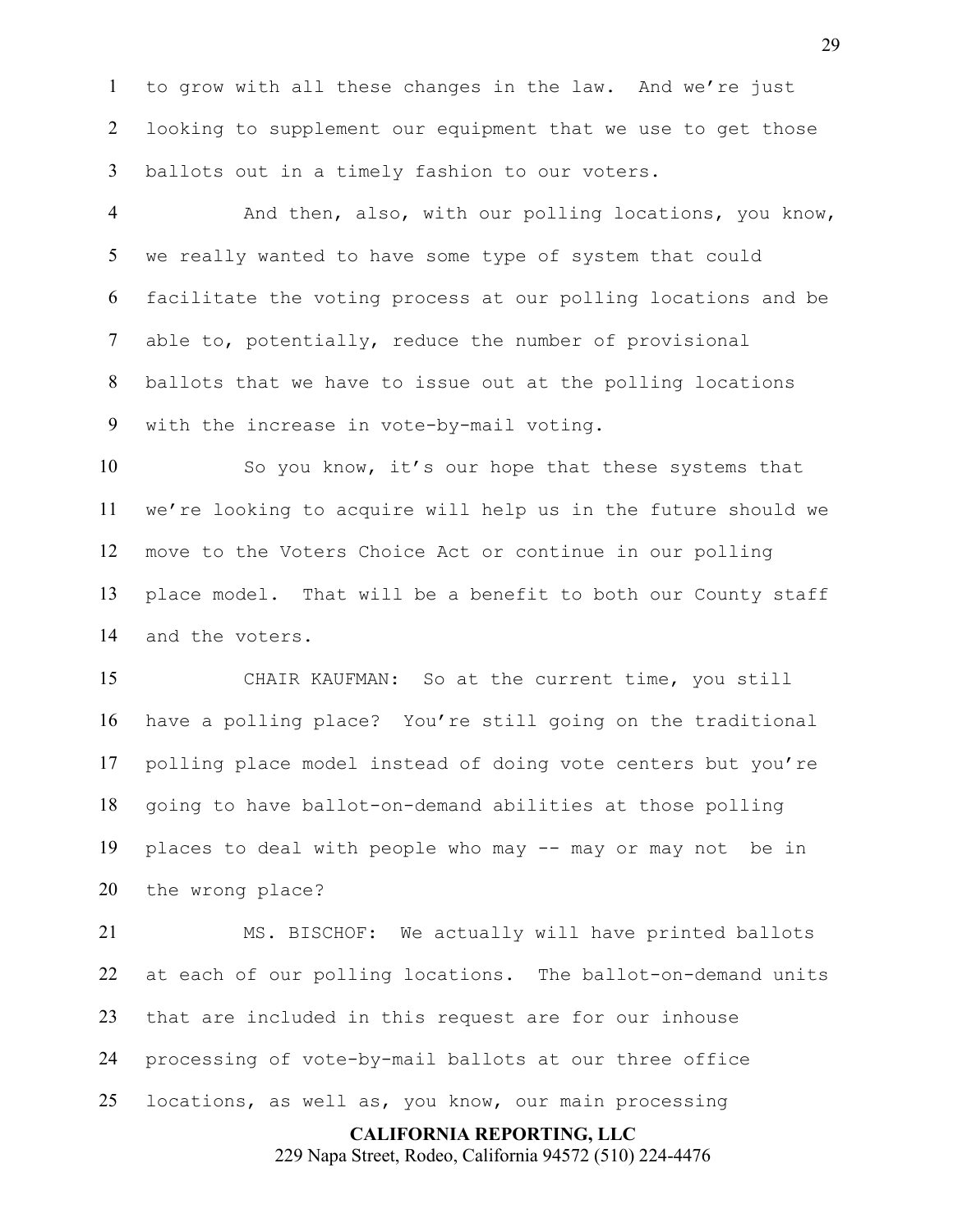to grow with all these changes in the law. And we're just looking to supplement our equipment that we use to get those ballots out in a timely fashion to our voters.

And then, also, with our polling locations, you know, we really wanted to have some type of system that could facilitate the voting process at our polling locations and be able to, potentially, reduce the number of provisional ballots that we have to issue out at the polling locations with the increase in vote-by-mail voting.

So you know, it's our hope that these systems that we're looking to acquire will help us in the future should we move to the Voters Choice Act or continue in our polling place model. That will be a benefit to both our County staff and the voters.

CHAIR KAUFMAN: So at the current time, you still have a polling place? You're still going on the traditional polling place model instead of doing vote centers but you're going to have ballot-on-demand abilities at those polling places to deal with people who may -- may or may not be in the wrong place?

MS. BISCHOF: We actually will have printed ballots at each of our polling locations. The ballot-on-demand units that are included in this request are for our inhouse processing of vote-by-mail ballots at our three office locations, as well as, you know, our main processing

> **CALIFORNIA REPORTING, LLC** 229 Napa Street, Rodeo, California 94572 (510) 224-4476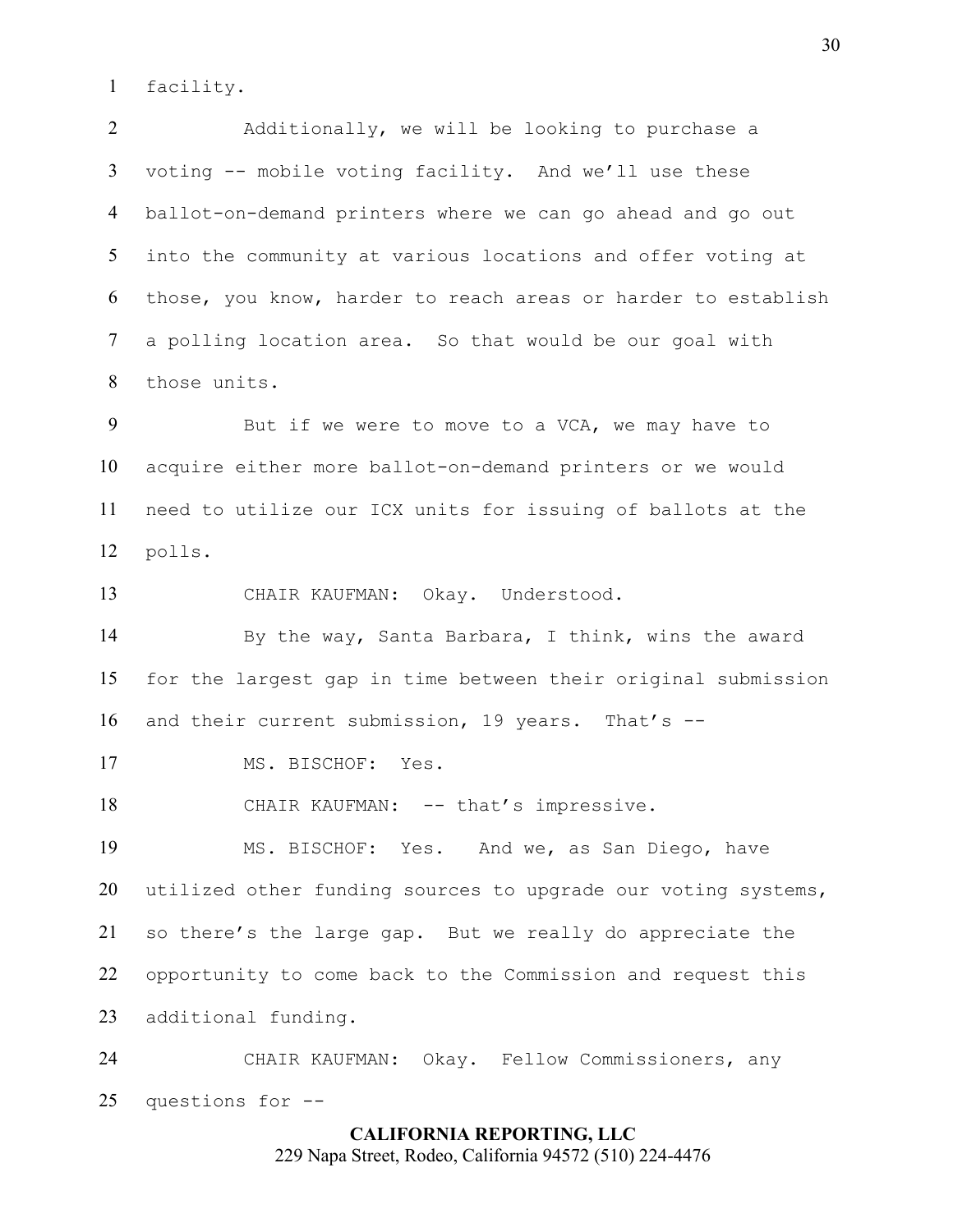facility.

Additionally, we will be looking to purchase a voting -- mobile voting facility. And we'll use these ballot-on-demand printers where we can go ahead and go out into the community at various locations and offer voting at those, you know, harder to reach areas or harder to establish a polling location area. So that would be our goal with those units.

9 But if we were to move to a VCA, we may have to acquire either more ballot-on-demand printers or we would need to utilize our ICX units for issuing of ballots at the polls.

CHAIR KAUFMAN: Okay. Understood.

By the way, Santa Barbara, I think, wins the award for the largest gap in time between their original submission and their current submission, 19 years. That's --

17 MS. BISCHOF: Yes.

18 CHAIR KAUFMAN: -- that's impressive.

MS. BISCHOF: Yes. And we, as San Diego, have utilized other funding sources to upgrade our voting systems, so there's the large gap. But we really do appreciate the opportunity to come back to the Commission and request this additional funding.

CHAIR KAUFMAN: Okay. Fellow Commissioners, any questions for --

## **CALIFORNIA REPORTING, LLC** 229 Napa Street, Rodeo, California 94572 (510) 224-4476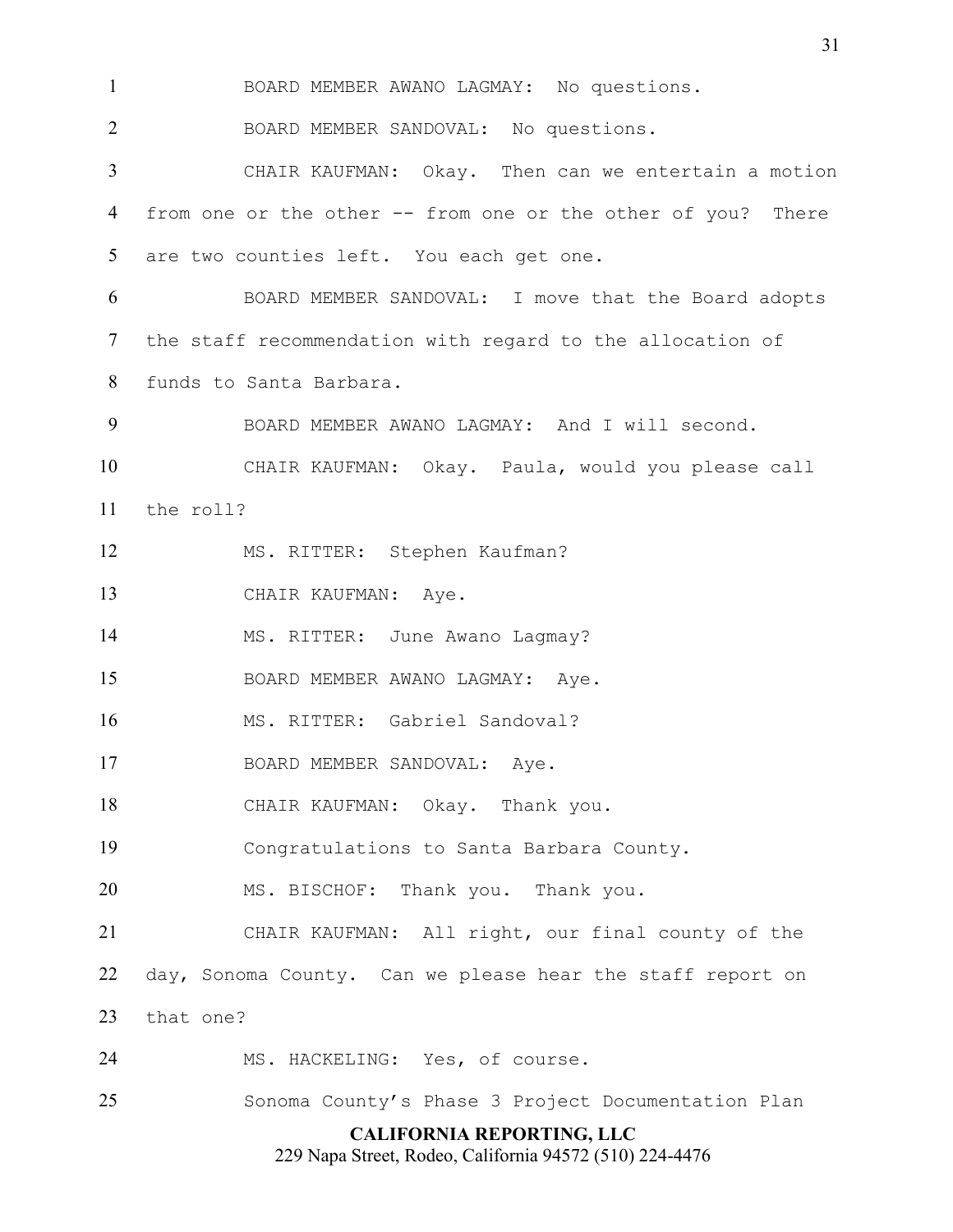**CALIFORNIA REPORTING, LLC** BOARD MEMBER AWANO LAGMAY: No questions. BOARD MEMBER SANDOVAL: No questions. CHAIR KAUFMAN: Okay. Then can we entertain a motion from one or the other -- from one or the other of you? There are two counties left. You each get one. BOARD MEMBER SANDOVAL: I move that the Board adopts the staff recommendation with regard to the allocation of funds to Santa Barbara. BOARD MEMBER AWANO LAGMAY: And I will second. CHAIR KAUFMAN: Okay. Paula, would you please call the roll? MS. RITTER: Stephen Kaufman? 13 CHAIR KAUFMAN: Aye. 14 MS. RITTER: June Awano Lagmay? BOARD MEMBER AWANO LAGMAY: Aye. MS. RITTER: Gabriel Sandoval? 17 BOARD MEMBER SANDOVAL: Aye. CHAIR KAUFMAN: Okay. Thank you. Congratulations to Santa Barbara County. MS. BISCHOF: Thank you. Thank you. CHAIR KAUFMAN: All right, our final county of the day, Sonoma County. Can we please hear the staff report on that one? MS. HACKELING: Yes, of course. Sonoma County's Phase 3 Project Documentation Plan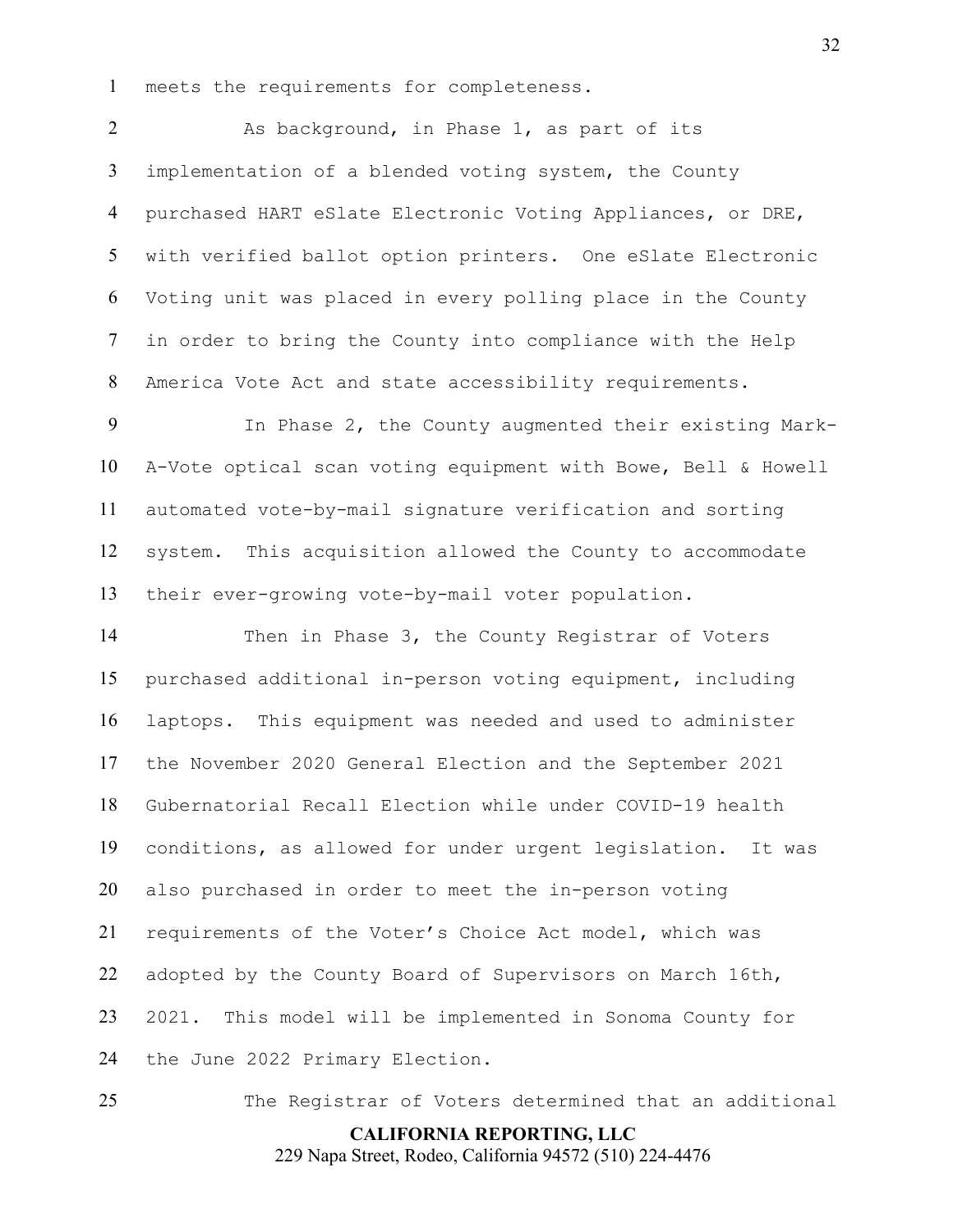meets the requirements for completeness.

2 As background, in Phase 1, as part of its implementation of a blended voting system, the County purchased HART eSlate Electronic Voting Appliances, or DRE, with verified ballot option printers. One eSlate Electronic Voting unit was placed in every polling place in the County in order to bring the County into compliance with the Help America Vote Act and state accessibility requirements.

In Phase 2, the County augmented their existing Mark-A-Vote optical scan voting equipment with Bowe, Bell & Howell automated vote-by-mail signature verification and sorting system. This acquisition allowed the County to accommodate their ever-growing vote-by-mail voter population.

14 Then in Phase 3, the County Registrar of Voters purchased additional in-person voting equipment, including laptops. This equipment was needed and used to administer the November 2020 General Election and the September 2021 Gubernatorial Recall Election while under COVID-19 health conditions, as allowed for under urgent legislation. It was also purchased in order to meet the in-person voting requirements of the Voter's Choice Act model, which was adopted by the County Board of Supervisors on March 16th, 2021. This model will be implemented in Sonoma County for the June 2022 Primary Election.

The Registrar of Voters determined that an additional

**CALIFORNIA REPORTING, LLC**

229 Napa Street, Rodeo, California 94572 (510) 224-4476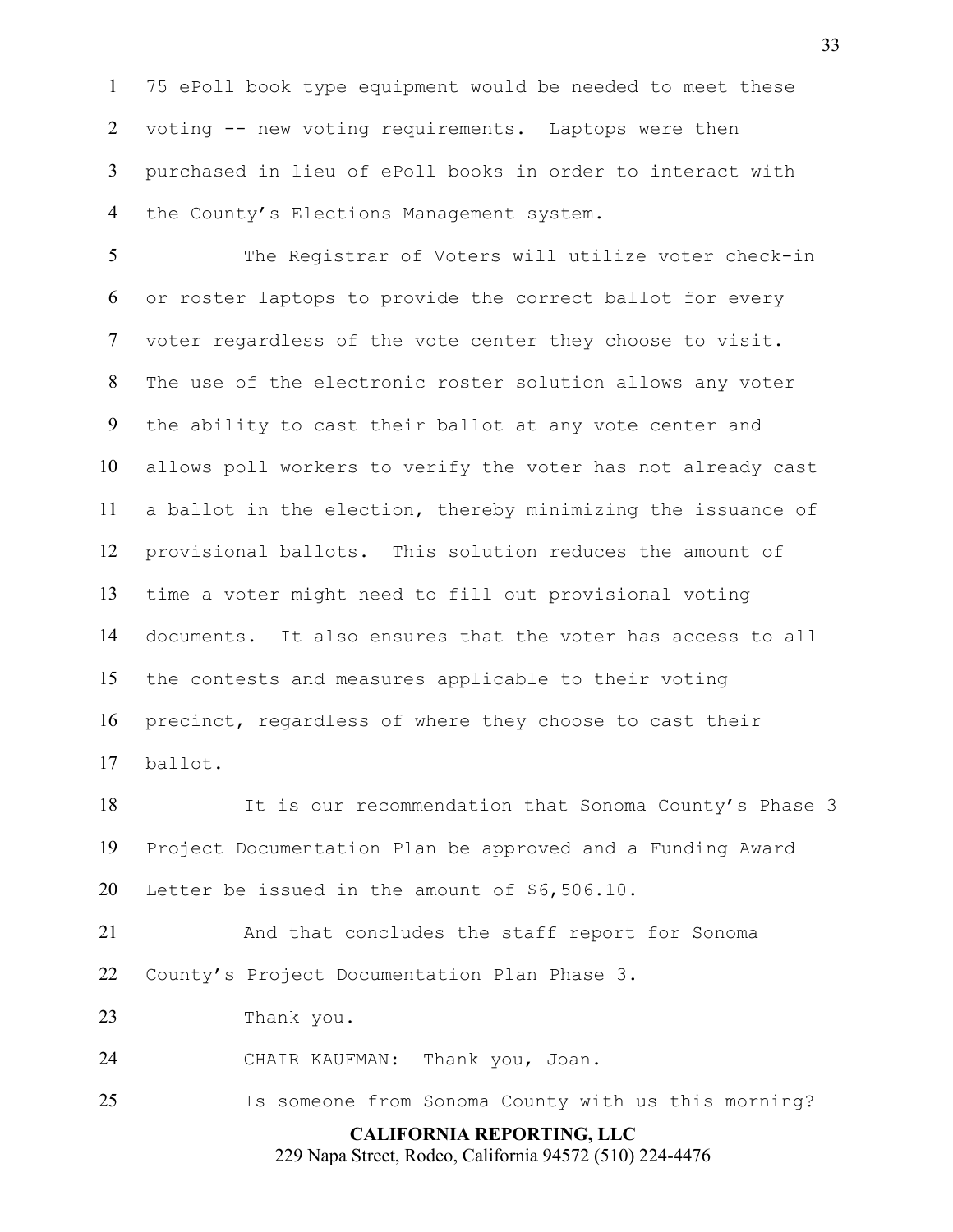75 ePoll book type equipment would be needed to meet these voting -- new voting requirements. Laptops were then purchased in lieu of ePoll books in order to interact with 4 the County's Elections Management system.

The Registrar of Voters will utilize voter check-in or roster laptops to provide the correct ballot for every voter regardless of the vote center they choose to visit. The use of the electronic roster solution allows any voter the ability to cast their ballot at any vote center and allows poll workers to verify the voter has not already cast a ballot in the election, thereby minimizing the issuance of provisional ballots. This solution reduces the amount of time a voter might need to fill out provisional voting documents. It also ensures that the voter has access to all the contests and measures applicable to their voting precinct, regardless of where they choose to cast their ballot.

It is our recommendation that Sonoma County's Phase 3 Project Documentation Plan be approved and a Funding Award Letter be issued in the amount of \$6,506.10.

And that concludes the staff report for Sonoma County's Project Documentation Plan Phase 3.

Thank you.

CHAIR KAUFMAN: Thank you, Joan.

**CALIFORNIA REPORTING, LLC** Is someone from Sonoma County with us this morning?

229 Napa Street, Rodeo, California 94572 (510) 224-4476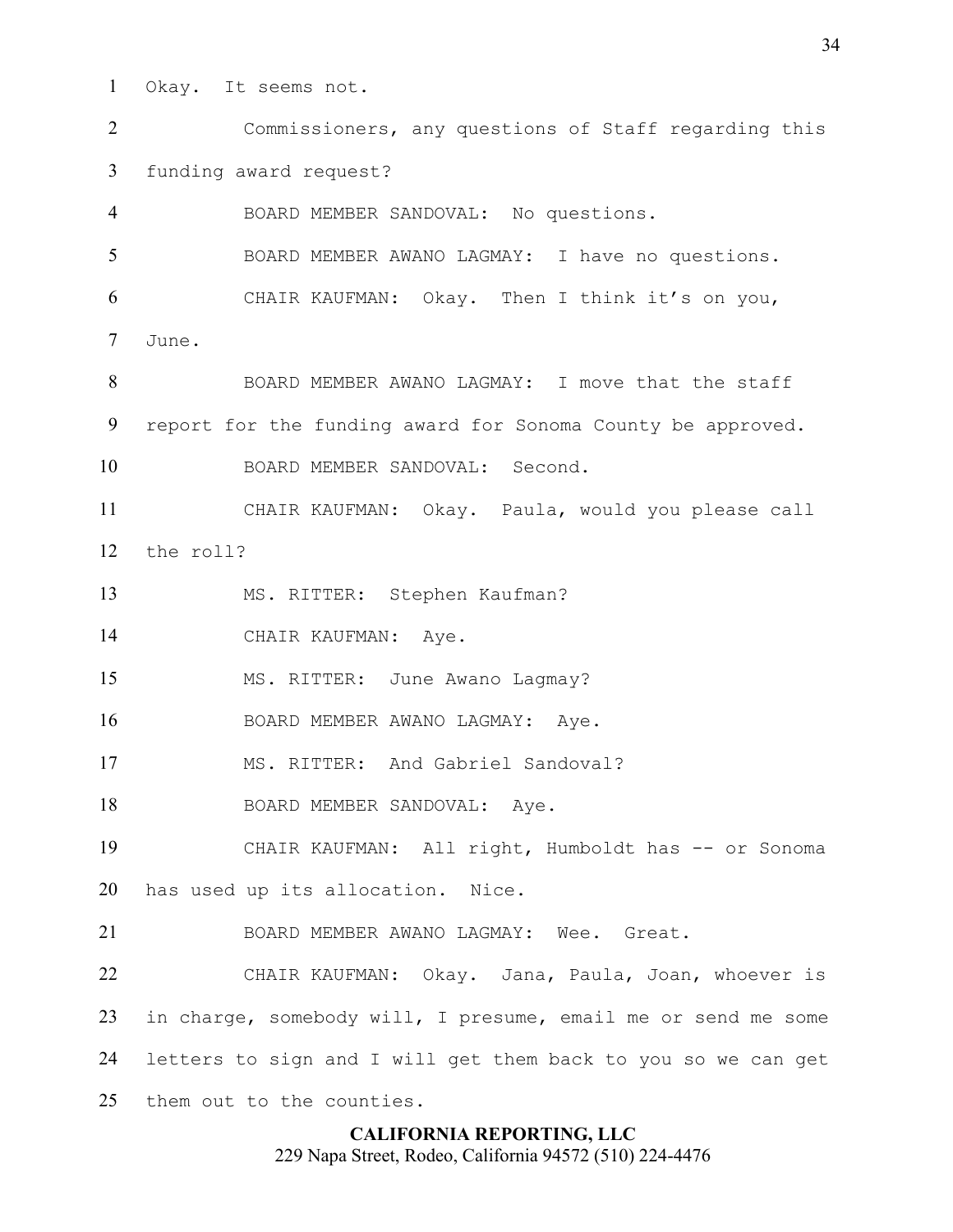Okay. It seems not.

Commissioners, any questions of Staff regarding this funding award request?

BOARD MEMBER SANDOVAL: No questions. BOARD MEMBER AWANO LAGMAY: I have no questions. CHAIR KAUFMAN: Okay. Then I think it's on you, June.

8 BOARD MEMBER AWANO LAGMAY: I move that the staff report for the funding award for Sonoma County be approved.

BOARD MEMBER SANDOVAL: Second.

CHAIR KAUFMAN: Okay. Paula, would you please call the roll?

MS. RITTER: Stephen Kaufman?

CHAIR KAUFMAN: Aye.

15 MS. RITTER: June Awano Lagmay?

BOARD MEMBER AWANO LAGMAY: Aye.

MS. RITTER: And Gabriel Sandoval?

18 BOARD MEMBER SANDOVAL: Ave.

CHAIR KAUFMAN: All right, Humboldt has -- or Sonoma has used up its allocation. Nice.

BOARD MEMBER AWANO LAGMAY: Wee. Great.

CHAIR KAUFMAN: Okay. Jana, Paula, Joan, whoever is in charge, somebody will, I presume, email me or send me some letters to sign and I will get them back to you so we can get them out to the counties.

### **CALIFORNIA REPORTING, LLC**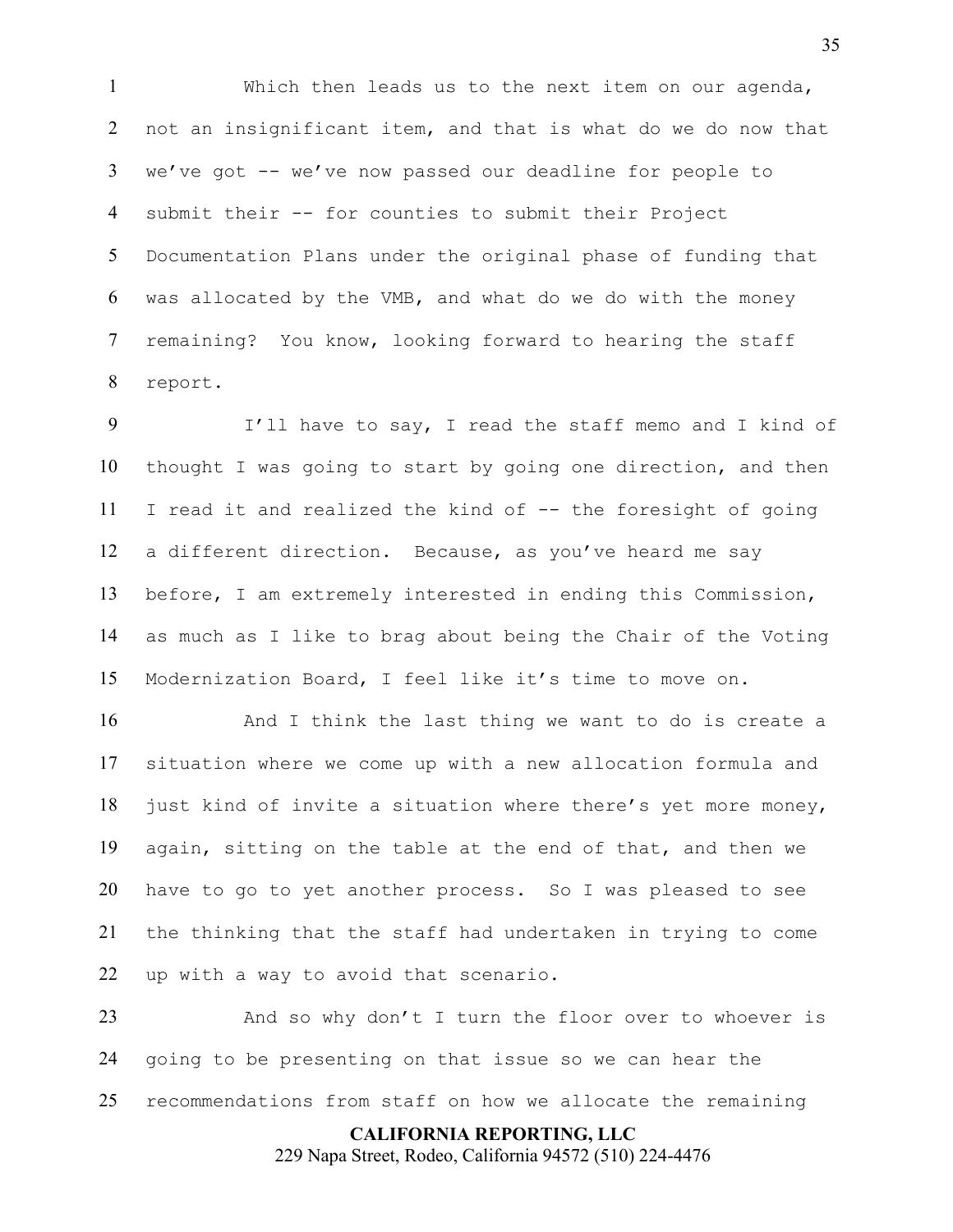Which then leads us to the next item on our agenda, not an insignificant item, and that is what do we do now that we've got -- we've now passed our deadline for people to submit their -- for counties to submit their Project Documentation Plans under the original phase of funding that was allocated by the VMB, and what do we do with the money remaining? You know, looking forward to hearing the staff report.

I'll have to say, I read the staff memo and I kind of thought I was going to start by going one direction, and then I read it and realized the kind of -- the foresight of going a different direction. Because, as you've heard me say before, I am extremely interested in ending this Commission, as much as I like to brag about being the Chair of the Voting Modernization Board, I feel like it's time to move on.

16 And I think the last thing we want to do is create a situation where we come up with a new allocation formula and 18 just kind of invite a situation where there's yet more money, again, sitting on the table at the end of that, and then we have to go to yet another process. So I was pleased to see the thinking that the staff had undertaken in trying to come up with a way to avoid that scenario.

And so why don't I turn the floor over to whoever is going to be presenting on that issue so we can hear the recommendations from staff on how we allocate the remaining

> **CALIFORNIA REPORTING, LLC** 229 Napa Street, Rodeo, California 94572 (510) 224-4476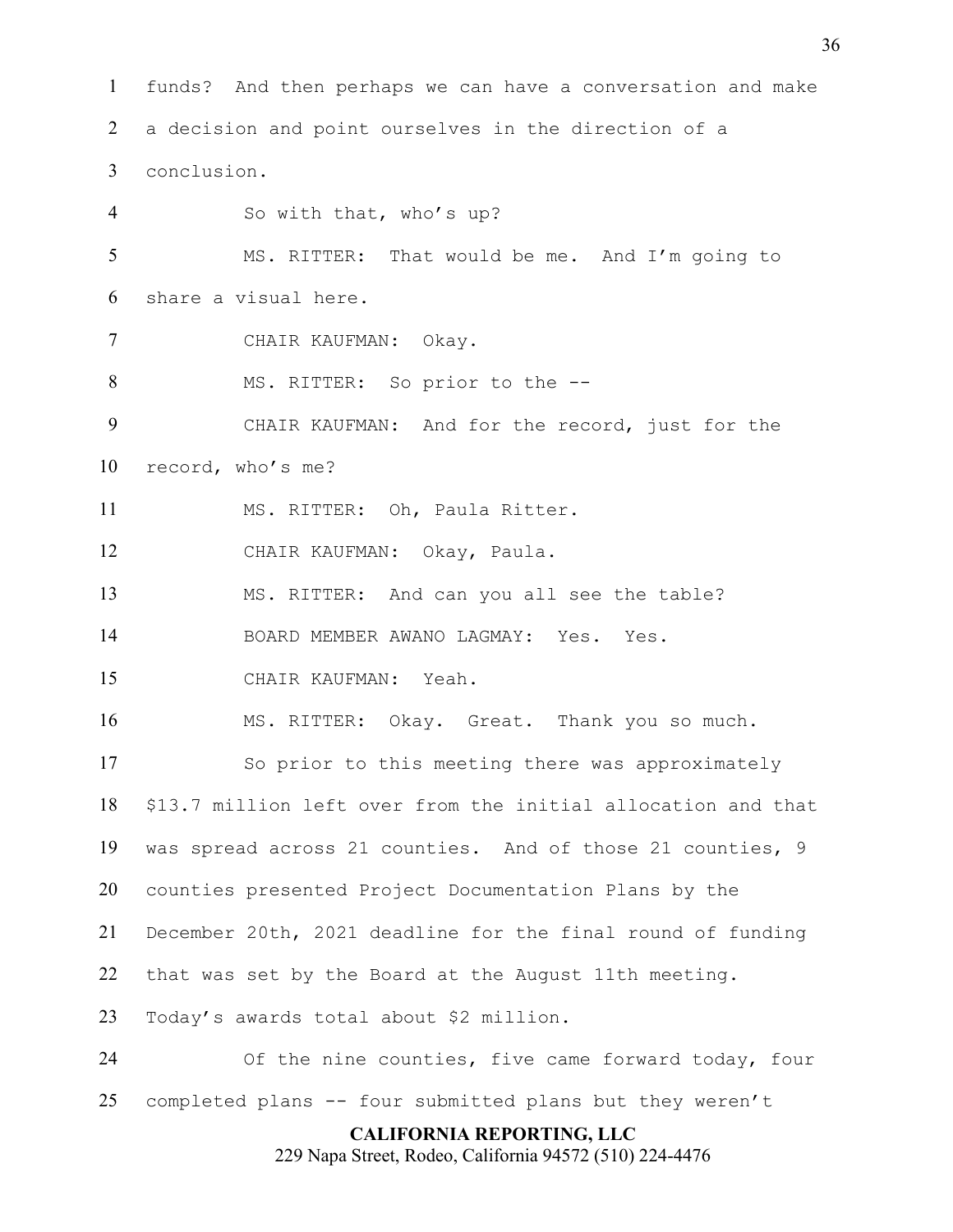**CALIFORNIA REPORTING, LLC** funds? And then perhaps we can have a conversation and make a decision and point ourselves in the direction of a conclusion. So with that, who's up? MS. RITTER: That would be me. And I'm going to share a visual here. CHAIR KAUFMAN: Okay. 8 MS. RITTER: So prior to the --CHAIR KAUFMAN: And for the record, just for the record, who's me? MS. RITTER: Oh, Paula Ritter. CHAIR KAUFMAN: Okay, Paula. MS. RITTER: And can you all see the table? BOARD MEMBER AWANO LAGMAY: Yes. Yes. CHAIR KAUFMAN: Yeah. MS. RITTER: Okay. Great. Thank you so much. So prior to this meeting there was approximately \$13.7 million left over from the initial allocation and that was spread across 21 counties. And of those 21 counties, 9 counties presented Project Documentation Plans by the December 20th, 2021 deadline for the final round of funding that was set by the Board at the August 11th meeting. Today's awards total about \$2 million. Of the nine counties, five came forward today, four completed plans -- four submitted plans but they weren't

229 Napa Street, Rodeo, California 94572 (510) 224-4476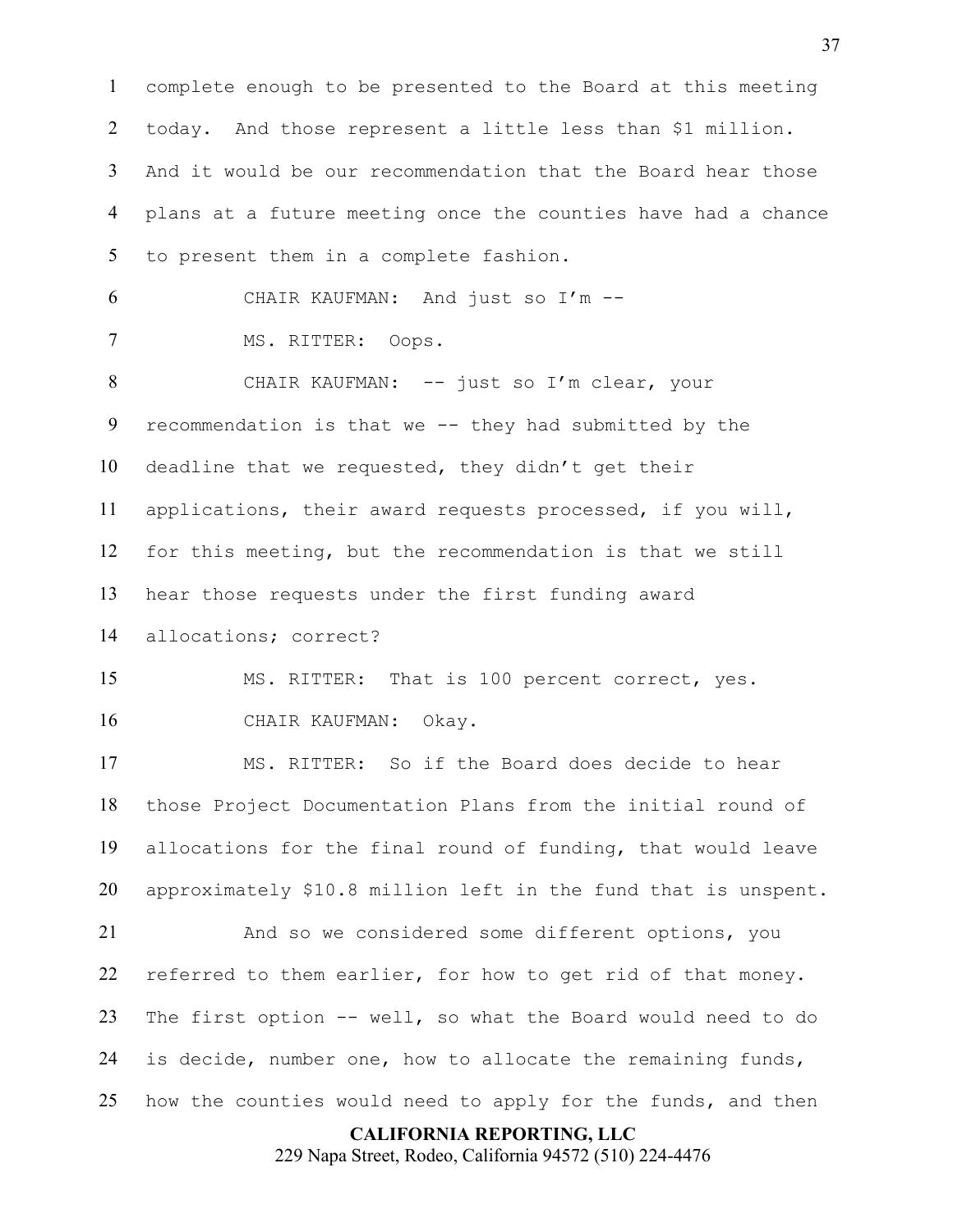**CALIFORNIA REPORTING, LLC** complete enough to be presented to the Board at this meeting today. And those represent a little less than \$1 million. And it would be our recommendation that the Board hear those plans at a future meeting once the counties have had a chance to present them in a complete fashion. CHAIR KAUFMAN: And just so I'm -- MS. RITTER: Oops. CHAIR KAUFMAN: -- just so I'm clear, your recommendation is that we -- they had submitted by the deadline that we requested, they didn't get their applications, their award requests processed, if you will, for this meeting, but the recommendation is that we still hear those requests under the first funding award allocations; correct? MS. RITTER: That is 100 percent correct, yes. CHAIR KAUFMAN: Okay. MS. RITTER: So if the Board does decide to hear those Project Documentation Plans from the initial round of allocations for the final round of funding, that would leave approximately \$10.8 million left in the fund that is unspent. And so we considered some different options, you referred to them earlier, for how to get rid of that money. The first option -- well, so what the Board would need to do is decide, number one, how to allocate the remaining funds, how the counties would need to apply for the funds, and then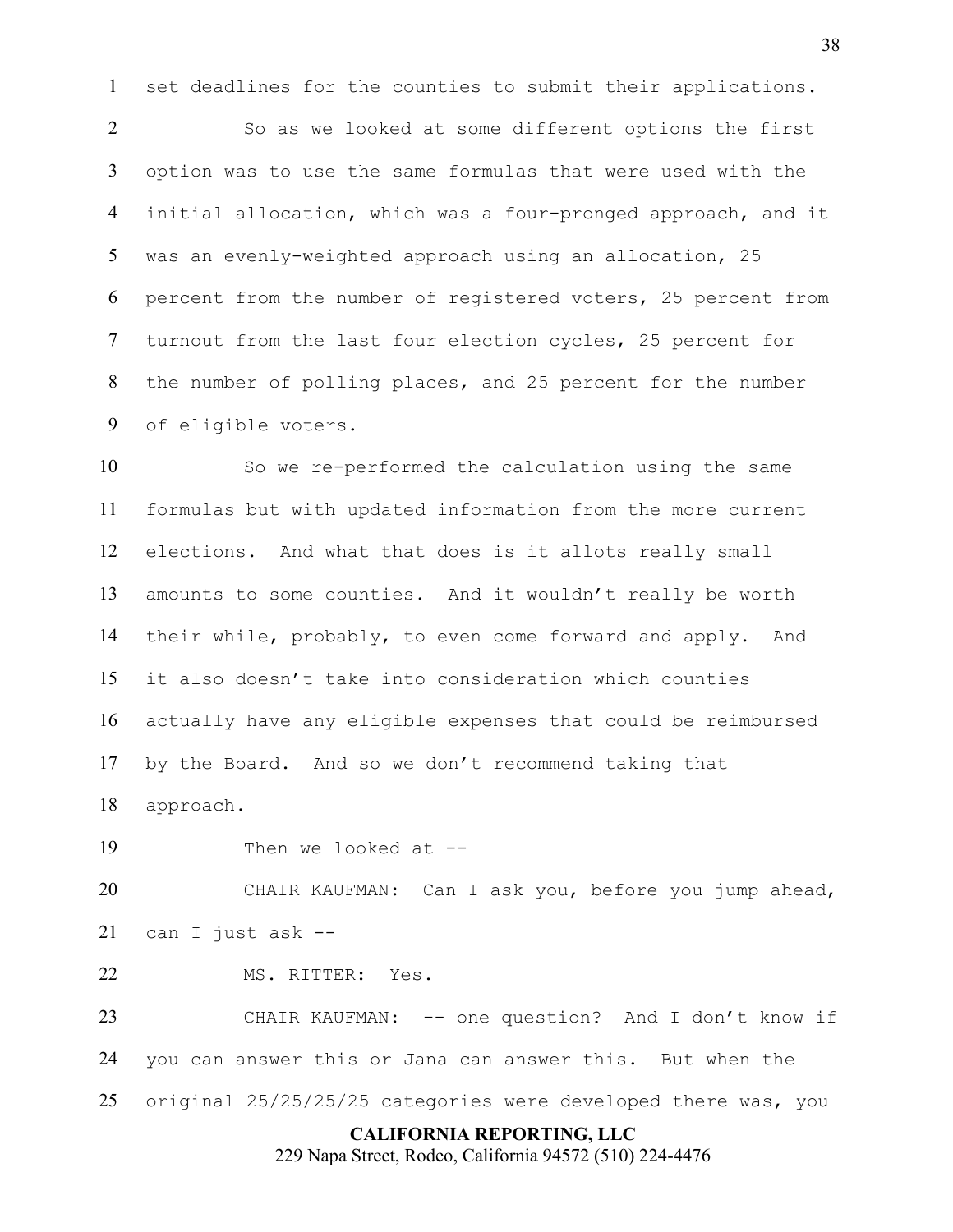set deadlines for the counties to submit their applications.

So as we looked at some different options the first option was to use the same formulas that were used with the initial allocation, which was a four-pronged approach, and it was an evenly-weighted approach using an allocation, 25 percent from the number of registered voters, 25 percent from turnout from the last four election cycles, 25 percent for the number of polling places, and 25 percent for the number of eligible voters.

So we re-performed the calculation using the same formulas but with updated information from the more current elections. And what that does is it allots really small amounts to some counties. And it wouldn't really be worth their while, probably, to even come forward and apply. And it also doesn't take into consideration which counties actually have any eligible expenses that could be reimbursed by the Board. And so we don't recommend taking that

approach.

19 Then we looked at --

CHAIR KAUFMAN: Can I ask you, before you jump ahead, can I just ask --

MS. RITTER: Yes.

CHAIR KAUFMAN: -- one question? And I don't know if you can answer this or Jana can answer this. But when the original 25/25/25/25 categories were developed there was, you

## **CALIFORNIA REPORTING, LLC**

229 Napa Street, Rodeo, California 94572 (510) 224-4476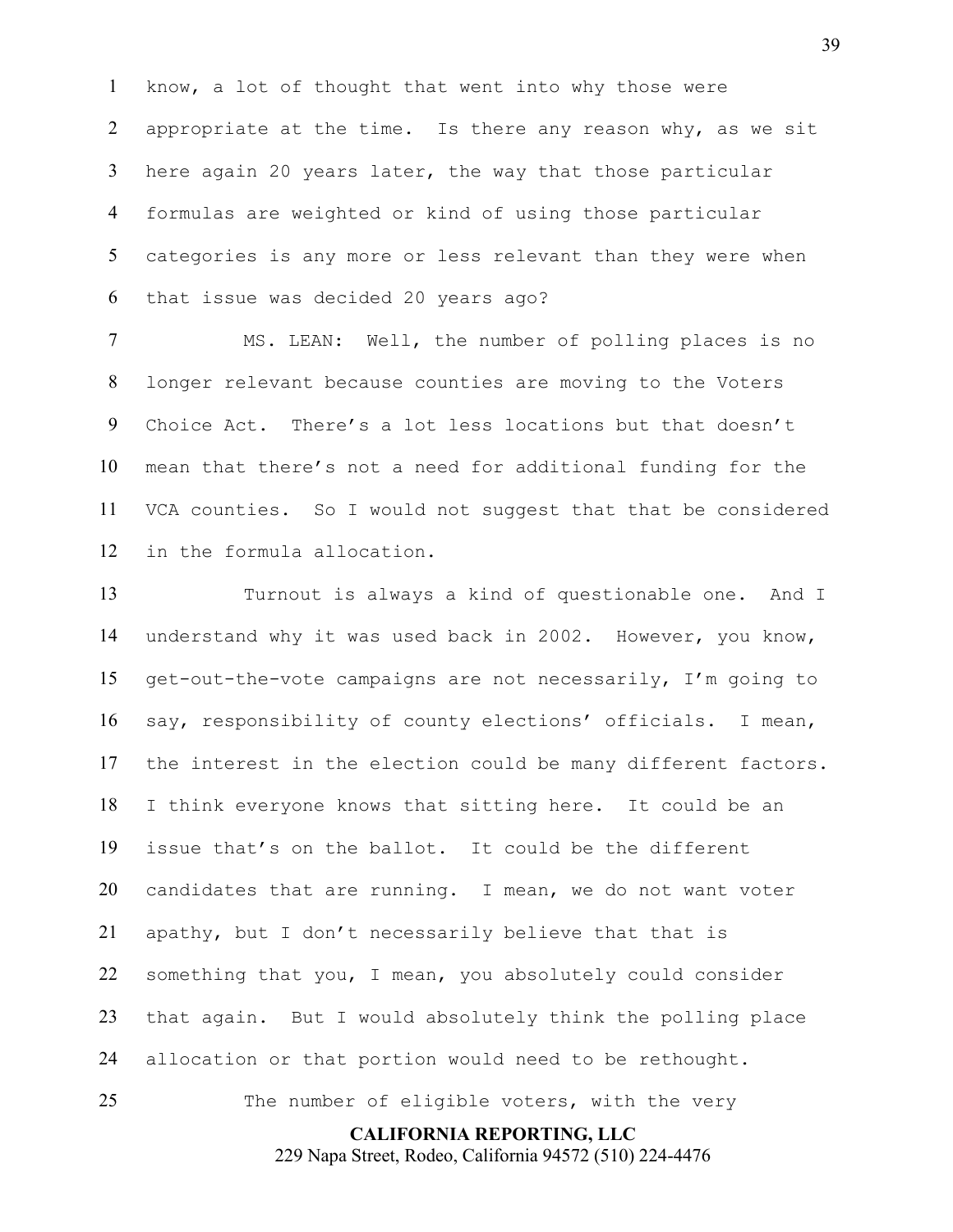know, a lot of thought that went into why those were 2 appropriate at the time. Is there any reason why, as we sit here again 20 years later, the way that those particular formulas are weighted or kind of using those particular categories is any more or less relevant than they were when that issue was decided 20 years ago?

MS. LEAN: Well, the number of polling places is no longer relevant because counties are moving to the Voters Choice Act. There's a lot less locations but that doesn't mean that there's not a need for additional funding for the VCA counties. So I would not suggest that that be considered in the formula allocation.

Turnout is always a kind of questionable one. And I understand why it was used back in 2002. However, you know, get-out-the-vote campaigns are not necessarily, I'm going to say, responsibility of county elections' officials. I mean, the interest in the election could be many different factors. I think everyone knows that sitting here. It could be an issue that's on the ballot. It could be the different candidates that are running. I mean, we do not want voter apathy, but I don't necessarily believe that that is something that you, I mean, you absolutely could consider that again. But I would absolutely think the polling place allocation or that portion would need to be rethought. 25 The number of eligible voters, with the very

**CALIFORNIA REPORTING, LLC**

229 Napa Street, Rodeo, California 94572 (510) 224-4476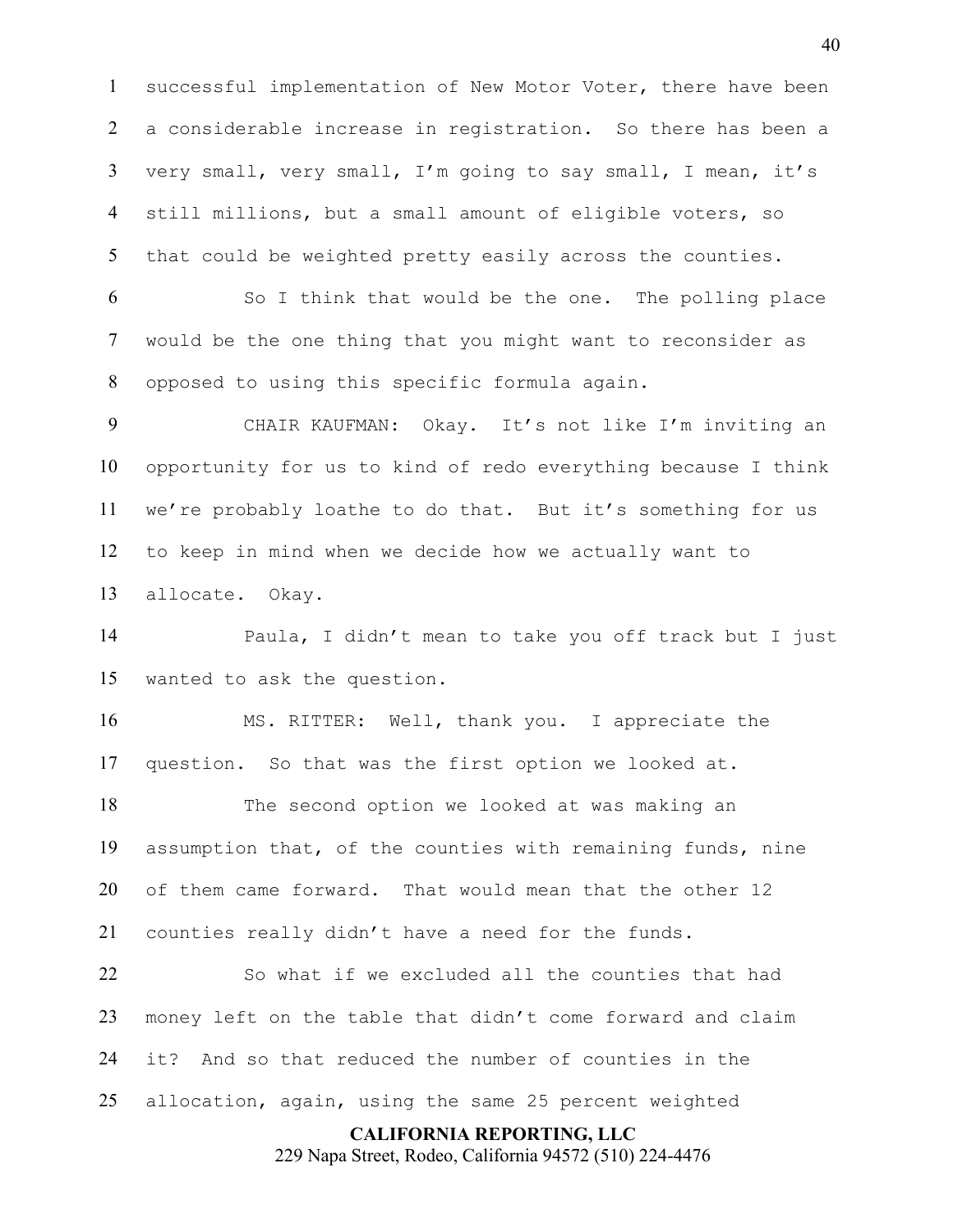successful implementation of New Motor Voter, there have been a considerable increase in registration. So there has been a very small, very small, I'm going to say small, I mean, it's still millions, but a small amount of eligible voters, so that could be weighted pretty easily across the counties.

So I think that would be the one. The polling place would be the one thing that you might want to reconsider as opposed to using this specific formula again.

CHAIR KAUFMAN: Okay. It's not like I'm inviting an opportunity for us to kind of redo everything because I think we're probably loathe to do that. But it's something for us to keep in mind when we decide how we actually want to allocate. Okay.

Paula, I didn't mean to take you off track but I just wanted to ask the question.

MS. RITTER: Well, thank you. I appreciate the question. So that was the first option we looked at.

The second option we looked at was making an assumption that, of the counties with remaining funds, nine of them came forward. That would mean that the other 12 counties really didn't have a need for the funds.

So what if we excluded all the counties that had money left on the table that didn't come forward and claim it? And so that reduced the number of counties in the allocation, again, using the same 25 percent weighted

#### **CALIFORNIA REPORTING, LLC**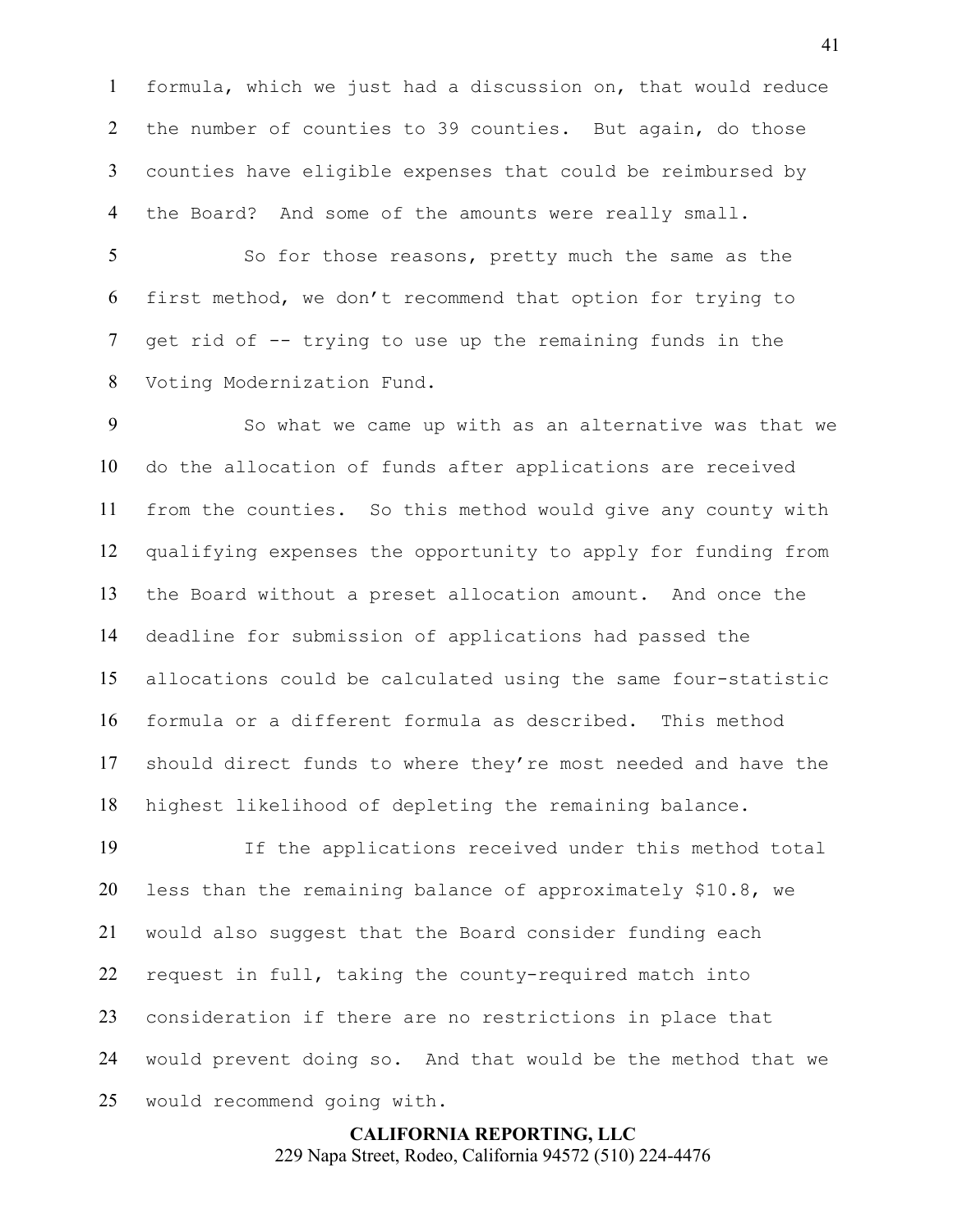formula, which we just had a discussion on, that would reduce the number of counties to 39 counties. But again, do those counties have eligible expenses that could be reimbursed by the Board? And some of the amounts were really small.

So for those reasons, pretty much the same as the first method, we don't recommend that option for trying to get rid of -- trying to use up the remaining funds in the Voting Modernization Fund.

So what we came up with as an alternative was that we do the allocation of funds after applications are received from the counties. So this method would give any county with qualifying expenses the opportunity to apply for funding from the Board without a preset allocation amount. And once the deadline for submission of applications had passed the allocations could be calculated using the same four-statistic formula or a different formula as described. This method should direct funds to where they're most needed and have the highest likelihood of depleting the remaining balance.

If the applications received under this method total less than the remaining balance of approximately \$10.8, we would also suggest that the Board consider funding each request in full, taking the county-required match into consideration if there are no restrictions in place that would prevent doing so. And that would be the method that we would recommend going with.

> **CALIFORNIA REPORTING, LLC** 229 Napa Street, Rodeo, California 94572 (510) 224-4476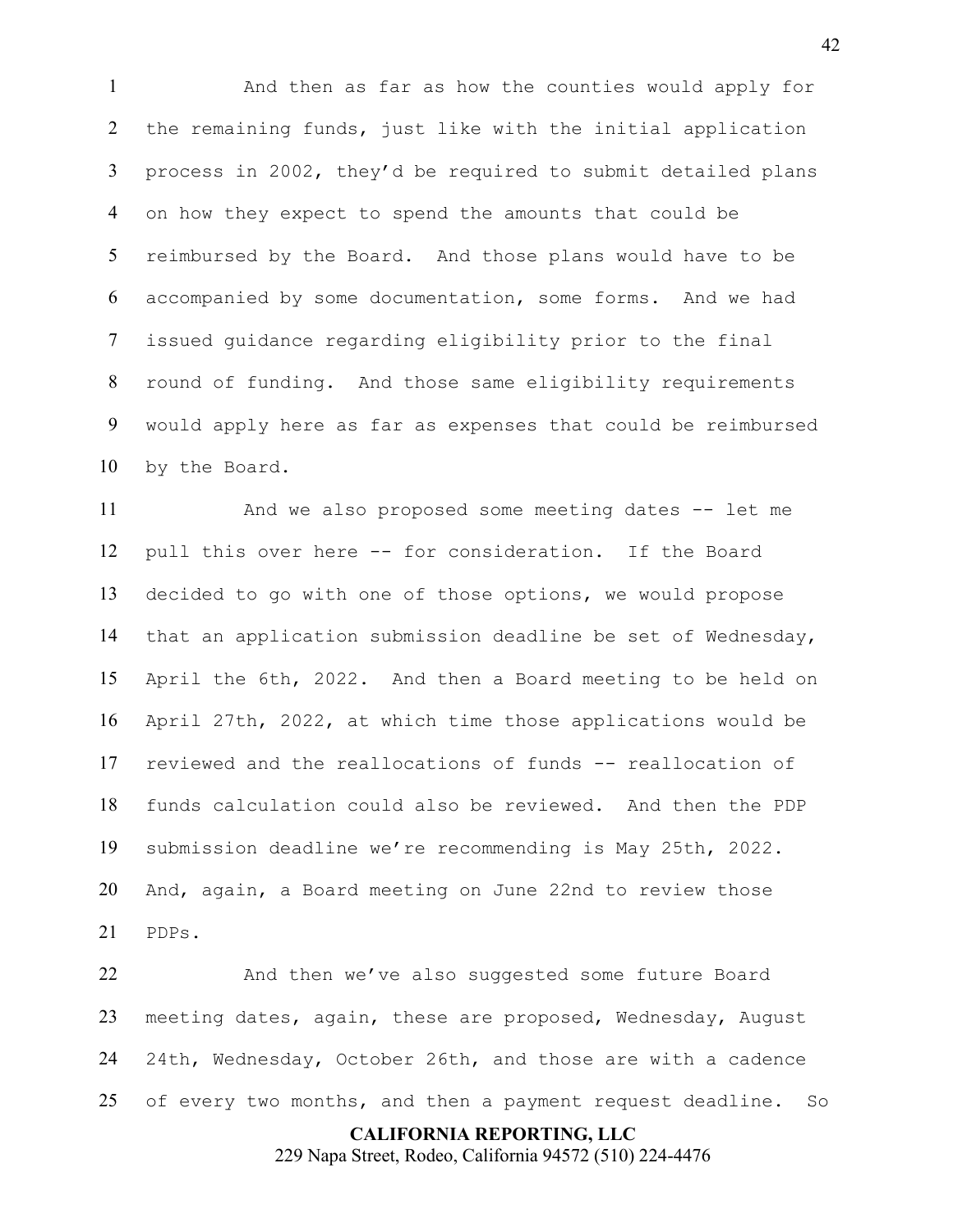And then as far as how the counties would apply for the remaining funds, just like with the initial application process in 2002, they'd be required to submit detailed plans on how they expect to spend the amounts that could be reimbursed by the Board. And those plans would have to be accompanied by some documentation, some forms. And we had issued guidance regarding eligibility prior to the final round of funding. And those same eligibility requirements would apply here as far as expenses that could be reimbursed by the Board.

And we also proposed some meeting dates -- let me pull this over here -- for consideration. If the Board decided to go with one of those options, we would propose that an application submission deadline be set of Wednesday, April the 6th, 2022. And then a Board meeting to be held on April 27th, 2022, at which time those applications would be reviewed and the reallocations of funds -- reallocation of funds calculation could also be reviewed. And then the PDP submission deadline we're recommending is May 25th, 2022. And, again, a Board meeting on June 22nd to review those PDPs.

And then we've also suggested some future Board meeting dates, again, these are proposed, Wednesday, August 24th, Wednesday, October 26th, and those are with a cadence 25 of every two months, and then a payment request deadline. So

## **CALIFORNIA REPORTING, LLC**

229 Napa Street, Rodeo, California 94572 (510) 224-4476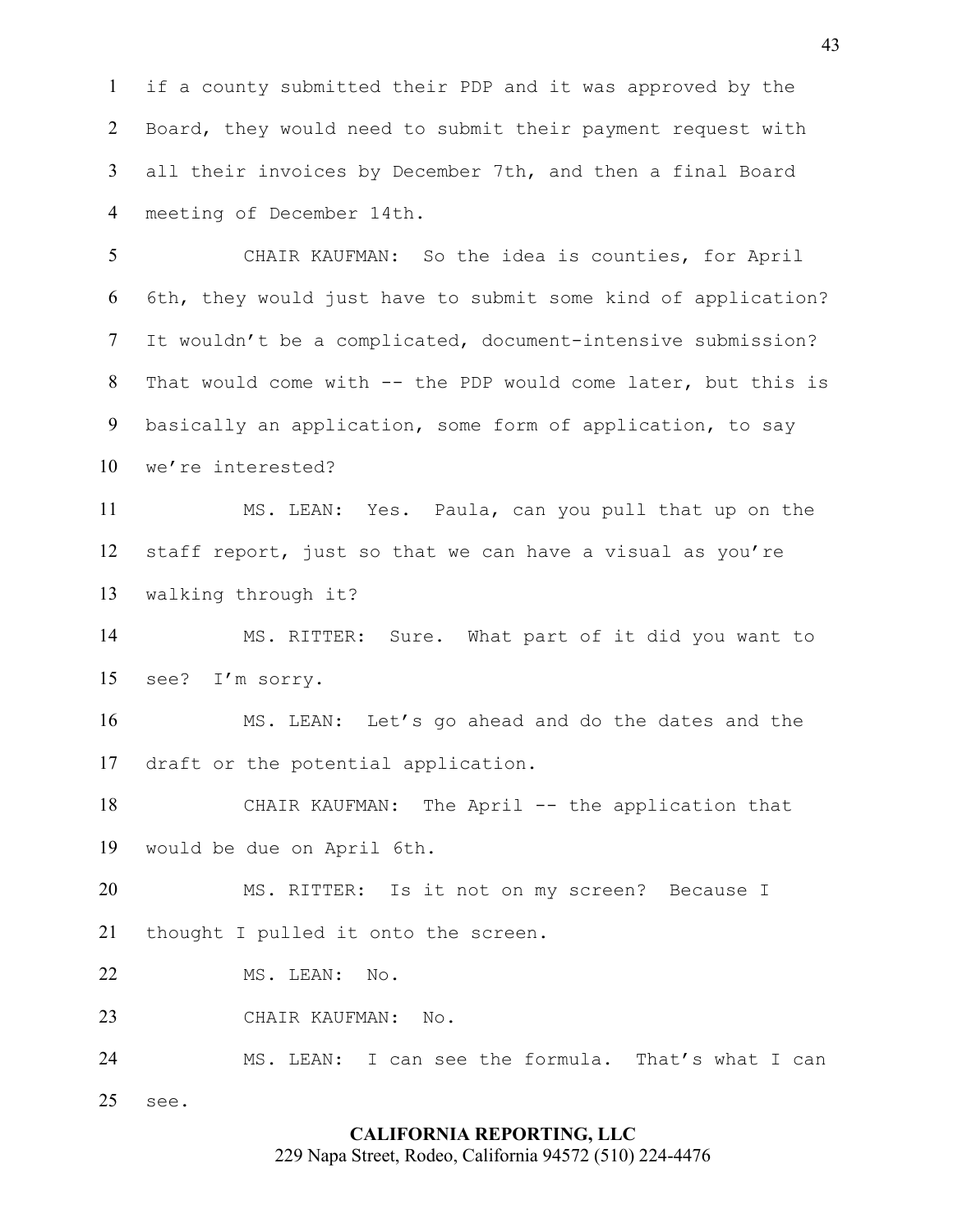if a county submitted their PDP and it was approved by the Board, they would need to submit their payment request with all their invoices by December 7th, and then a final Board meeting of December 14th.

CHAIR KAUFMAN: So the idea is counties, for April 6th, they would just have to submit some kind of application? It wouldn't be a complicated, document-intensive submission? That would come with -- the PDP would come later, but this is basically an application, some form of application, to say we're interested?

MS. LEAN: Yes. Paula, can you pull that up on the staff report, just so that we can have a visual as you're walking through it?

MS. RITTER: Sure. What part of it did you want to see? I'm sorry.

MS. LEAN: Let's go ahead and do the dates and the draft or the potential application.

CHAIR KAUFMAN: The April -- the application that would be due on April 6th.

MS. RITTER: Is it not on my screen? Because I thought I pulled it onto the screen.

22 MS. LEAN: No.

see.

CHAIR KAUFMAN: No.

MS. LEAN: I can see the formula. That's what I can

#### **CALIFORNIA REPORTING, LLC**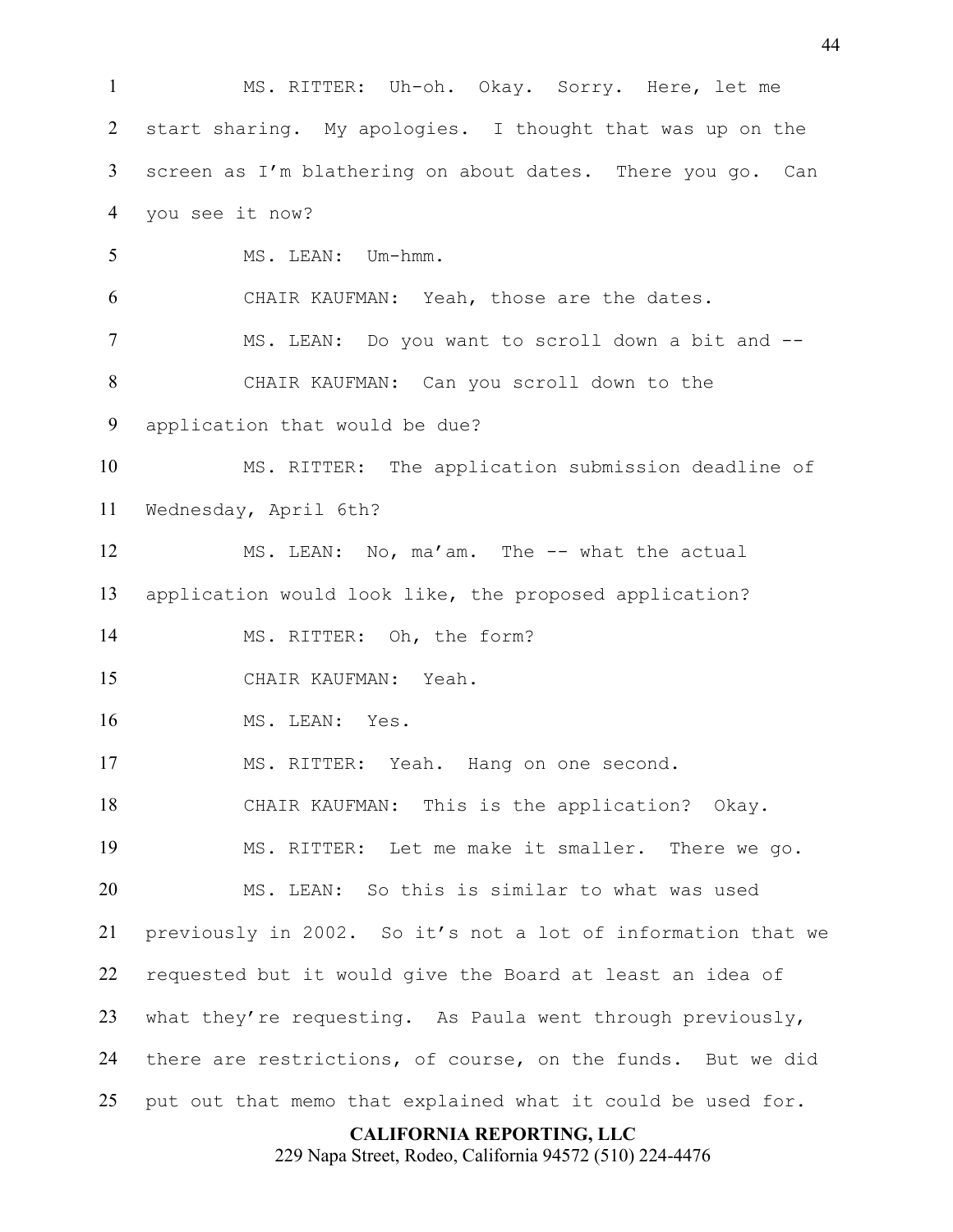MS. RITTER: Uh-oh. Okay. Sorry. Here, let me start sharing. My apologies. I thought that was up on the screen as I'm blathering on about dates. There you go. Can you see it now? MS. LEAN: Um-hmm. CHAIR KAUFMAN: Yeah, those are the dates. MS. LEAN: Do you want to scroll down a bit and -- CHAIR KAUFMAN: Can you scroll down to the application that would be due? MS. RITTER: The application submission deadline of Wednesday, April 6th? 12 MS. LEAN: No, ma'am. The -- what the actual application would look like, the proposed application? 14 MS. RITTER: Oh, the form? CHAIR KAUFMAN: Yeah. MS. LEAN: Yes. MS. RITTER: Yeah. Hang on one second. CHAIR KAUFMAN: This is the application? Okay. MS. RITTER: Let me make it smaller. There we go. MS. LEAN: So this is similar to what was used previously in 2002. So it's not a lot of information that we requested but it would give the Board at least an idea of what they're requesting. As Paula went through previously, there are restrictions, of course, on the funds. But we did put out that memo that explained what it could be used for.

**CALIFORNIA REPORTING, LLC**

229 Napa Street, Rodeo, California 94572 (510) 224-4476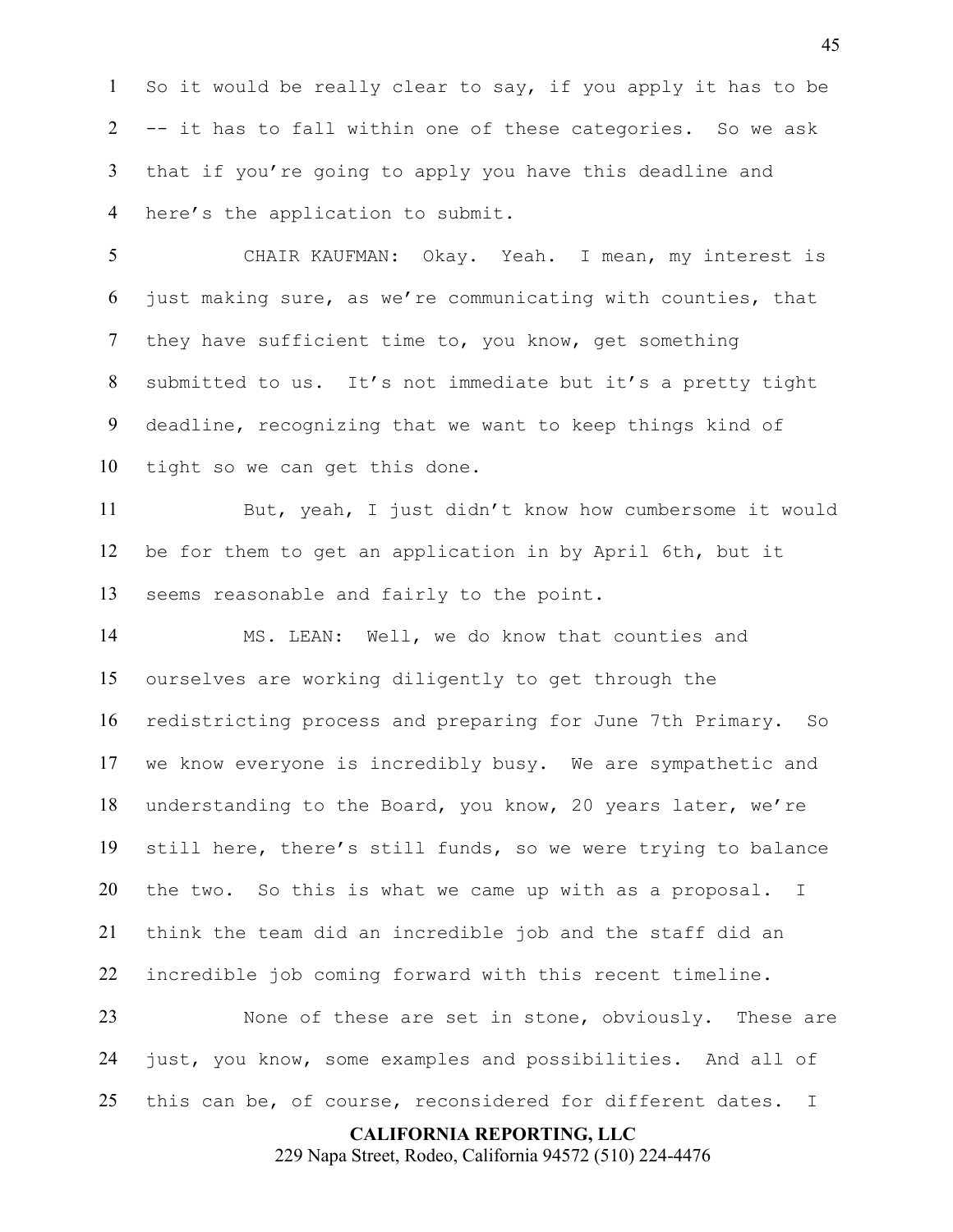So it would be really clear to say, if you apply it has to be -- it has to fall within one of these categories. So we ask that if you're going to apply you have this deadline and here's the application to submit.

CHAIR KAUFMAN: Okay. Yeah. I mean, my interest is just making sure, as we're communicating with counties, that they have sufficient time to, you know, get something submitted to us. It's not immediate but it's a pretty tight deadline, recognizing that we want to keep things kind of tight so we can get this done.

But, yeah, I just didn't know how cumbersome it would be for them to get an application in by April 6th, but it seems reasonable and fairly to the point.

MS. LEAN: Well, we do know that counties and ourselves are working diligently to get through the redistricting process and preparing for June 7th Primary. So we know everyone is incredibly busy. We are sympathetic and understanding to the Board, you know, 20 years later, we're still here, there's still funds, so we were trying to balance the two. So this is what we came up with as a proposal. I think the team did an incredible job and the staff did an incredible job coming forward with this recent timeline.

None of these are set in stone, obviously. These are just, you know, some examples and possibilities. And all of 25 this can be, of course, reconsidered for different dates. I

#### **CALIFORNIA REPORTING, LLC**

229 Napa Street, Rodeo, California 94572 (510) 224-4476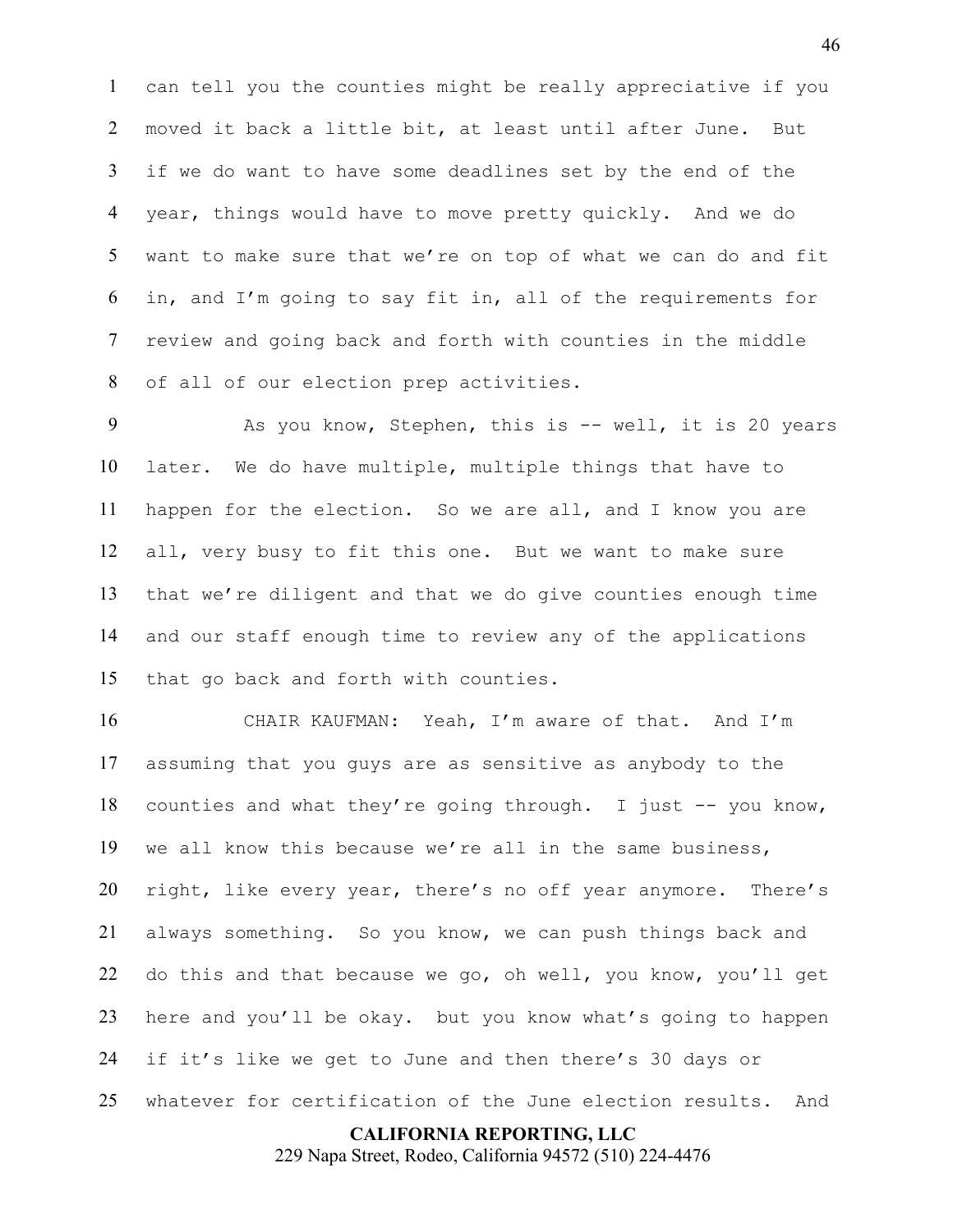can tell you the counties might be really appreciative if you moved it back a little bit, at least until after June. But if we do want to have some deadlines set by the end of the year, things would have to move pretty quickly. And we do want to make sure that we're on top of what we can do and fit in, and I'm going to say fit in, all of the requirements for review and going back and forth with counties in the middle of all of our election prep activities.

9 As you know, Stephen, this is -- well, it is 20 years later. We do have multiple, multiple things that have to happen for the election. So we are all, and I know you are all, very busy to fit this one. But we want to make sure that we're diligent and that we do give counties enough time and our staff enough time to review any of the applications that go back and forth with counties.

CHAIR KAUFMAN: Yeah, I'm aware of that. And I'm assuming that you guys are as sensitive as anybody to the counties and what they're going through. I just -- you know, we all know this because we're all in the same business, right, like every year, there's no off year anymore. There's always something. So you know, we can push things back and do this and that because we go, oh well, you know, you'll get here and you'll be okay. but you know what's going to happen if it's like we get to June and then there's 30 days or whatever for certification of the June election results. And

#### **CALIFORNIA REPORTING, LLC**

229 Napa Street, Rodeo, California 94572 (510) 224-4476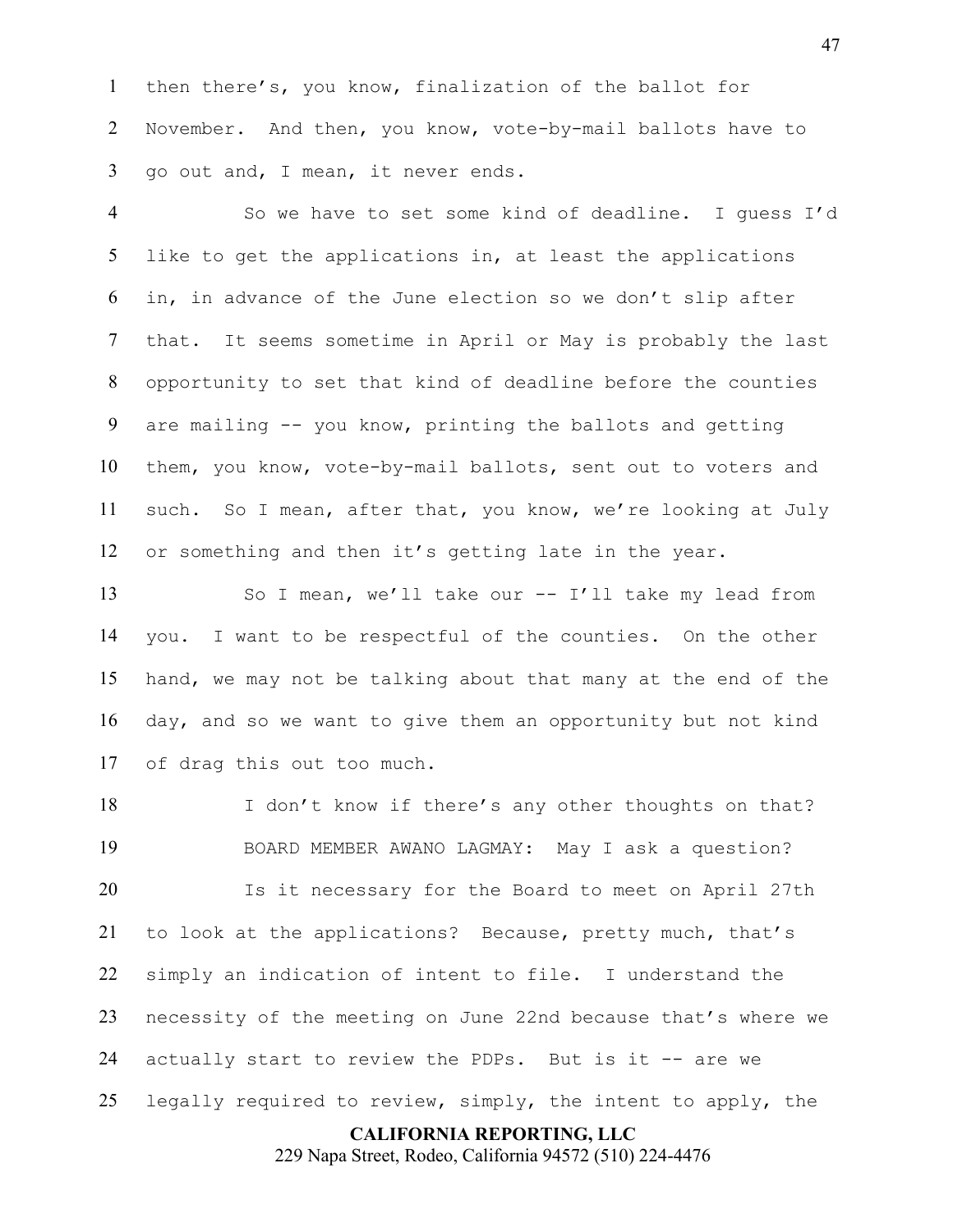then there's, you know, finalization of the ballot for November. And then, you know, vote-by-mail ballots have to go out and, I mean, it never ends.

So we have to set some kind of deadline. I guess I'd like to get the applications in, at least the applications in, in advance of the June election so we don't slip after that. It seems sometime in April or May is probably the last opportunity to set that kind of deadline before the counties are mailing -- you know, printing the ballots and getting them, you know, vote-by-mail ballots, sent out to voters and such. So I mean, after that, you know, we're looking at July or something and then it's getting late in the year.

So I mean, we'll take our -- I'll take my lead from you. I want to be respectful of the counties. On the other hand, we may not be talking about that many at the end of the day, and so we want to give them an opportunity but not kind of drag this out too much.

18 I don't know if there's any other thoughts on that? BOARD MEMBER AWANO LAGMAY: May I ask a question? Is it necessary for the Board to meet on April 27th to look at the applications? Because, pretty much, that's simply an indication of intent to file. I understand the necessity of the meeting on June 22nd because that's where we 24 actually start to review the PDPs. But is it -- are we legally required to review, simply, the intent to apply, the

**CALIFORNIA REPORTING, LLC**

229 Napa Street, Rodeo, California 94572 (510) 224-4476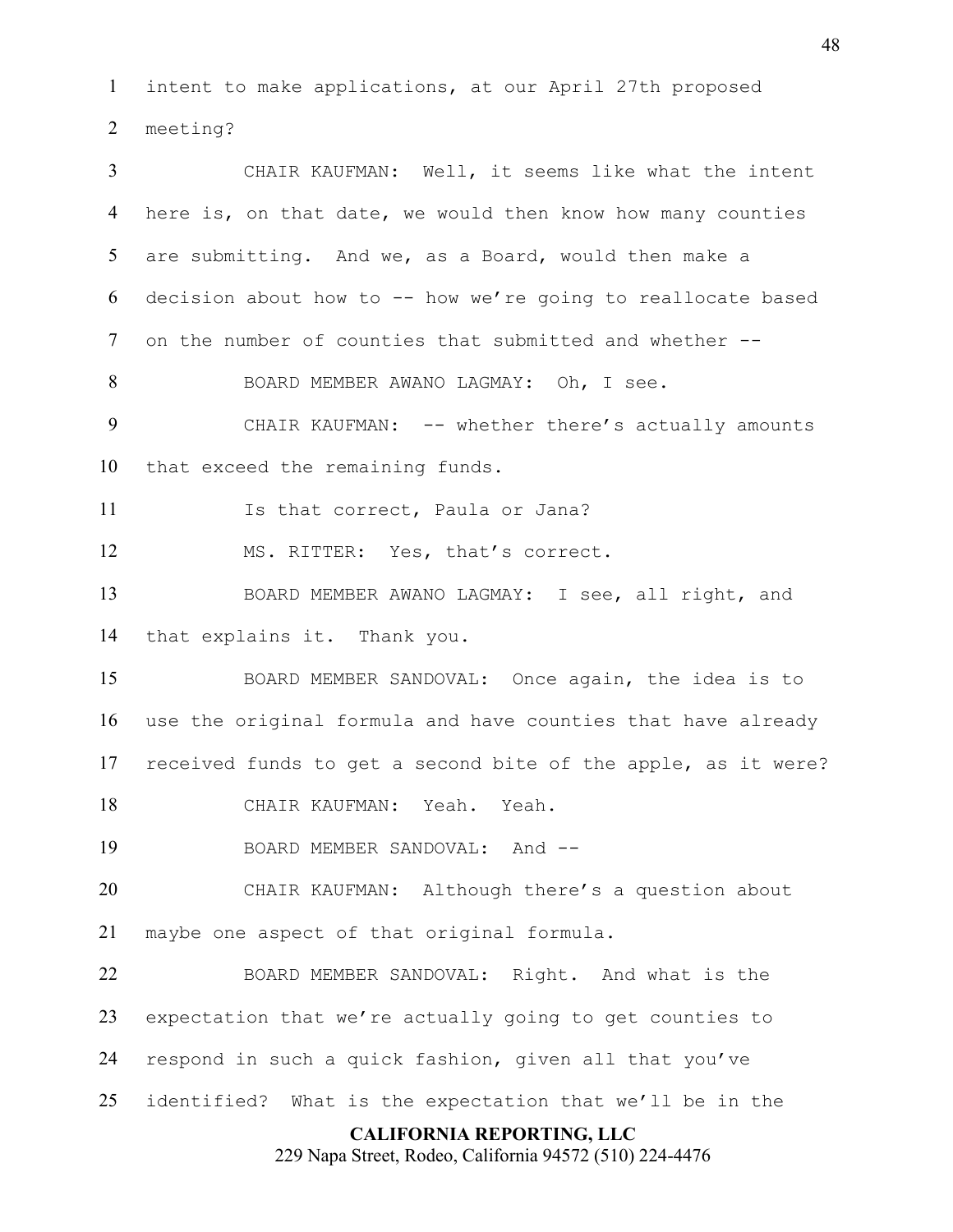intent to make applications, at our April 27th proposed meeting?

**CALIFORNIA REPORTING, LLC** 229 Napa Street, Rodeo, California 94572 (510) 224-4476 CHAIR KAUFMAN: Well, it seems like what the intent here is, on that date, we would then know how many counties are submitting. And we, as a Board, would then make a decision about how to -- how we're going to reallocate based on the number of counties that submitted and whether -- BOARD MEMBER AWANO LAGMAY: Oh, I see. 9 CHAIR KAUFMAN: -- whether there's actually amounts that exceed the remaining funds. 11 Is that correct, Paula or Jana? MS. RITTER: Yes, that's correct. BOARD MEMBER AWANO LAGMAY: I see, all right, and that explains it. Thank you. BOARD MEMBER SANDOVAL: Once again, the idea is to use the original formula and have counties that have already received funds to get a second bite of the apple, as it were? CHAIR KAUFMAN: Yeah. Yeah. 19 BOARD MEMBER SANDOVAL: And --CHAIR KAUFMAN: Although there's a question about maybe one aspect of that original formula. BOARD MEMBER SANDOVAL: Right. And what is the expectation that we're actually going to get counties to respond in such a quick fashion, given all that you've identified? What is the expectation that we'll be in the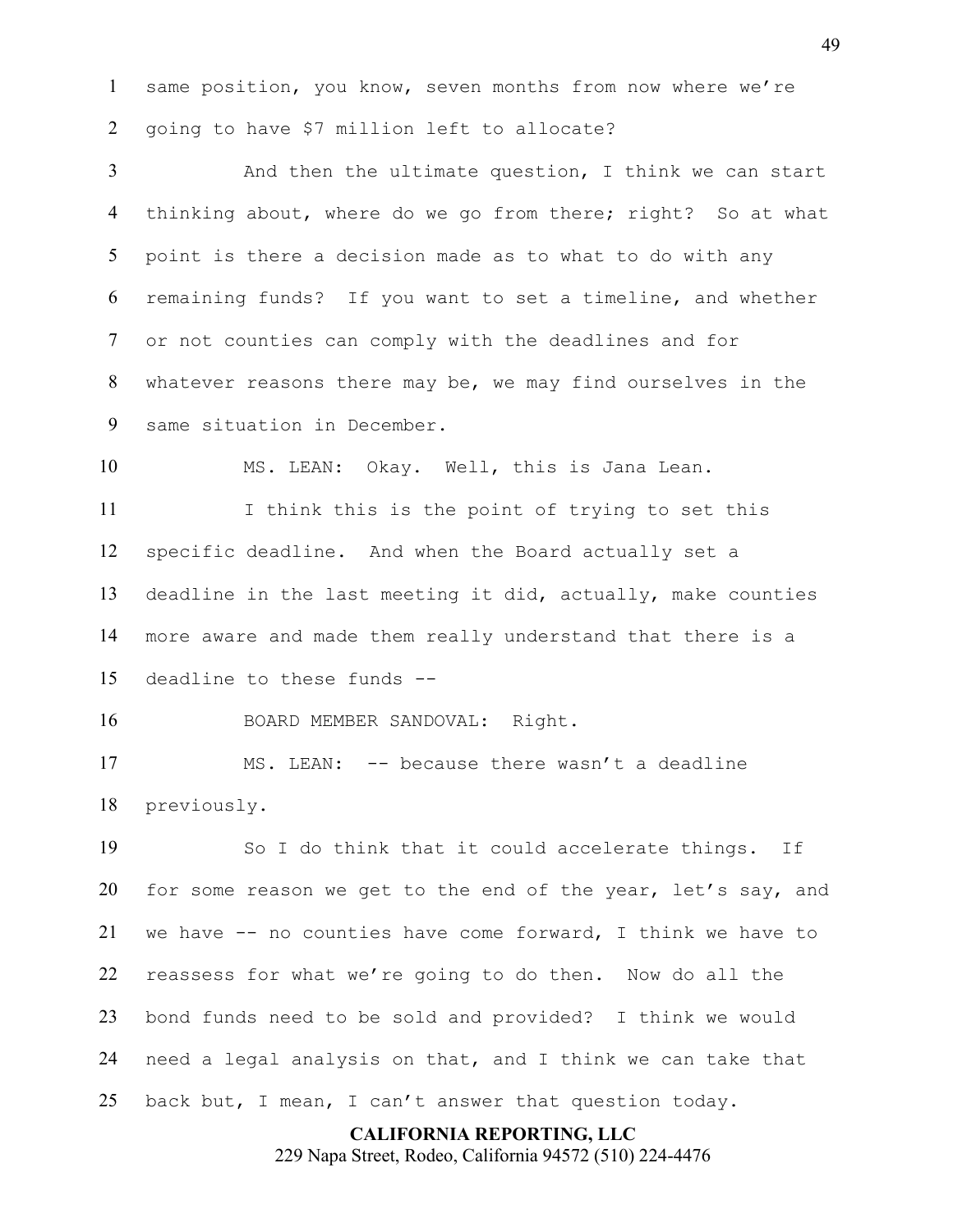same position, you know, seven months from now where we're going to have \$7 million left to allocate?

And then the ultimate question, I think we can start thinking about, where do we go from there; right? So at what point is there a decision made as to what to do with any remaining funds? If you want to set a timeline, and whether or not counties can comply with the deadlines and for whatever reasons there may be, we may find ourselves in the same situation in December.

MS. LEAN: Okay. Well, this is Jana Lean.

I think this is the point of trying to set this specific deadline. And when the Board actually set a deadline in the last meeting it did, actually, make counties more aware and made them really understand that there is a deadline to these funds --

BOARD MEMBER SANDOVAL: Right.

MS. LEAN: -- because there wasn't a deadline previously.

So I do think that it could accelerate things. If for some reason we get to the end of the year, let's say, and we have -- no counties have come forward, I think we have to reassess for what we're going to do then. Now do all the bond funds need to be sold and provided? I think we would need a legal analysis on that, and I think we can take that back but, I mean, I can't answer that question today.

#### **CALIFORNIA REPORTING, LLC**

229 Napa Street, Rodeo, California 94572 (510) 224-4476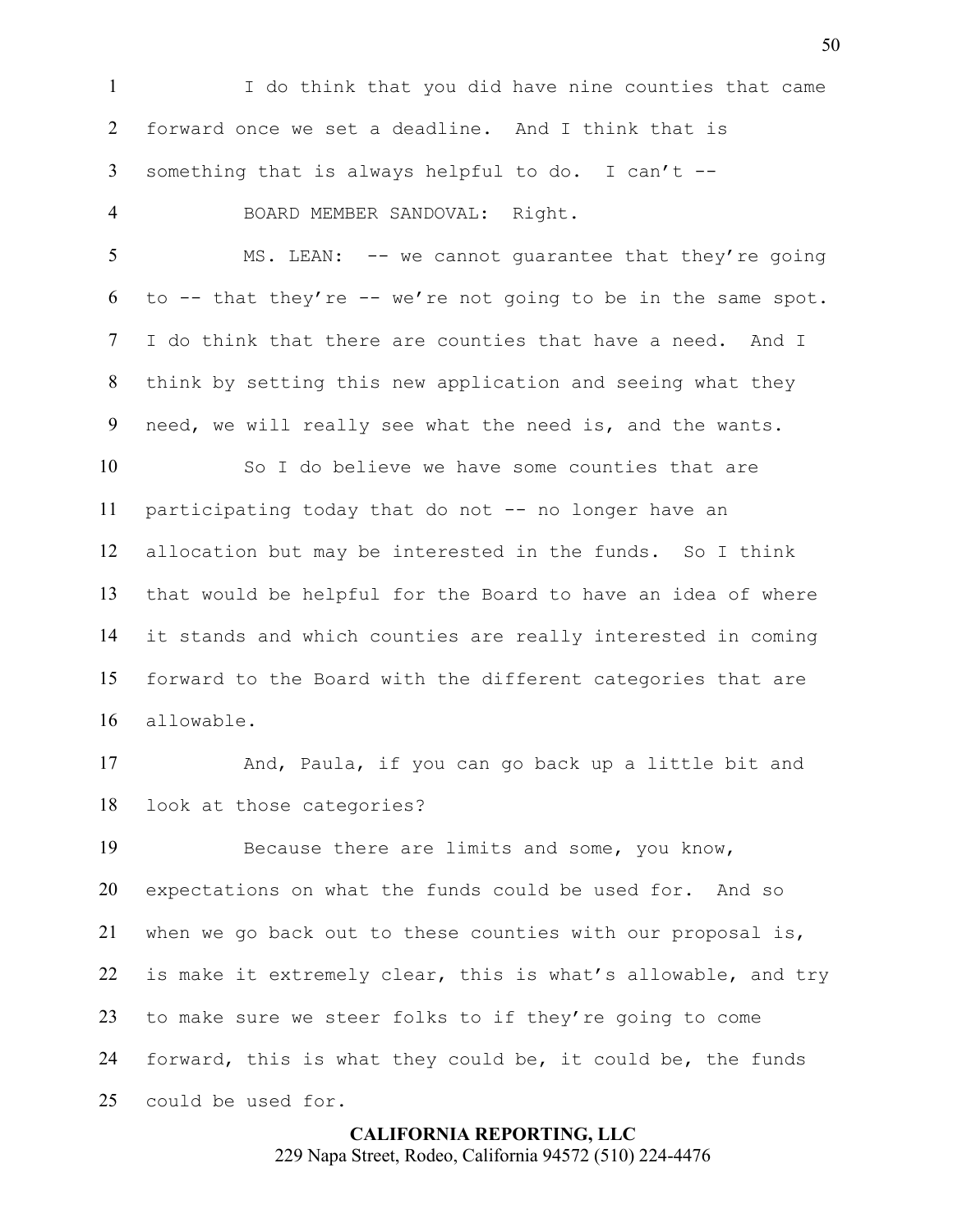I do think that you did have nine counties that came forward once we set a deadline. And I think that is something that is always helpful to do. I can't -- BOARD MEMBER SANDOVAL: Right. 5 MS. LEAN: -- we cannot quarantee that they're going 6 to  $-$  that they're  $-$  we're not going to be in the same spot. I do think that there are counties that have a need. And I think by setting this new application and seeing what they need, we will really see what the need is, and the wants. So I do believe we have some counties that are

participating today that do not -- no longer have an allocation but may be interested in the funds. So I think that would be helpful for the Board to have an idea of where it stands and which counties are really interested in coming forward to the Board with the different categories that are allowable.

And, Paula, if you can go back up a little bit and look at those categories?

Because there are limits and some, you know, expectations on what the funds could be used for. And so when we go back out to these counties with our proposal is, is make it extremely clear, this is what's allowable, and try to make sure we steer folks to if they're going to come forward, this is what they could be, it could be, the funds could be used for.

> **CALIFORNIA REPORTING, LLC** 229 Napa Street, Rodeo, California 94572 (510) 224-4476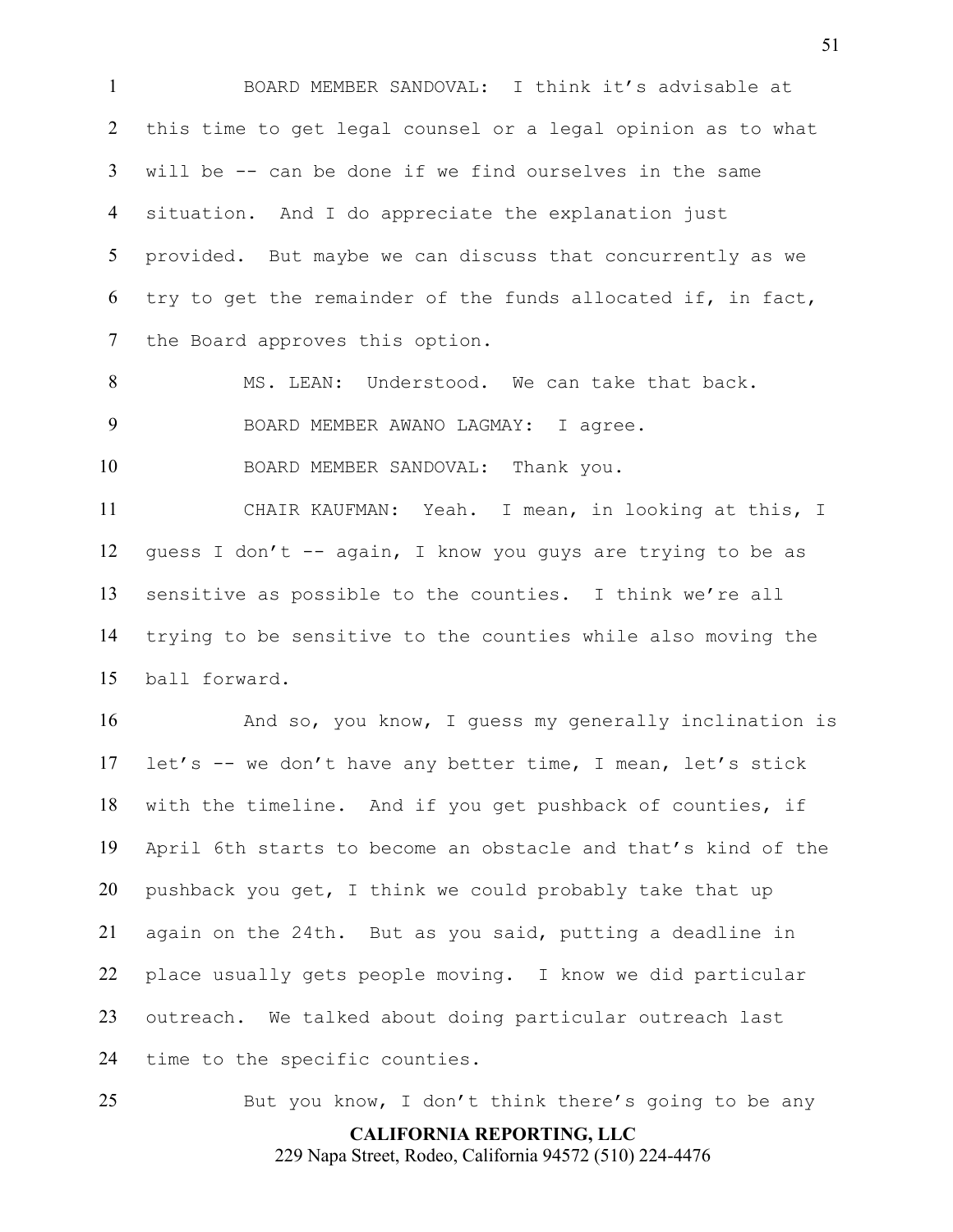BOARD MEMBER SANDOVAL: I think it's advisable at this time to get legal counsel or a legal opinion as to what will be -- can be done if we find ourselves in the same situation. And I do appreciate the explanation just provided. But maybe we can discuss that concurrently as we try to get the remainder of the funds allocated if, in fact, the Board approves this option.

8 MS. LEAN: Understood. We can take that back. BOARD MEMBER AWANO LAGMAY: I agree.

BOARD MEMBER SANDOVAL: Thank you.

CHAIR KAUFMAN: Yeah. I mean, in looking at this, I guess I don't -- again, I know you guys are trying to be as sensitive as possible to the counties. I think we're all trying to be sensitive to the counties while also moving the ball forward.

And so, you know, I guess my generally inclination is let's -- we don't have any better time, I mean, let's stick with the timeline. And if you get pushback of counties, if April 6th starts to become an obstacle and that's kind of the pushback you get, I think we could probably take that up again on the 24th. But as you said, putting a deadline in place usually gets people moving. I know we did particular outreach. We talked about doing particular outreach last time to the specific counties.

**CALIFORNIA REPORTING, LLC** 229 Napa Street, Rodeo, California 94572 (510) 224-4476 But you know, I don't think there's going to be any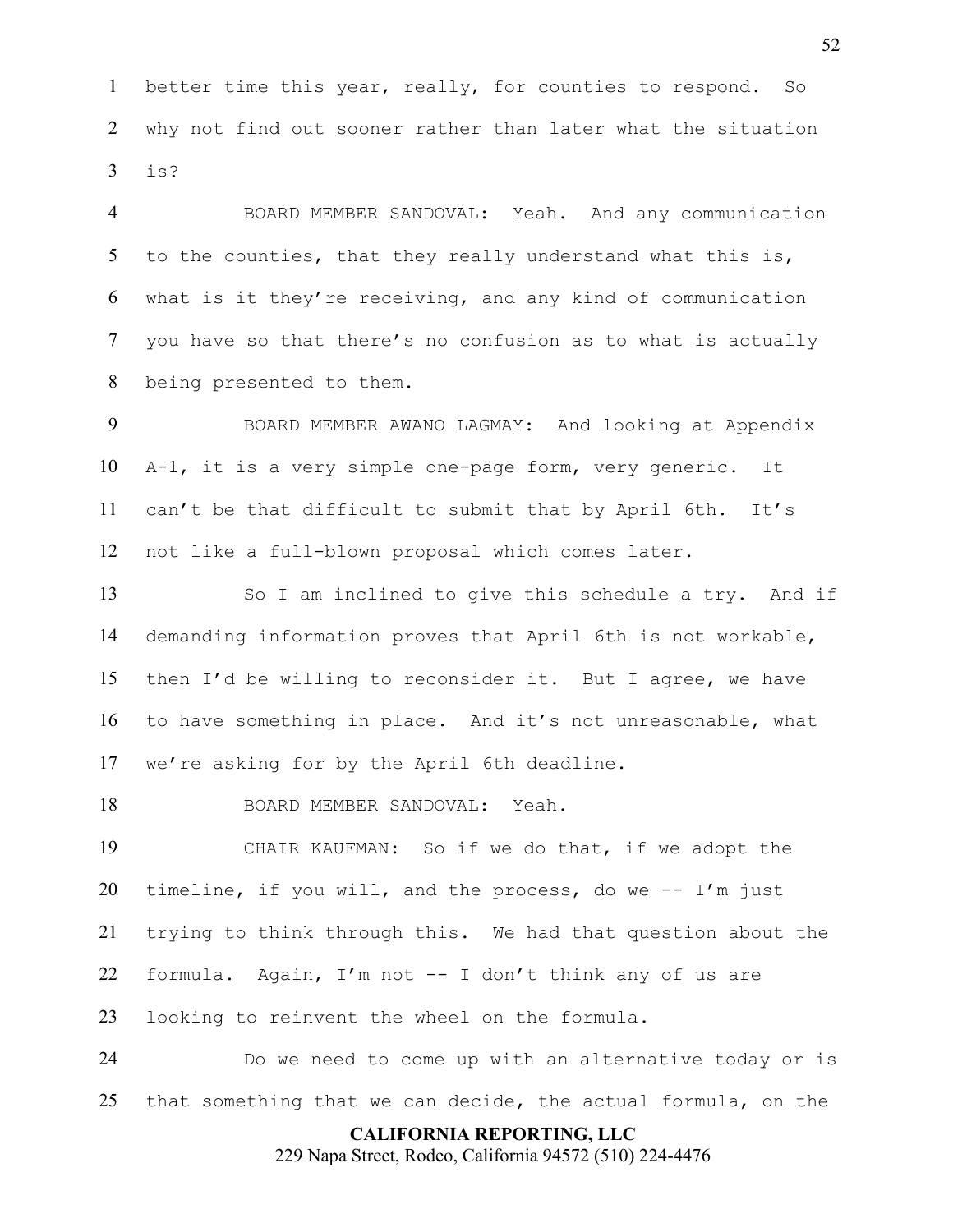better time this year, really, for counties to respond. So why not find out sooner rather than later what the situation is?

BOARD MEMBER SANDOVAL: Yeah. And any communication 5 to the counties, that they really understand what this is, what is it they're receiving, and any kind of communication you have so that there's no confusion as to what is actually being presented to them.

BOARD MEMBER AWANO LAGMAY: And looking at Appendix A-1, it is a very simple one-page form, very generic. It can't be that difficult to submit that by April 6th. It's not like a full-blown proposal which comes later.

So I am inclined to give this schedule a try. And if demanding information proves that April 6th is not workable, then I'd be willing to reconsider it. But I agree, we have to have something in place. And it's not unreasonable, what we're asking for by the April 6th deadline.

BOARD MEMBER SANDOVAL: Yeah.

CHAIR KAUFMAN: So if we do that, if we adopt the 20 timeline, if you will, and the process, do we  $-$  I'm just trying to think through this. We had that question about the formula. Again, I'm not -- I don't think any of us are looking to reinvent the wheel on the formula.

Do we need to come up with an alternative today or is that something that we can decide, the actual formula, on the

### **CALIFORNIA REPORTING, LLC**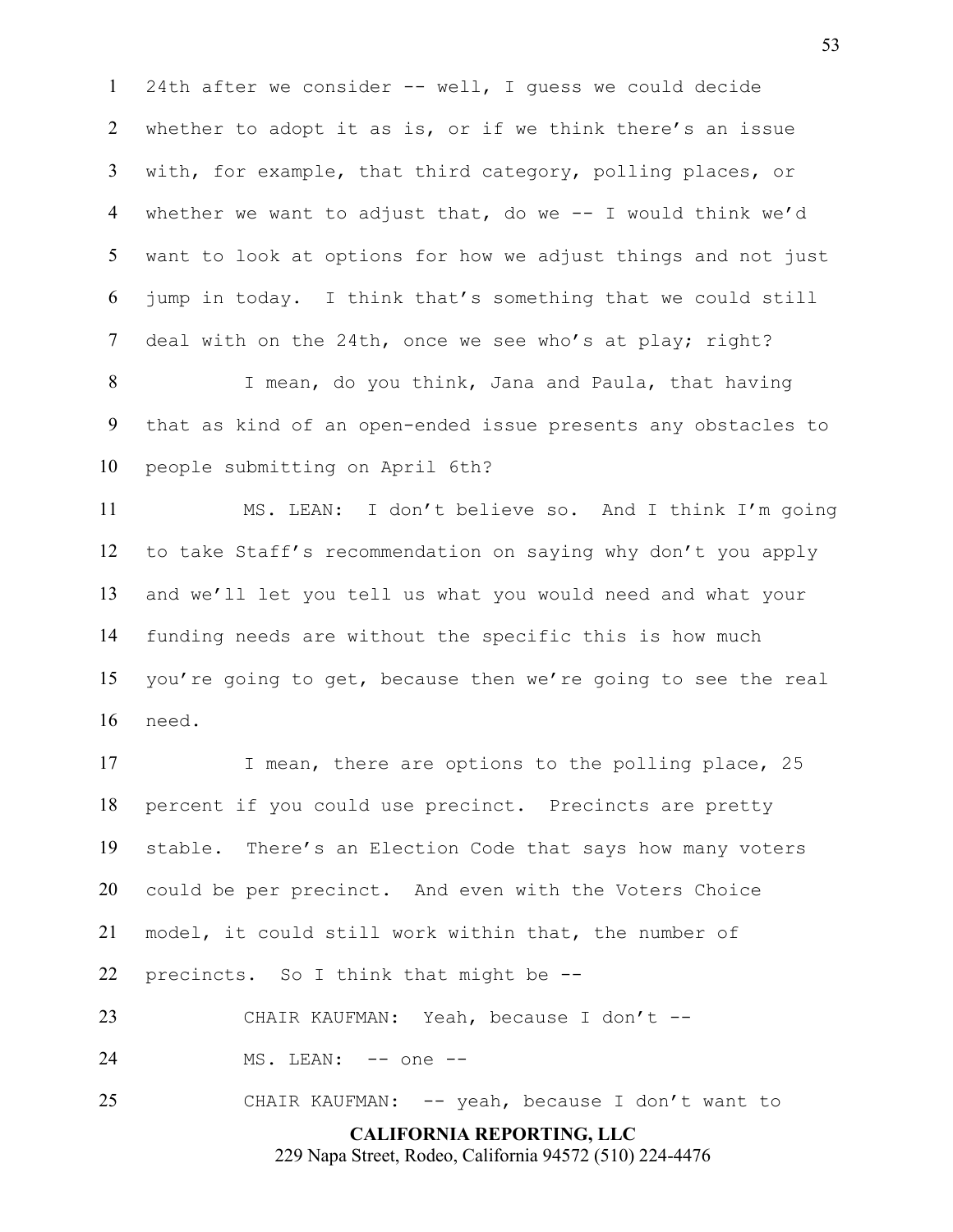24th after we consider -- well, I guess we could decide whether to adopt it as is, or if we think there's an issue with, for example, that third category, polling places, or whether we want to adjust that, do we -- I would think we'd want to look at options for how we adjust things and not just jump in today. I think that's something that we could still deal with on the 24th, once we see who's at play; right?

I mean, do you think, Jana and Paula, that having that as kind of an open-ended issue presents any obstacles to people submitting on April 6th?

MS. LEAN: I don't believe so. And I think I'm going to take Staff's recommendation on saying why don't you apply and we'll let you tell us what you would need and what your funding needs are without the specific this is how much you're going to get, because then we're going to see the real need.

17 I mean, there are options to the polling place, 25 percent if you could use precinct. Precincts are pretty stable. There's an Election Code that says how many voters could be per precinct. And even with the Voters Choice model, it could still work within that, the number of precincts. So I think that might be --

CHAIR KAUFMAN: Yeah, because I don't --

24 MS. LEAN: -- one --

CHAIR KAUFMAN: -- yeah, because I don't want to

**CALIFORNIA REPORTING, LLC**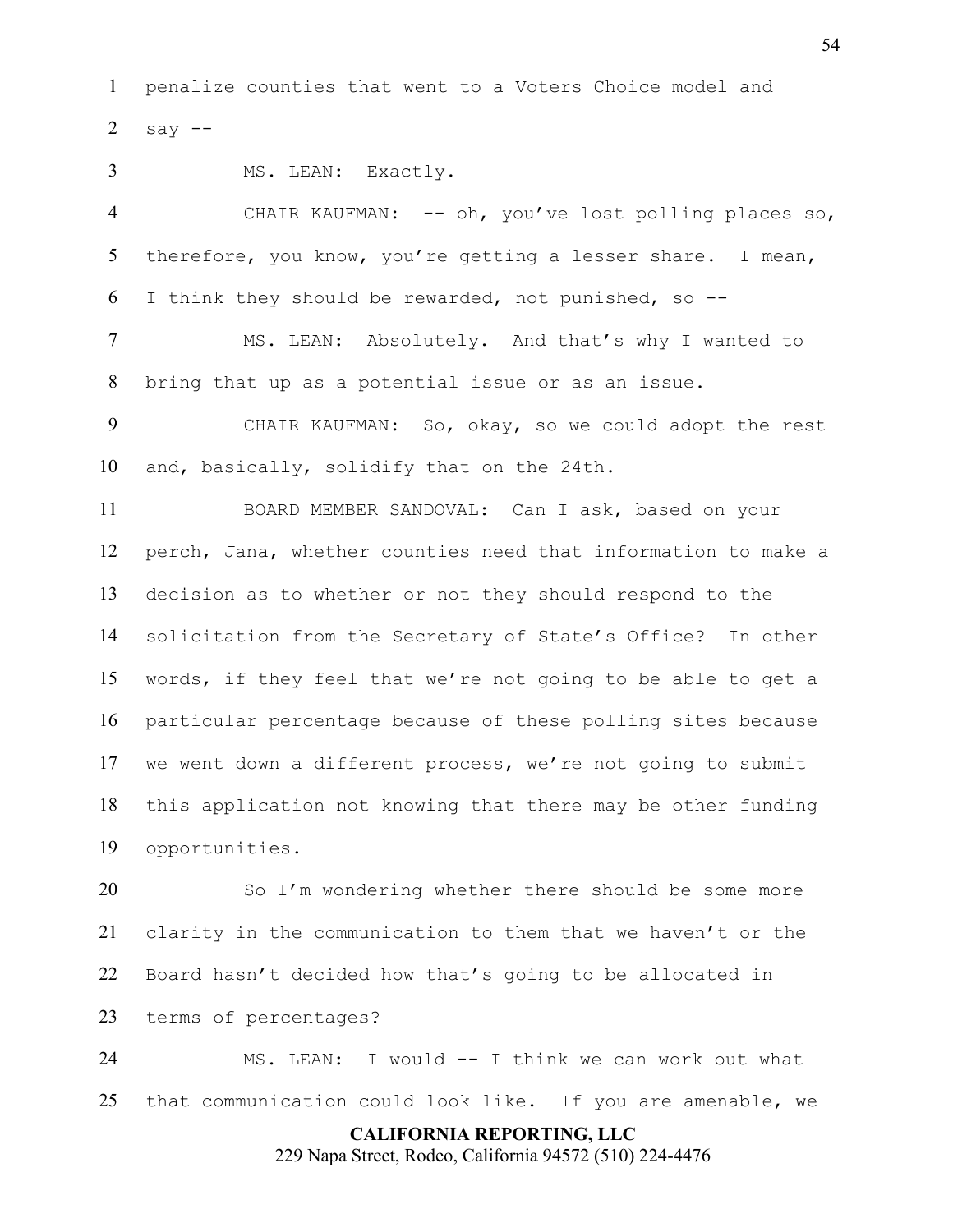penalize counties that went to a Voters Choice model and 2 say  $-$ 

MS. LEAN: Exactly.

CHAIR KAUFMAN: -- oh, you've lost polling places so, 5 therefore, you know, you're getting a lesser share. I mean, I think they should be rewarded, not punished, so --

MS. LEAN: Absolutely. And that's why I wanted to bring that up as a potential issue or as an issue.

CHAIR KAUFMAN: So, okay, so we could adopt the rest and, basically, solidify that on the 24th.

BOARD MEMBER SANDOVAL: Can I ask, based on your perch, Jana, whether counties need that information to make a decision as to whether or not they should respond to the solicitation from the Secretary of State's Office? In other words, if they feel that we're not going to be able to get a particular percentage because of these polling sites because we went down a different process, we're not going to submit this application not knowing that there may be other funding opportunities.

So I'm wondering whether there should be some more clarity in the communication to them that we haven't or the Board hasn't decided how that's going to be allocated in terms of percentages?

MS. LEAN: I would -- I think we can work out what that communication could look like. If you are amenable, we

**CALIFORNIA REPORTING, LLC**

229 Napa Street, Rodeo, California 94572 (510) 224-4476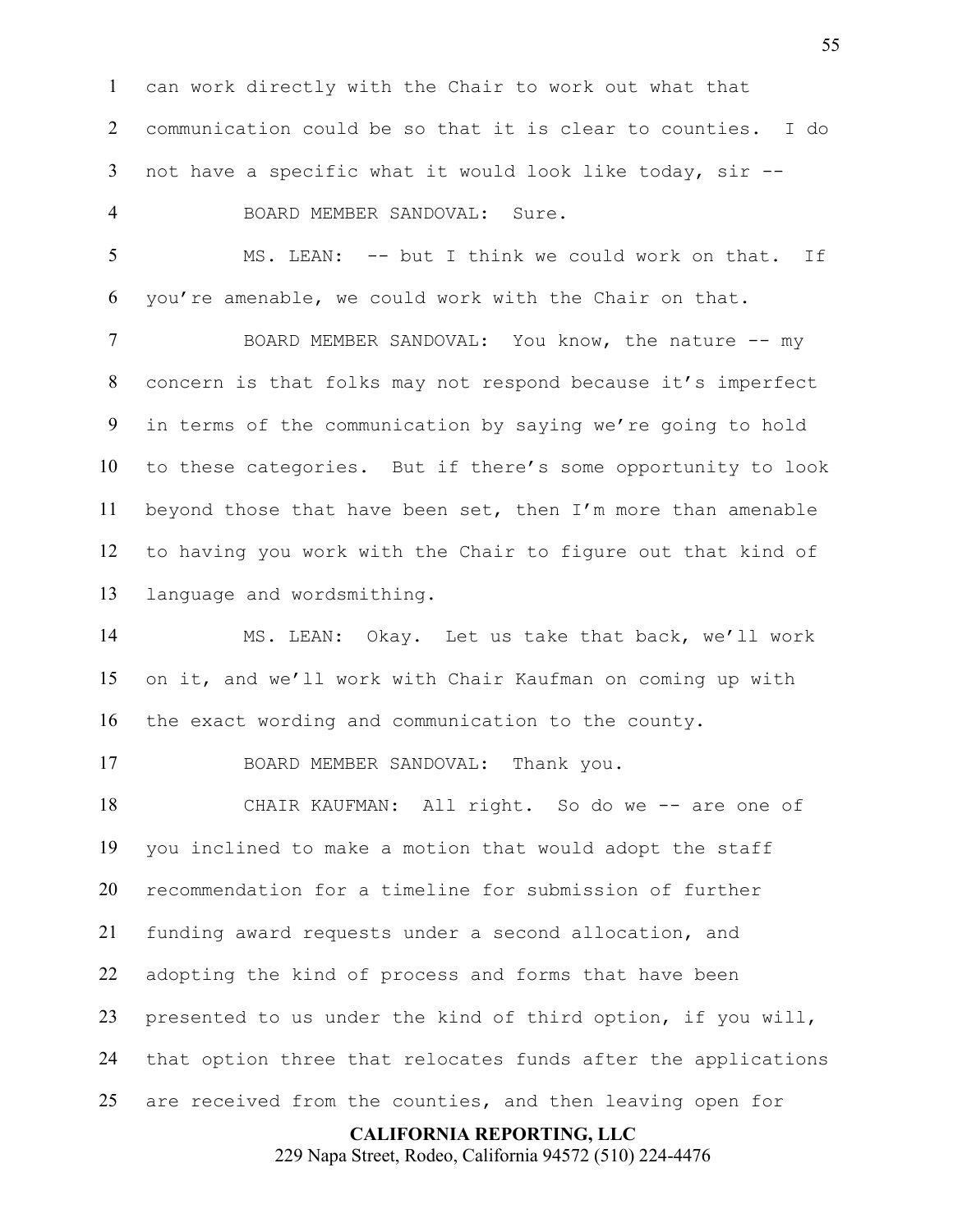can work directly with the Chair to work out what that communication could be so that it is clear to counties. I do not have a specific what it would look like today, sir --

BOARD MEMBER SANDOVAL: Sure.

MS. LEAN: -- but I think we could work on that. If you're amenable, we could work with the Chair on that.

BOARD MEMBER SANDOVAL: You know, the nature -- my concern is that folks may not respond because it's imperfect in terms of the communication by saying we're going to hold to these categories. But if there's some opportunity to look beyond those that have been set, then I'm more than amenable to having you work with the Chair to figure out that kind of language and wordsmithing.

MS. LEAN: Okay. Let us take that back, we'll work on it, and we'll work with Chair Kaufman on coming up with the exact wording and communication to the county.

BOARD MEMBER SANDOVAL: Thank you.

CHAIR KAUFMAN: All right. So do we -- are one of you inclined to make a motion that would adopt the staff recommendation for a timeline for submission of further funding award requests under a second allocation, and adopting the kind of process and forms that have been presented to us under the kind of third option, if you will, that option three that relocates funds after the applications are received from the counties, and then leaving open for

**CALIFORNIA REPORTING, LLC**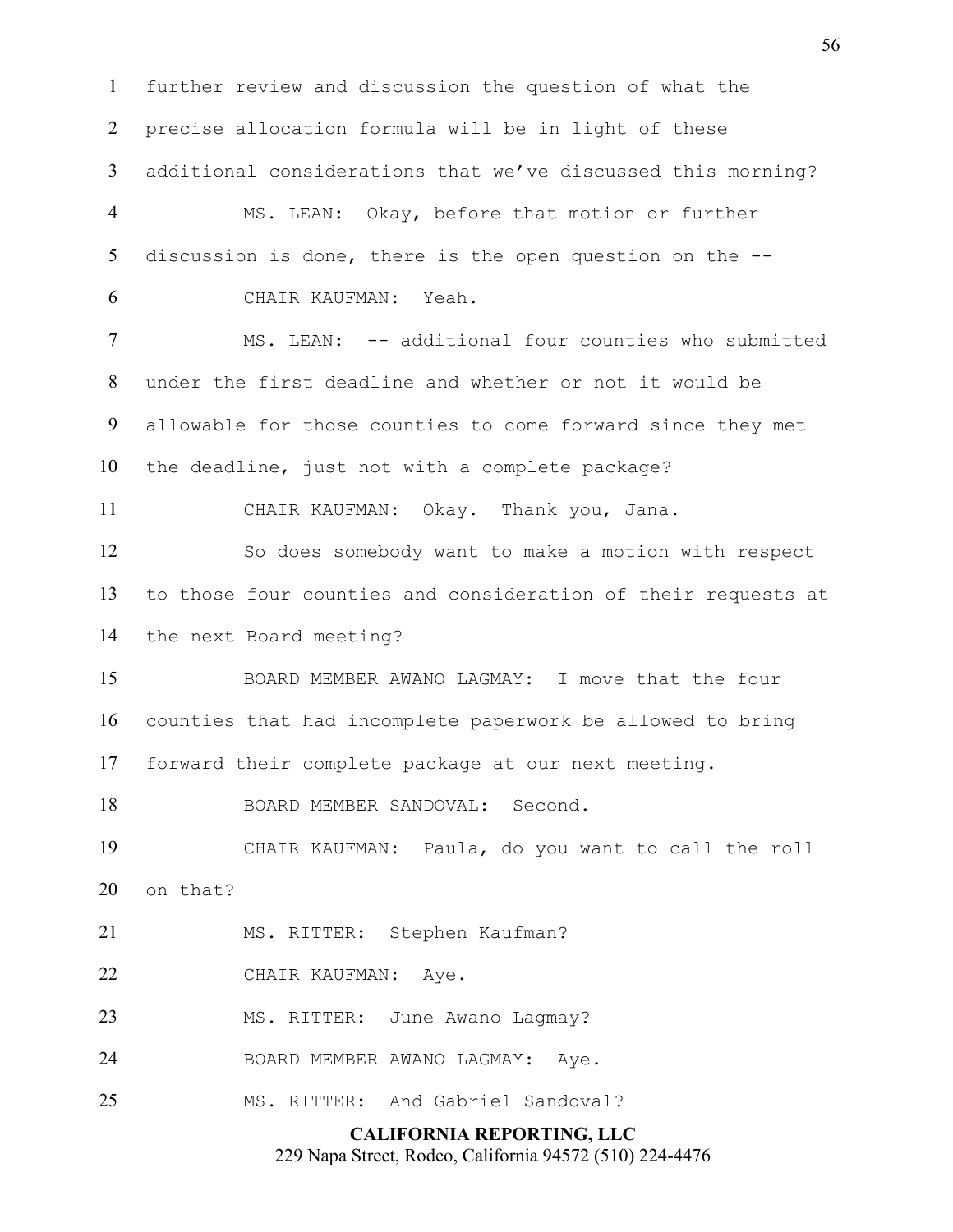**CALIFORNIA REPORTING, LLC** 229 Napa Street, Rodeo, California 94572 (510) 224-4476 further review and discussion the question of what the precise allocation formula will be in light of these additional considerations that we've discussed this morning? MS. LEAN: Okay, before that motion or further discussion is done, there is the open question on the -- CHAIR KAUFMAN: Yeah. MS. LEAN: -- additional four counties who submitted under the first deadline and whether or not it would be allowable for those counties to come forward since they met the deadline, just not with a complete package? CHAIR KAUFMAN: Okay. Thank you, Jana. So does somebody want to make a motion with respect to those four counties and consideration of their requests at the next Board meeting? BOARD MEMBER AWANO LAGMAY: I move that the four counties that had incomplete paperwork be allowed to bring forward their complete package at our next meeting. BOARD MEMBER SANDOVAL: Second. CHAIR KAUFMAN: Paula, do you want to call the roll on that? MS. RITTER: Stephen Kaufman? CHAIR KAUFMAN: Aye. 23 MS. RITTER: June Awano Lagmay? BOARD MEMBER AWANO LAGMAY: Aye. MS. RITTER: And Gabriel Sandoval?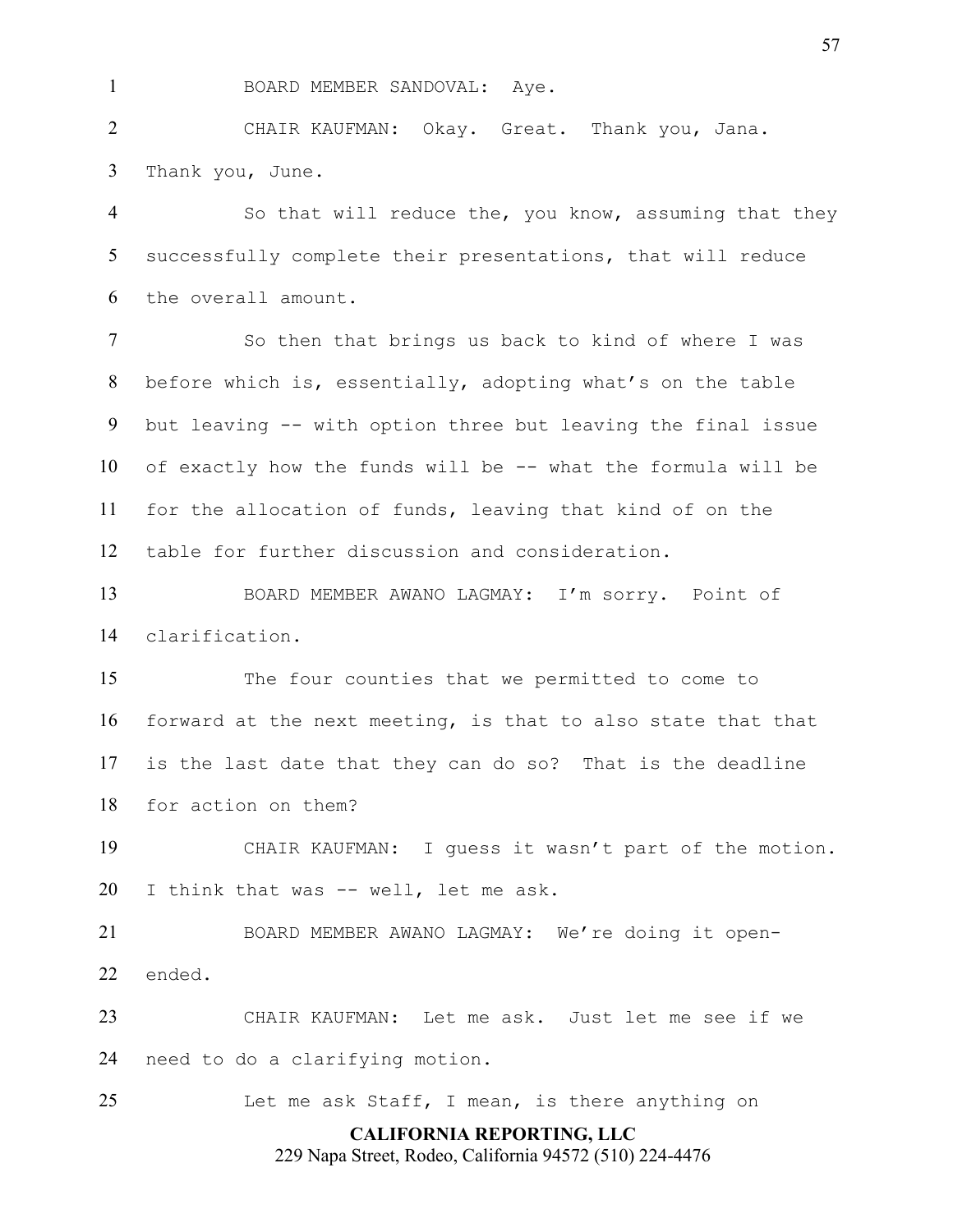1 BOARD MEMBER SANDOVAL: Aye.

CHAIR KAUFMAN: Okay. Great. Thank you, Jana. Thank you, June.

So that will reduce the, you know, assuming that they successfully complete their presentations, that will reduce the overall amount.

So then that brings us back to kind of where I was before which is, essentially, adopting what's on the table but leaving -- with option three but leaving the final issue of exactly how the funds will be -- what the formula will be for the allocation of funds, leaving that kind of on the table for further discussion and consideration.

BOARD MEMBER AWANO LAGMAY: I'm sorry. Point of clarification.

The four counties that we permitted to come to forward at the next meeting, is that to also state that that is the last date that they can do so? That is the deadline for action on them?

CHAIR KAUFMAN: I guess it wasn't part of the motion. I think that was -- well, let me ask.

BOARD MEMBER AWANO LAGMAY: We're doing it open-ended.

CHAIR KAUFMAN: Let me ask. Just let me see if we need to do a clarifying motion.

Let me ask Staff, I mean, is there anything on

# **CALIFORNIA REPORTING, LLC**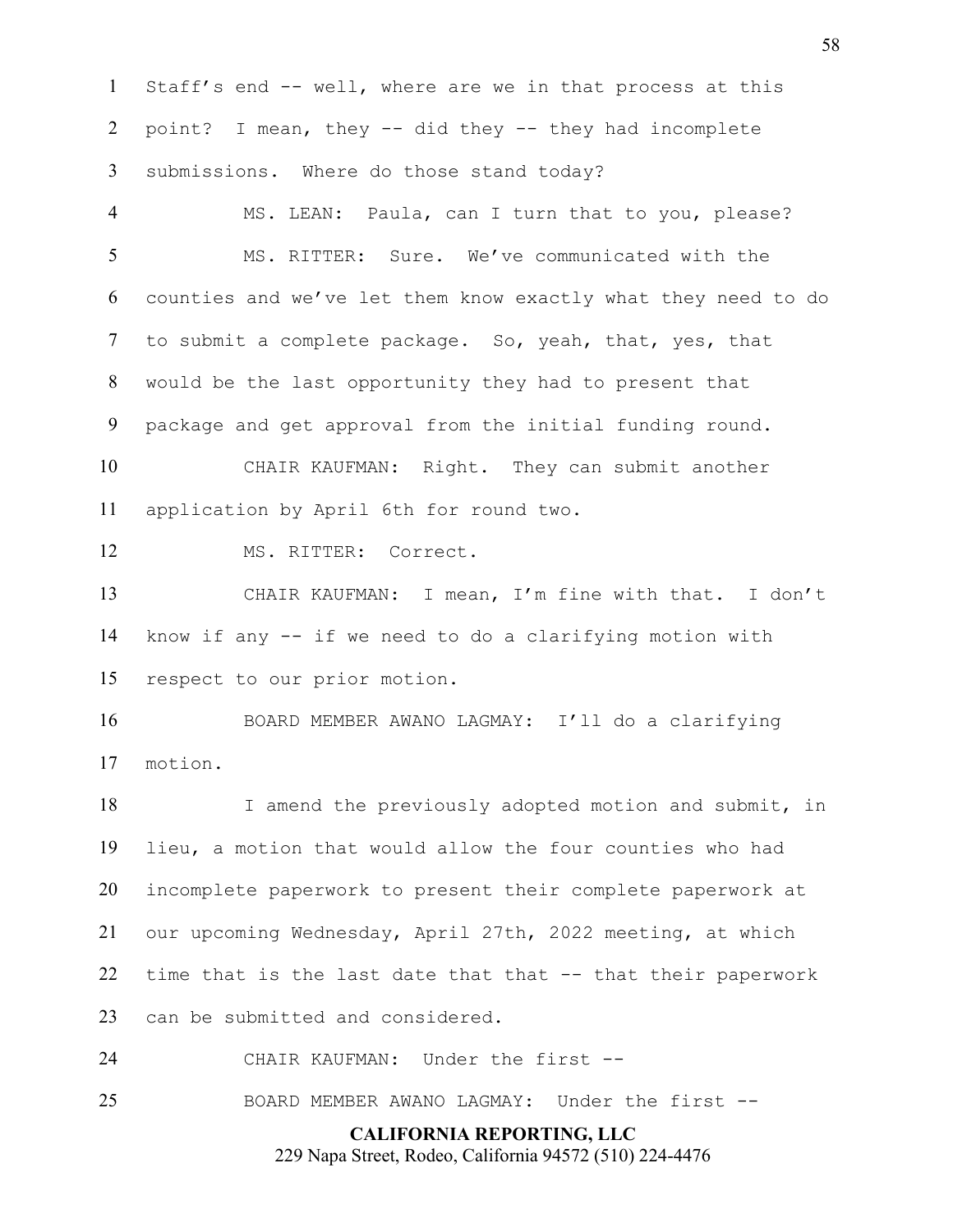Staff's end -- well, where are we in that process at this point? I mean, they -- did they -- they had incomplete submissions. Where do those stand today?

MS. LEAN: Paula, can I turn that to you, please? MS. RITTER: Sure. We've communicated with the counties and we've let them know exactly what they need to do to submit a complete package. So, yeah, that, yes, that would be the last opportunity they had to present that package and get approval from the initial funding round.

CHAIR KAUFMAN: Right. They can submit another application by April 6th for round two.

12 MS. RITTER: Correct.

CHAIR KAUFMAN: I mean, I'm fine with that. I don't know if any -- if we need to do a clarifying motion with respect to our prior motion.

BOARD MEMBER AWANO LAGMAY: I'll do a clarifying motion.

18 I amend the previously adopted motion and submit, in lieu, a motion that would allow the four counties who had incomplete paperwork to present their complete paperwork at our upcoming Wednesday, April 27th, 2022 meeting, at which time that is the last date that that -- that their paperwork can be submitted and considered.

CHAIR KAUFMAN: Under the first --

BOARD MEMBER AWANO LAGMAY: Under the first --

**CALIFORNIA REPORTING, LLC** 229 Napa Street, Rodeo, California 94572 (510) 224-4476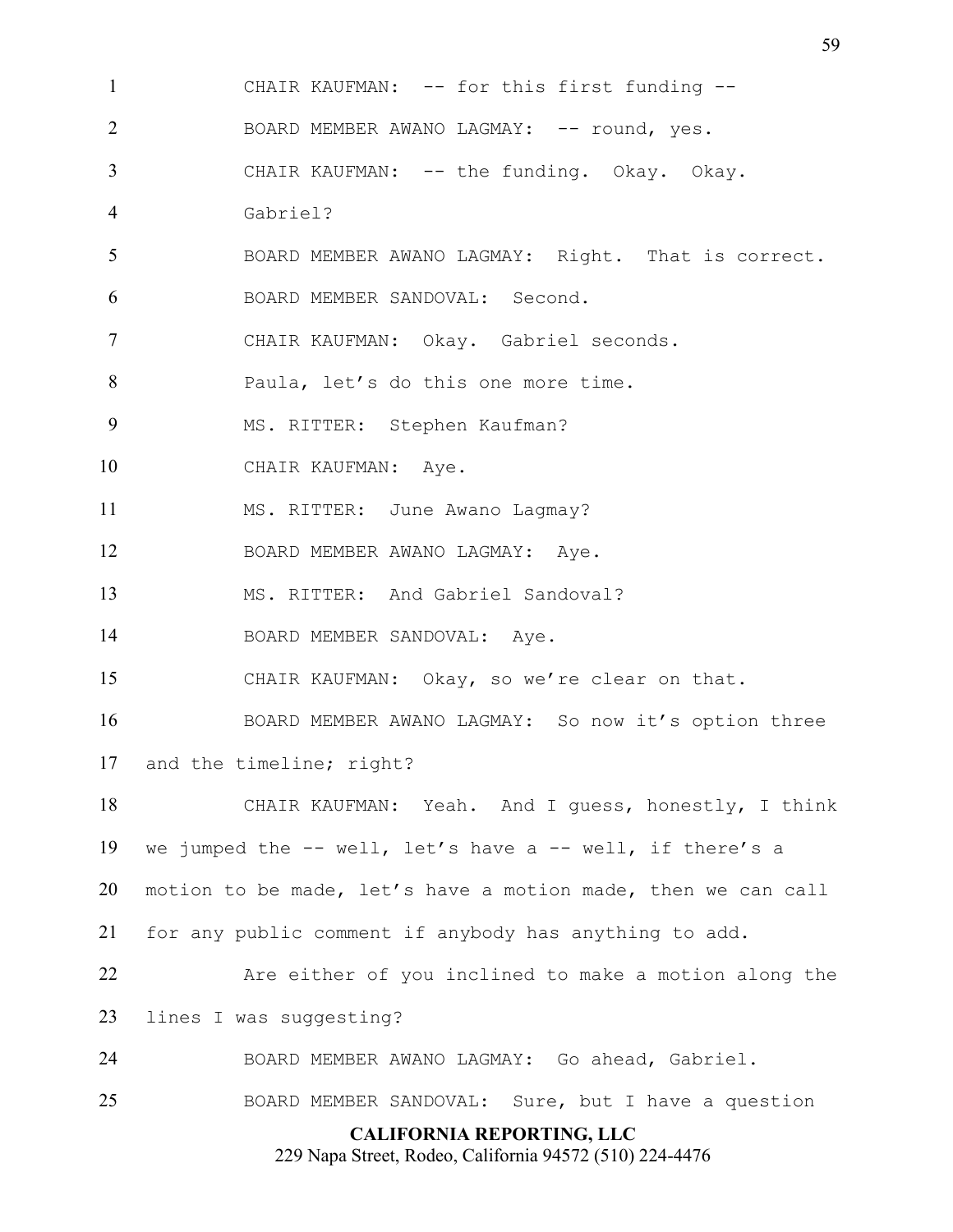**CALIFORNIA REPORTING, LLC** CHAIR KAUFMAN: -- for this first funding -- 2 BOARD MEMBER AWANO LAGMAY: -- round, yes. CHAIR KAUFMAN: -- the funding. Okay. Okay. Gabriel? BOARD MEMBER AWANO LAGMAY: Right. That is correct. BOARD MEMBER SANDOVAL: Second. CHAIR KAUFMAN: Okay. Gabriel seconds. Paula, let's do this one more time. MS. RITTER: Stephen Kaufman? 10 CHAIR KAUFMAN: Ave. MS. RITTER: June Awano Lagmay? BOARD MEMBER AWANO LAGMAY: Aye. MS. RITTER: And Gabriel Sandoval? 14 BOARD MEMBER SANDOVAL: Aye. CHAIR KAUFMAN: Okay, so we're clear on that. BOARD MEMBER AWANO LAGMAY: So now it's option three and the timeline; right? CHAIR KAUFMAN: Yeah. And I guess, honestly, I think we jumped the -- well, let's have a -- well, if there's a motion to be made, let's have a motion made, then we can call for any public comment if anybody has anything to add. Are either of you inclined to make a motion along the lines I was suggesting? BOARD MEMBER AWANO LAGMAY: Go ahead, Gabriel. BOARD MEMBER SANDOVAL: Sure, but I have a question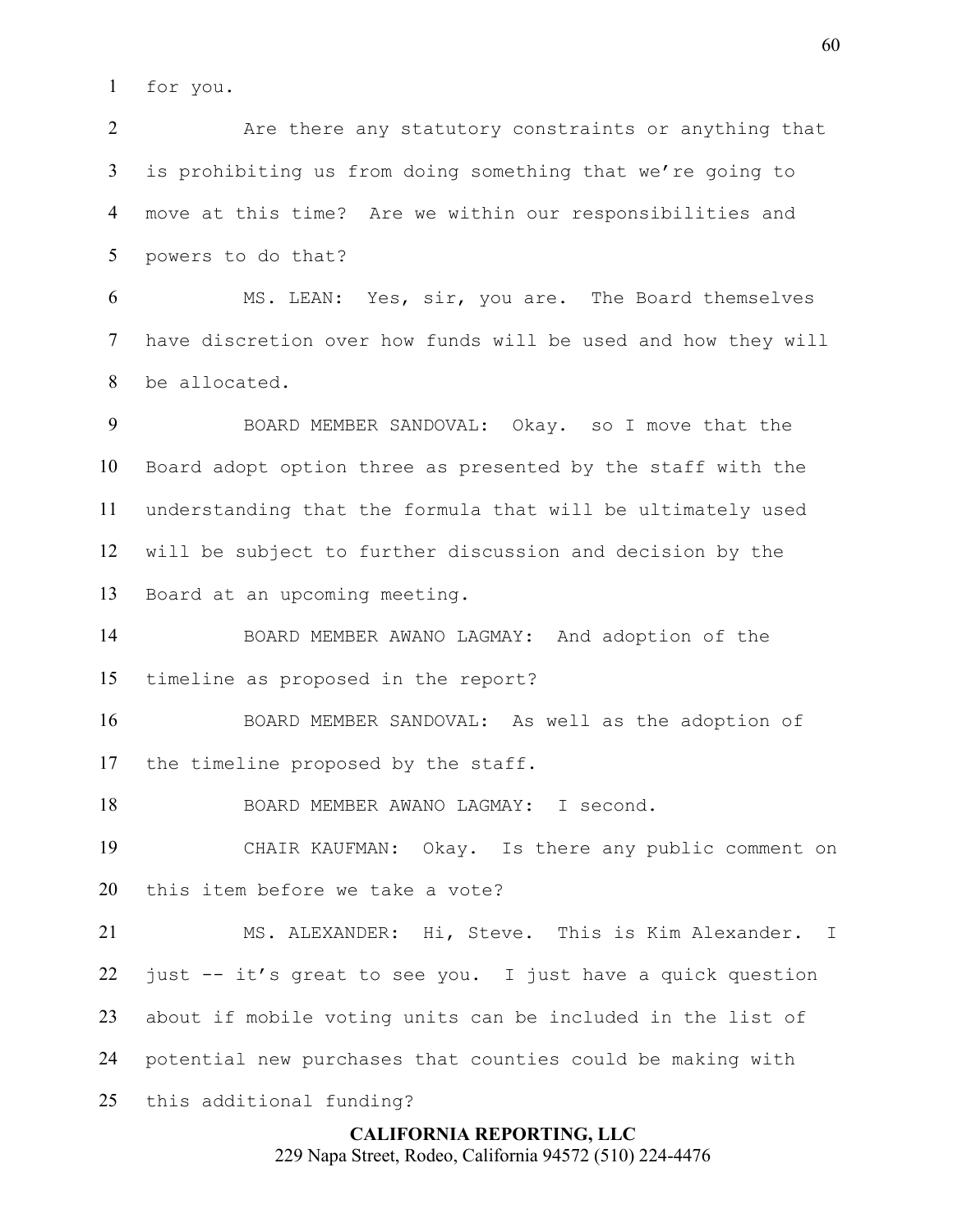for you.

2 Are there any statutory constraints or anything that is prohibiting us from doing something that we're going to move at this time? Are we within our responsibilities and powers to do that?

MS. LEAN: Yes, sir, you are. The Board themselves have discretion over how funds will be used and how they will be allocated.

BOARD MEMBER SANDOVAL: Okay. so I move that the Board adopt option three as presented by the staff with the understanding that the formula that will be ultimately used will be subject to further discussion and decision by the Board at an upcoming meeting.

BOARD MEMBER AWANO LAGMAY: And adoption of the timeline as proposed in the report?

BOARD MEMBER SANDOVAL: As well as the adoption of the timeline proposed by the staff.

BOARD MEMBER AWANO LAGMAY: I second.

CHAIR KAUFMAN: Okay. Is there any public comment on this item before we take a vote?

MS. ALEXANDER: Hi, Steve. This is Kim Alexander. I just -- it's great to see you. I just have a quick question about if mobile voting units can be included in the list of potential new purchases that counties could be making with this additional funding?

## **CALIFORNIA REPORTING, LLC**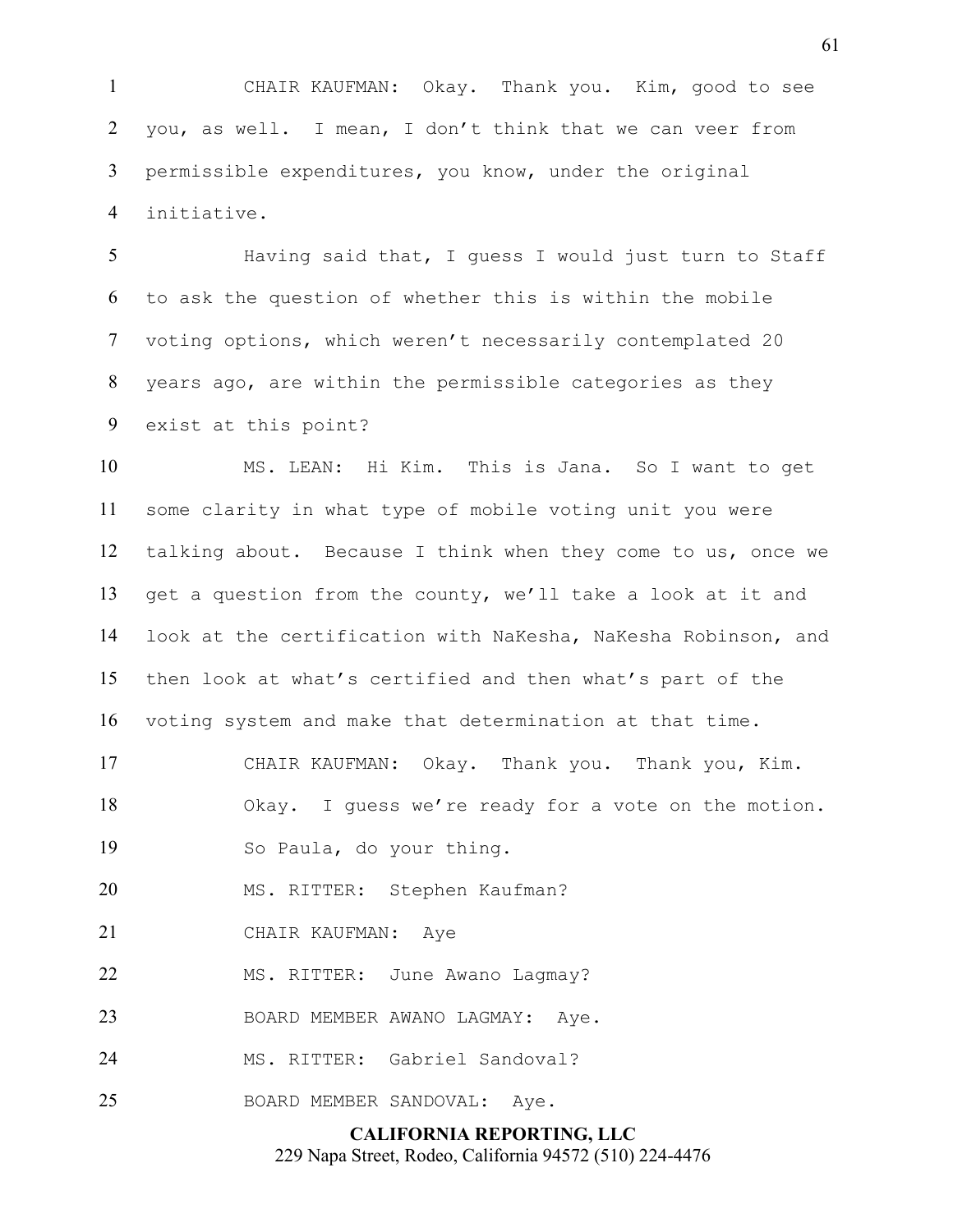CHAIR KAUFMAN: Okay. Thank you. Kim, good to see you, as well. I mean, I don't think that we can veer from permissible expenditures, you know, under the original initiative.

Having said that, I guess I would just turn to Staff to ask the question of whether this is within the mobile voting options, which weren't necessarily contemplated 20 years ago, are within the permissible categories as they exist at this point?

MS. LEAN: Hi Kim. This is Jana. So I want to get some clarity in what type of mobile voting unit you were talking about. Because I think when they come to us, once we get a question from the county, we'll take a look at it and look at the certification with NaKesha, NaKesha Robinson, and then look at what's certified and then what's part of the voting system and make that determination at that time.

CHAIR KAUFMAN: Okay. Thank you. Thank you, Kim. Okay. I guess we're ready for a vote on the motion.

So Paula, do your thing.

MS. RITTER: Stephen Kaufman?

CHAIR KAUFMAN: Aye

22 MS. RITTER: June Awano Lagmay?

23 BOARD MEMBER AWANO LAGMAY: Aye.

MS. RITTER: Gabriel Sandoval?

25 BOARD MEMBER SANDOVAL: Aye.

## **CALIFORNIA REPORTING, LLC** 229 Napa Street, Rodeo, California 94572 (510) 224-4476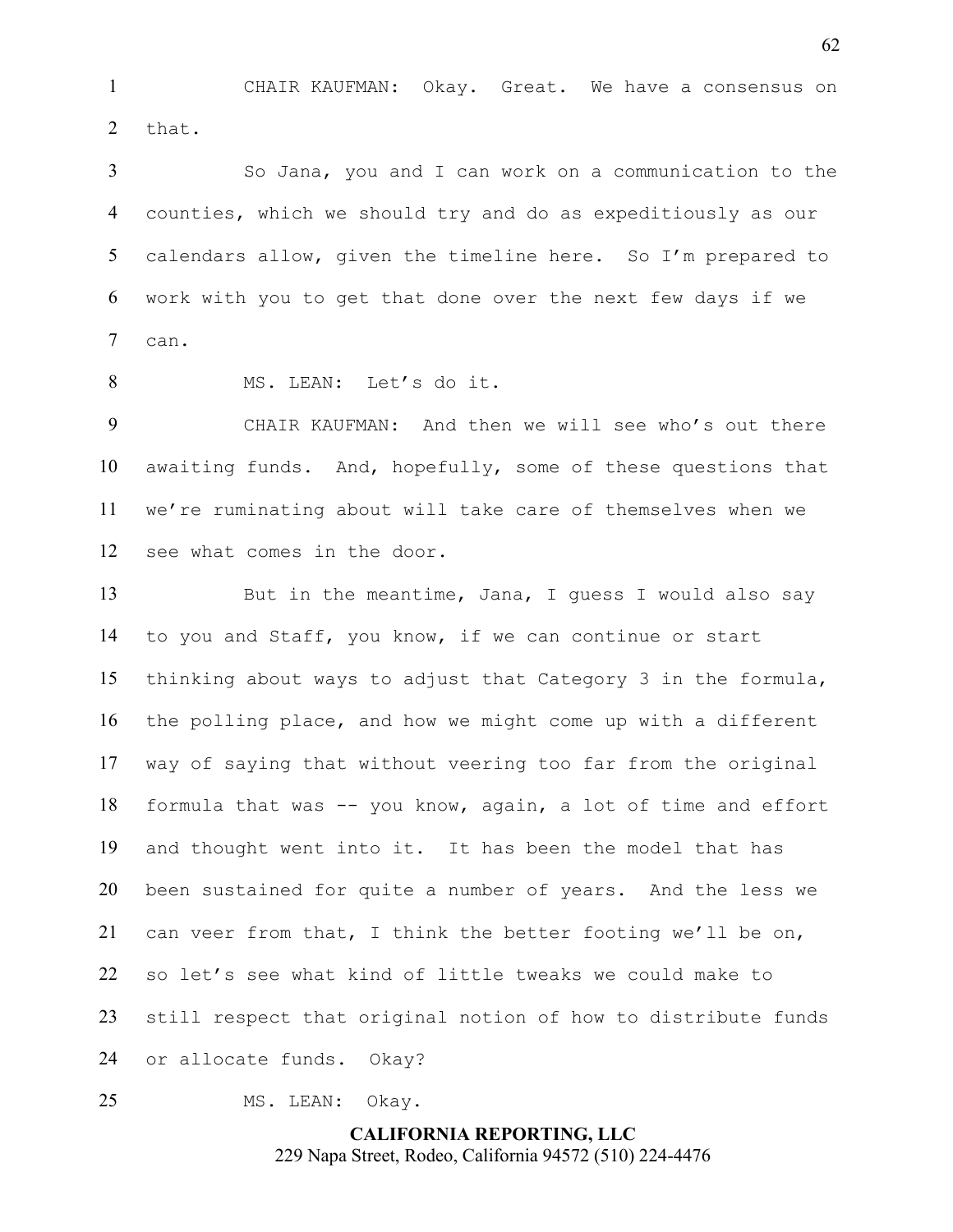CHAIR KAUFMAN: Okay. Great. We have a consensus on that.

So Jana, you and I can work on a communication to the counties, which we should try and do as expeditiously as our calendars allow, given the timeline here. So I'm prepared to work with you to get that done over the next few days if we can.

8 MS. LEAN: Let's do it.

CHAIR KAUFMAN: And then we will see who's out there awaiting funds. And, hopefully, some of these questions that we're ruminating about will take care of themselves when we see what comes in the door.

13 But in the meantime, Jana, I quess I would also say to you and Staff, you know, if we can continue or start thinking about ways to adjust that Category 3 in the formula, the polling place, and how we might come up with a different way of saying that without veering too far from the original formula that was -- you know, again, a lot of time and effort and thought went into it. It has been the model that has been sustained for quite a number of years. And the less we can veer from that, I think the better footing we'll be on, so let's see what kind of little tweaks we could make to still respect that original notion of how to distribute funds or allocate funds. Okay?

MS. LEAN: Okay.

**CALIFORNIA REPORTING, LLC** 229 Napa Street, Rodeo, California 94572 (510) 224-4476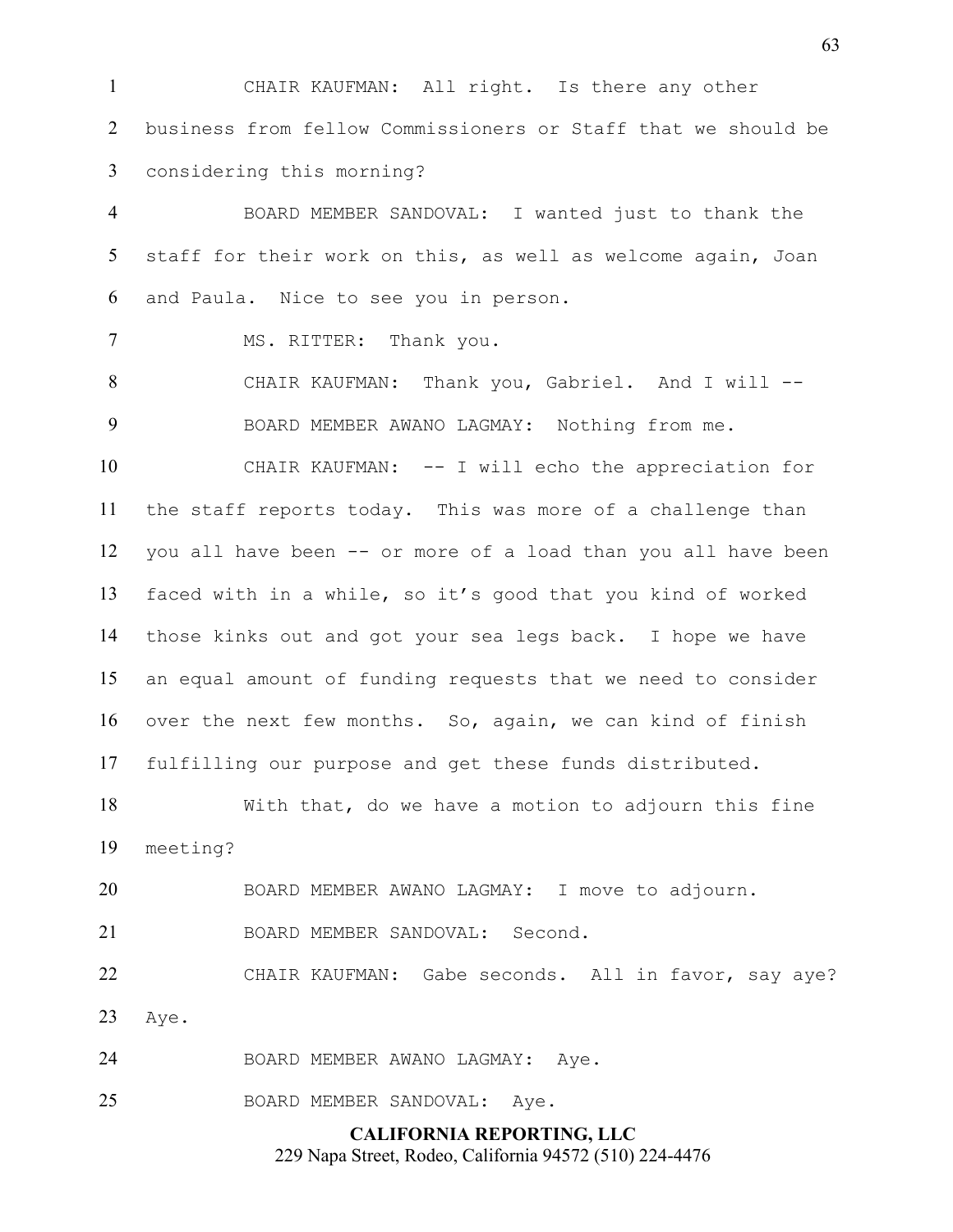CHAIR KAUFMAN: All right. Is there any other business from fellow Commissioners or Staff that we should be considering this morning?

BOARD MEMBER SANDOVAL: I wanted just to thank the 5 staff for their work on this, as well as welcome again, Joan and Paula. Nice to see you in person.

7 MS. RITTER: Thank you.

CHAIR KAUFMAN: Thank you, Gabriel. And I will -- BOARD MEMBER AWANO LAGMAY: Nothing from me.

CHAIR KAUFMAN: -- I will echo the appreciation for the staff reports today. This was more of a challenge than you all have been -- or more of a load than you all have been faced with in a while, so it's good that you kind of worked those kinks out and got your sea legs back. I hope we have an equal amount of funding requests that we need to consider over the next few months. So, again, we can kind of finish fulfilling our purpose and get these funds distributed.

With that, do we have a motion to adjourn this fine meeting?

BOARD MEMBER AWANO LAGMAY: I move to adjourn.

BOARD MEMBER SANDOVAL: Second.

CHAIR KAUFMAN: Gabe seconds. All in favor, say aye? Aye.

BOARD MEMBER AWANO LAGMAY: Aye.

BOARD MEMBER SANDOVAL: Aye.

## **CALIFORNIA REPORTING, LLC**

229 Napa Street, Rodeo, California 94572 (510) 224-4476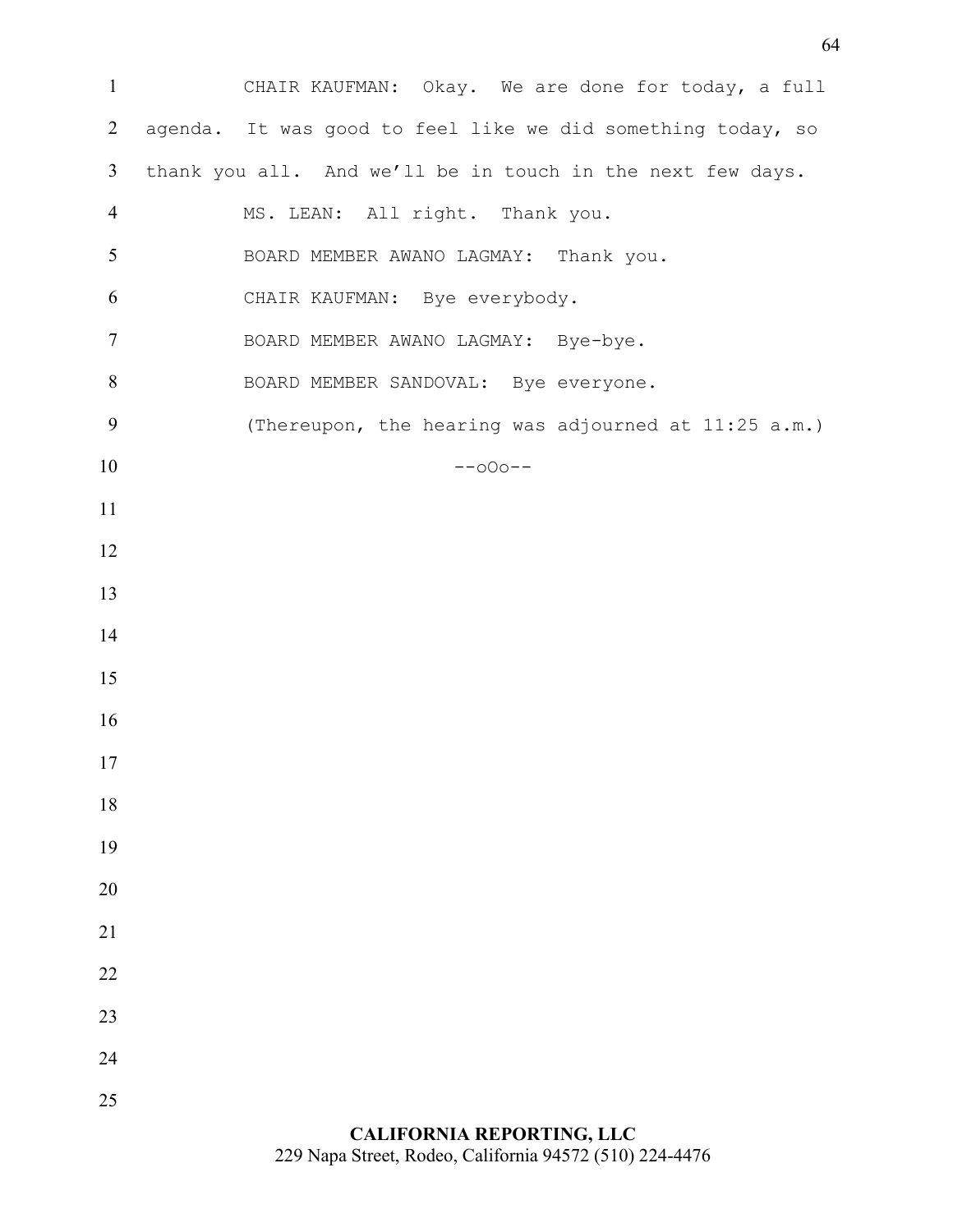CHAIR KAUFMAN: Okay. We are done for today, a full agenda. It was good to feel like we did something today, so thank you all. And we'll be in touch in the next few days. MS. LEAN: All right. Thank you. BOARD MEMBER AWANO LAGMAY: Thank you. CHAIR KAUFMAN: Bye everybody. BOARD MEMBER AWANO LAGMAY: Bye-bye. 8 BOARD MEMBER SANDOVAL: Bye everyone. (Thereupon, the hearing was adjourned at 11:25 a.m.) --o0o-- 

## **CALIFORNIA REPORTING, LLC** 229 Napa Street, Rodeo, California 94572 (510) 224-4476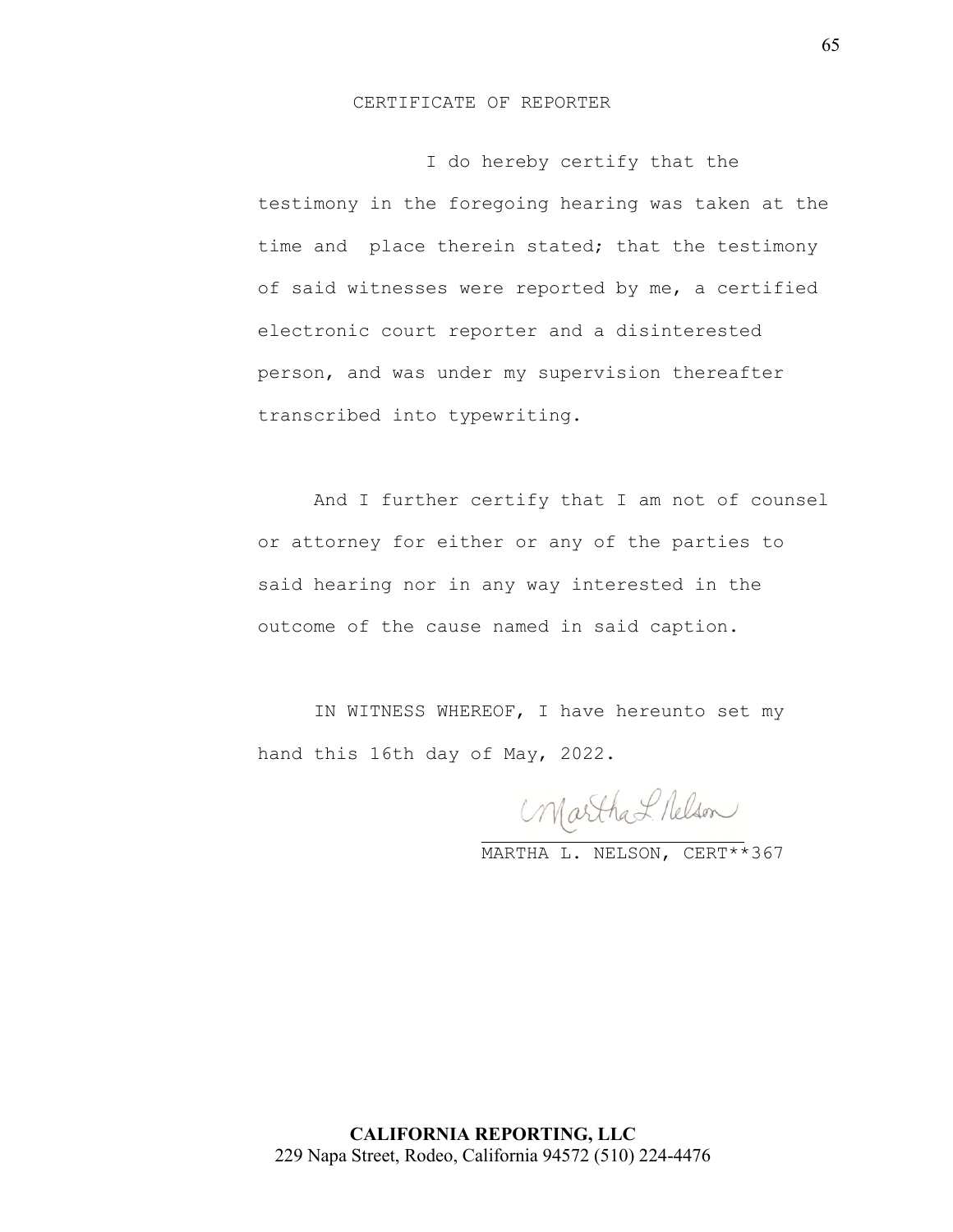## CERTIFICATE OF REPORTER

 I do hereby certify that the testimony in the foregoing hearing was taken at the time and place therein stated; that the testimony of said witnesses were reported by me, a certified electronic court reporter and a disinterested person, and was under my supervision thereafter transcribed into typewriting.

And I further certify that I am not of counsel or attorney for either or any of the parties to said hearing nor in any way interested in the outcome of the cause named in said caption.

IN WITNESS WHEREOF, I have hereunto set my hand this 16th day of May, 2022.

Martha L. Nelson

MARTHA L. NELSON, CERT\*\*367